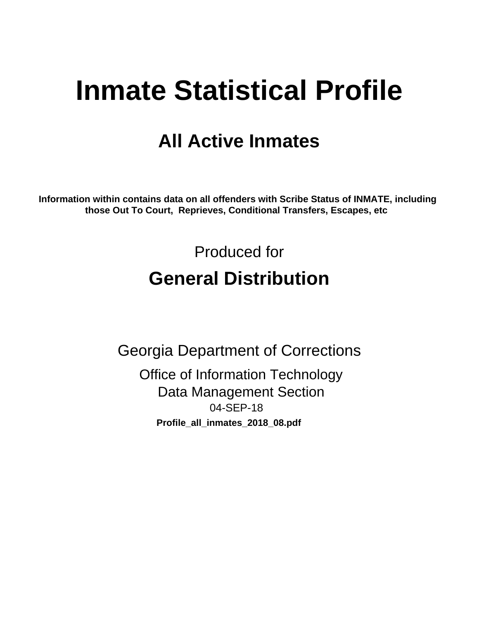# **Inmate Statistical Profile**

## **All Active Inmates**

Information within contains data on all offenders with Scribe Status of INMATE, including those Out To Court, Reprieves, Conditional Transfers, Escapes, etc

> Produced for **General Distribution**

**Georgia Department of Corrections Office of Information Technology Data Management Section** 04-SEP-18 Profile\_all\_inmates\_2018\_08.pdf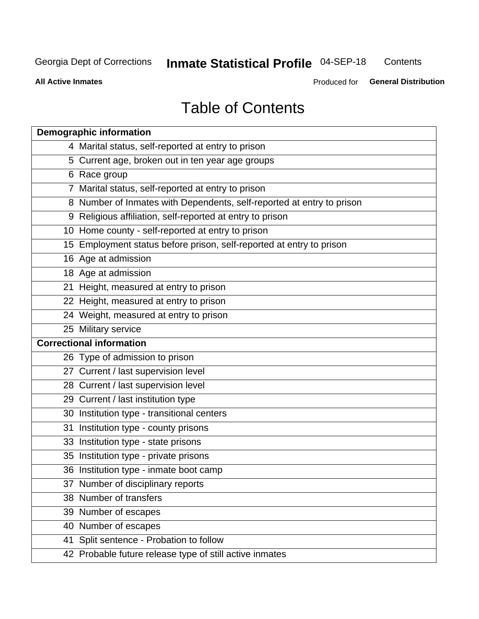#### **Inmate Statistical Profile 04-SEP-18** Contents

**All Active Inmates** 

Produced for General Distribution

## **Table of Contents**

| <b>Demographic information</b>                                        |
|-----------------------------------------------------------------------|
| 4 Marital status, self-reported at entry to prison                    |
| 5 Current age, broken out in ten year age groups                      |
| 6 Race group                                                          |
| 7 Marital status, self-reported at entry to prison                    |
| 8 Number of Inmates with Dependents, self-reported at entry to prison |
| 9 Religious affiliation, self-reported at entry to prison             |
| 10 Home county - self-reported at entry to prison                     |
| 15 Employment status before prison, self-reported at entry to prison  |
| 16 Age at admission                                                   |
| 18 Age at admission                                                   |
| 21 Height, measured at entry to prison                                |
| 22 Height, measured at entry to prison                                |
| 24 Weight, measured at entry to prison                                |
| 25 Military service                                                   |
| <b>Correctional information</b>                                       |
| 26 Type of admission to prison                                        |
| 27 Current / last supervision level                                   |
| 28 Current / last supervision level                                   |
| 29 Current / last institution type                                    |
| 30 Institution type - transitional centers                            |
| 31 Institution type - county prisons                                  |
| 33 Institution type - state prisons                                   |
| 35 Institution type - private prisons                                 |
| 36 Institution type - inmate boot camp                                |
| 37 Number of disciplinary reports                                     |
| 38 Number of transfers                                                |
| 39 Number of escapes                                                  |
| 40 Number of escapes                                                  |
| 41 Split sentence - Probation to follow                               |
| 42 Probable future release type of still active inmates               |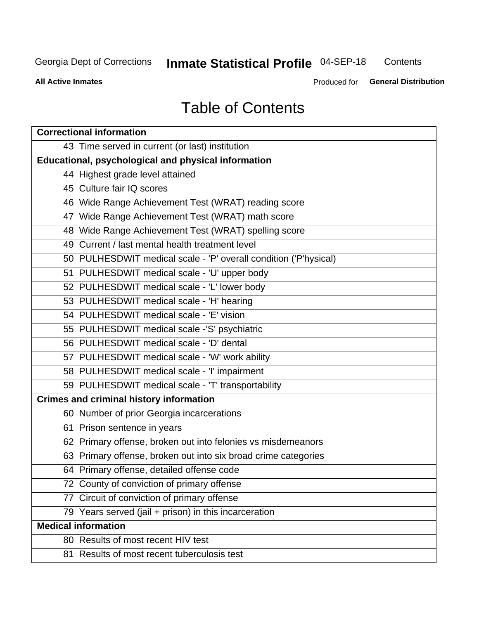## Inmate Statistical Profile 04-SEP-18

Contents

**All Active Inmates** 

Produced for General Distribution

## **Table of Contents**

| <b>Correctional information</b>                                  |
|------------------------------------------------------------------|
| 43 Time served in current (or last) institution                  |
| Educational, psychological and physical information              |
| 44 Highest grade level attained                                  |
| 45 Culture fair IQ scores                                        |
| 46 Wide Range Achievement Test (WRAT) reading score              |
| 47 Wide Range Achievement Test (WRAT) math score                 |
| 48 Wide Range Achievement Test (WRAT) spelling score             |
| 49 Current / last mental health treatment level                  |
| 50 PULHESDWIT medical scale - 'P' overall condition ('P'hysical) |
| 51 PULHESDWIT medical scale - 'U' upper body                     |
| 52 PULHESDWIT medical scale - 'L' lower body                     |
| 53 PULHESDWIT medical scale - 'H' hearing                        |
| 54 PULHESDWIT medical scale - 'E' vision                         |
| 55 PULHESDWIT medical scale -'S' psychiatric                     |
| 56 PULHESDWIT medical scale - 'D' dental                         |
| 57 PULHESDWIT medical scale - 'W' work ability                   |
| 58 PULHESDWIT medical scale - 'I' impairment                     |
| 59 PULHESDWIT medical scale - 'T' transportability               |
| <b>Crimes and criminal history information</b>                   |
| 60 Number of prior Georgia incarcerations                        |
| 61 Prison sentence in years                                      |
| 62 Primary offense, broken out into felonies vs misdemeanors     |
| 63 Primary offense, broken out into six broad crime categories   |
| 64 Primary offense, detailed offense code                        |
| 72 County of conviction of primary offense                       |
| 77 Circuit of conviction of primary offense                      |
| 79 Years served (jail + prison) in this incarceration            |
| <b>Medical information</b>                                       |
| 80 Results of most recent HIV test                               |
| 81 Results of most recent tuberculosis test                      |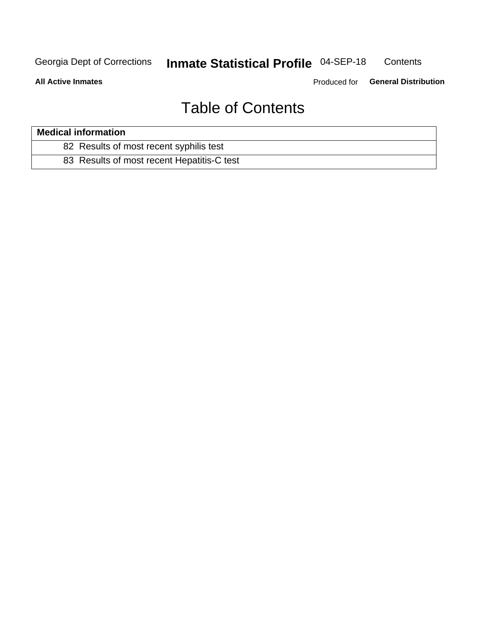#### Inmate Statistical Profile 04-SEP-18 Contents

**All Active Inmates** 

Produced for General Distribution

## **Table of Contents**

| <b>Medical information</b>                 |  |
|--------------------------------------------|--|
| 82 Results of most recent syphilis test    |  |
| 83 Results of most recent Hepatitis-C test |  |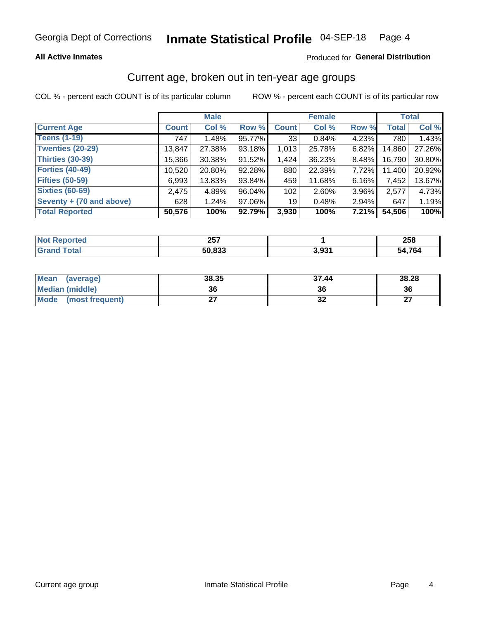#### **All Active Inmates**

#### Produced for General Distribution

### Current age, broken out in ten-year age groups

COL % - percent each COUNT is of its particular column

|                          |              | <b>Male</b> |        |                 | <b>Female</b> |          |              | <b>Total</b> |
|--------------------------|--------------|-------------|--------|-----------------|---------------|----------|--------------|--------------|
| <b>Current Age</b>       | <b>Count</b> | Col %       | Row %  | <b>Count</b>    | Col %         | Row %    | <b>Total</b> | Col %        |
| <b>Teens (1-19)</b>      | 747          | 1.48%       | 95.77% | 33              | 0.84%         | 4.23%    | 780          | 1.43%        |
| <b>Twenties (20-29)</b>  | 13,847       | 27.38%      | 93.18% | 1,013           | 25.78%        | $6.82\%$ | 14,860       | 27.26%       |
| Thirties (30-39)         | 15,366       | 30.38%      | 91.52% | 1,424           | 36.23%        | $8.48\%$ | 16,790       | 30.80%       |
| <b>Forties (40-49)</b>   | 10,520       | 20.80%      | 92.28% | 880             | 22.39%        | 7.72%    | 11,400       | 20.92%       |
| <b>Fifties (50-59)</b>   | 6,993        | 13.83%      | 93.84% | 459             | 11.68%        | $6.16\%$ | 7,452        | 13.67%       |
| <b>Sixties (60-69)</b>   | 2,475        | 4.89%       | 96.04% | 102             | $2.60\%$      | 3.96%    | 2,577        | 4.73%        |
| Seventy + (70 and above) | 628          | 1.24%       | 97.06% | 19 <sup>1</sup> | 0.48%         | 2.94%    | 647          | 1.19%        |
| <b>Total Reported</b>    | 50,576       | 100%        | 92.79% | 3,930           | 100%          | 7.21%    | 54,506       | 100%         |

| <b>Not</b><br>πeι.<br> | クロフ<br>20 I |      | neo<br>20 O   |
|------------------------|-------------|------|---------------|
|                        | ca ann      | 2 מי | $\rightarrow$ |
|                        | ്യാക്       | .    | ٠д            |

| <b>Mean</b><br>(average)       | 38.35 | 37.44 | 38.28         |
|--------------------------------|-------|-------|---------------|
| Median (middle)                | 36    | 36    | 36            |
| <b>Mode</b><br>(most frequent) |       | ◡▵    | $\sim$<br>. . |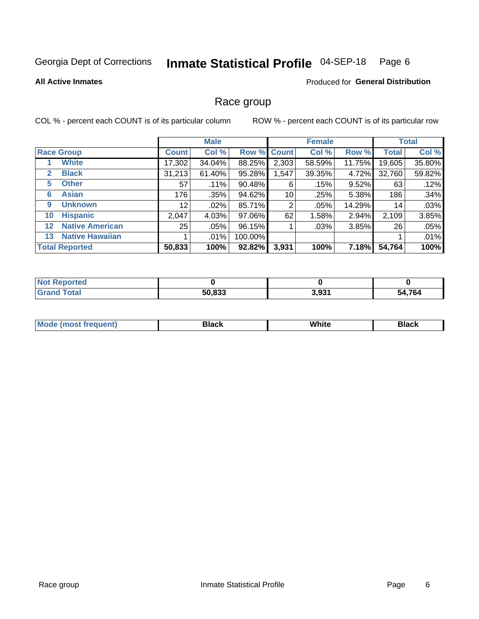#### Inmate Statistical Profile 04-SEP-18 Page 6

#### **All Active Inmates**

#### **Produced for General Distribution**

#### Race group

COL % - percent each COUNT is of its particular column

|                   |                        |                 | <b>Male</b> |         |             | <b>Female</b> |        |              | <b>Total</b> |
|-------------------|------------------------|-----------------|-------------|---------|-------------|---------------|--------|--------------|--------------|
|                   | <b>Race Group</b>      | <b>Count</b>    | Col %       |         | Row % Count | Col %         | Row %  | <b>Total</b> | Col %        |
|                   | <b>White</b>           | 17,302          | 34.04%      | 88.25%  | 2,303       | 58.59%        | 11.75% | 19,605       | 35.80%       |
| 2                 | <b>Black</b>           | 31,213          | 61.40%      | 95.28%  | 1,547       | 39.35%        | 4.72%  | 32,760       | 59.82%       |
| 5                 | <b>Other</b>           | 57              | .11%        | 90.48%  | 6           | .15%          | 9.52%  | 63           | .12%         |
| 6                 | <b>Asian</b>           | 176             | $.35\%$     | 94.62%  | 10          | .25%          | 5.38%  | 186          | .34%         |
| 9                 | <b>Unknown</b>         | 12 <sup>2</sup> | $.02\%$     | 85.71%  | 2           | .05%          | 14.29% | 14           | .03%         |
| 10                | <b>Hispanic</b>        | 2,047           | 4.03%       | 97.06%  | 62          | 1.58%         | 2.94%  | 2,109        | 3.85%        |
| $12 \overline{ }$ | <b>Native American</b> | 25              | $.05\%$     | 96.15%  |             | .03%          | 3.85%  | 26           | .05%         |
| 13                | <b>Native Hawaiian</b> |                 | $.01\%$     | 100.00% |             |               |        |              | .01%         |
|                   | <b>Total Reported</b>  | 50,833          | 100%        | 92.82%  | 3,931       | 100%          | 7.18%  | 54,764       | 100%         |

| <b>Not Reported</b> |        |       |        |
|---------------------|--------|-------|--------|
| <b>Grand Total</b>  | 50,833 | 3,931 | 54,764 |

| <b>Mode</b><br>---<br>most frequent) | Black | White | <b>Black</b> |
|--------------------------------------|-------|-------|--------------|
|                                      |       |       |              |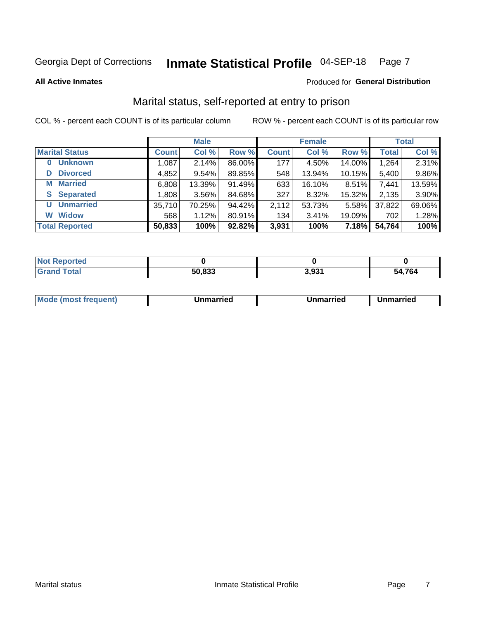#### Inmate Statistical Profile 04-SEP-18 Page 7

**All Active Inmates** 

#### Produced for General Distribution

### Marital status, self-reported at entry to prison

COL % - percent each COUNT is of its particular column

|                            |              | <b>Male</b> |        |              | <b>Female</b> |        |              | <b>Total</b> |
|----------------------------|--------------|-------------|--------|--------------|---------------|--------|--------------|--------------|
| <b>Marital Status</b>      | <b>Count</b> | Col %       | Row %  | <b>Count</b> | Col %         | Row %  | <b>Total</b> | Col %        |
| <b>Unknown</b><br>$\bf{0}$ | 1,087        | 2.14%       | 86.00% | 177          | 4.50%         | 14.00% | 1,264        | 2.31%        |
| <b>Divorced</b><br>D       | 4,852        | 9.54%       | 89.85% | 548          | 13.94%        | 10.15% | 5,400        | 9.86%        |
| <b>Married</b><br>М        | 6,808        | 13.39%      | 91.49% | 633          | 16.10%        | 8.51%  | 7,441        | 13.59%       |
| <b>Separated</b><br>S.     | 1,808        | $3.56\%$    | 84.68% | 327          | 8.32%         | 15.32% | 2,135        | 3.90%        |
| <b>Unmarried</b><br>U      | 35,710       | 70.25%      | 94.42% | 2,112        | 53.73%        | 5.58%  | 37,822       | 69.06%       |
| <b>Widow</b><br>W          | 568          | 1.12%       | 80.91% | 134          | 3.41%         | 19.09% | 702          | 1.28%        |
| <b>Total Reported</b>      | 50,833       | 100%        | 92.82% | 3,931        | 100%          | 7.18%  | 54,764       | 100%         |

| N <sub>of</sub><br>norted |        |             |            |
|---------------------------|--------|-------------|------------|
| <b>Total</b>              | 50,833 | co.<br>טעוט | .764<br>^^ |

|--|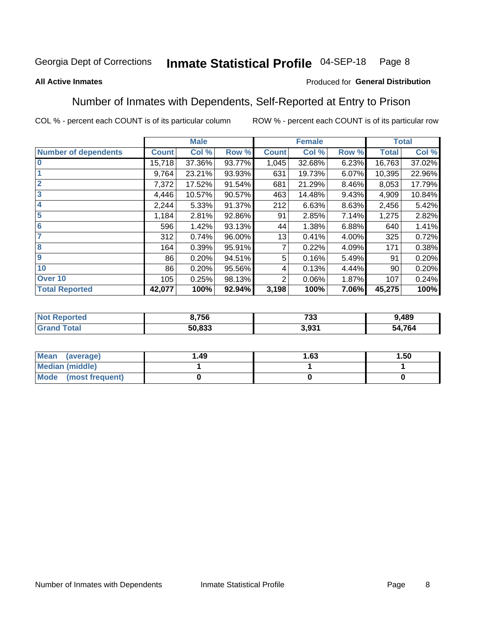#### Inmate Statistical Profile 04-SEP-18 Page 8

#### **All Active Inmates**

#### Produced for General Distribution

### Number of Inmates with Dependents, Self-Reported at Entry to Prison

COL % - percent each COUNT is of its particular column

|                             |              | <b>Male</b> |        |              | <b>Female</b> |       |              | <b>Total</b> |
|-----------------------------|--------------|-------------|--------|--------------|---------------|-------|--------------|--------------|
| <b>Number of dependents</b> | <b>Count</b> | Col %       | Row %  | <b>Count</b> | Col %         | Row % | <b>Total</b> | Col %        |
| l 0                         | 15,718       | 37.36%      | 93.77% | 1,045        | 32.68%        | 6.23% | 16,763       | 37.02%       |
|                             | 9,764        | 23.21%      | 93.93% | 631          | 19.73%        | 6.07% | 10,395       | 22.96%       |
| $\overline{2}$              | 7,372        | 17.52%      | 91.54% | 681          | 21.29%        | 8.46% | 8,053        | 17.79%       |
| $\overline{\mathbf{3}}$     | 4,446        | 10.57%      | 90.57% | 463          | 14.48%        | 9.43% | 4,909        | 10.84%       |
| 4                           | 2,244        | 5.33%       | 91.37% | 212          | 6.63%         | 8.63% | 2,456        | 5.42%        |
| 5                           | 1,184        | 2.81%       | 92.86% | 91           | 2.85%         | 7.14% | 1,275        | 2.82%        |
| 6                           | 596          | 1.42%       | 93.13% | 44           | 1.38%         | 6.88% | 640          | 1.41%        |
| 7                           | 312          | 0.74%       | 96.00% | 13           | 0.41%         | 4.00% | 325          | 0.72%        |
| 8                           | 164          | 0.39%       | 95.91% |              | 0.22%         | 4.09% | 171          | 0.38%        |
| 9                           | 86           | 0.20%       | 94.51% | 5            | 0.16%         | 5.49% | 91           | 0.20%        |
| 10                          | 86           | 0.20%       | 95.56% | 4            | 0.13%         | 4.44% | 90           | 0.20%        |
| Over 10                     | 105          | 0.25%       | 98.13% | 2            | 0.06%         | 1.87% | 107          | 0.24%        |
| <b>Total Reported</b>       | 42,077       | 100%        | 92.94% | 3,198        | 100%          | 7.06% | 45,275       | 100%         |

| 3,756          | フクク<br>دد ا | 9,489  |
|----------------|-------------|--------|
| 50.833<br>.833 | 021<br>J.JJ | 54,764 |

| Mean (average)          | 1.49 | 1.63 | 1.50 |
|-------------------------|------|------|------|
| Median (middle)         |      |      |      |
| Mode<br>(most frequent) |      |      |      |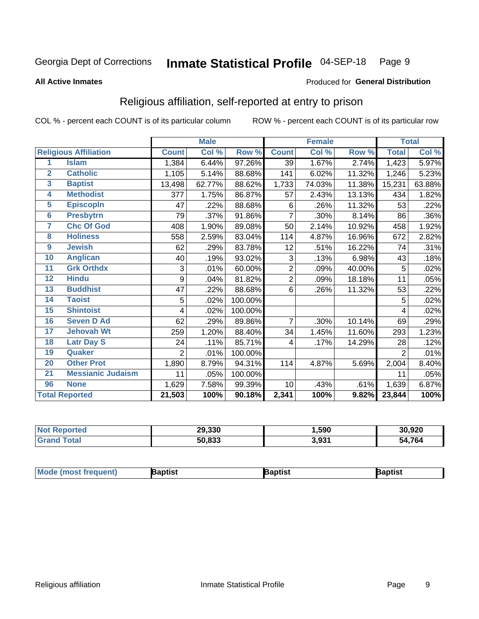#### Inmate Statistical Profile 04-SEP-18 Page 9

#### **All Active Inmates**

#### Produced for General Distribution

### Religious affiliation, self-reported at entry to prison

COL % - percent each COUNT is of its particular column

|                  |                              |                | <b>Male</b> |         |                | <b>Female</b> |        |                     | <b>Total</b> |
|------------------|------------------------------|----------------|-------------|---------|----------------|---------------|--------|---------------------|--------------|
|                  | <b>Religious Affiliation</b> | <b>Count</b>   | Col %       | Row %   | <b>Count</b>   | Col %         | Row %  | <b>Total</b>        | Col %        |
| 1                | <b>Islam</b>                 | 1,384          | 6.44%       | 97.26%  | 39             | 1.67%         | 2.74%  | 1,423               | 5.97%        |
| $\overline{2}$   | <b>Catholic</b>              | 1,105          | 5.14%       | 88.68%  | 141            | 6.02%         | 11.32% | 1,246               | 5.23%        |
| 3                | <b>Baptist</b>               | 13,498         | 62.77%      | 88.62%  | 1,733          | 74.03%        | 11.38% | 15,231              | 63.88%       |
| 4                | <b>Methodist</b>             | 377            | 1.75%       | 86.87%  | 57             | 2.43%         | 13.13% | 434                 | 1.82%        |
| $\overline{5}$   | <b>EpiscopIn</b>             | 47             | .22%        | 88.68%  | 6              | .26%          | 11.32% | 53                  | .22%         |
| $6\phantom{a}$   | <b>Presbytrn</b>             | 79             | .37%        | 91.86%  | 7              | .30%          | 8.14%  | 86                  | .36%         |
| 7                | <b>Chc Of God</b>            | 408            | 1.90%       | 89.08%  | 50             | 2.14%         | 10.92% | 458                 | 1.92%        |
| 8                | <b>Holiness</b>              | 558            | 2.59%       | 83.04%  | 114            | 4.87%         | 16.96% | 672                 | 2.82%        |
| $\boldsymbol{9}$ | <b>Jewish</b>                | 62             | .29%        | 83.78%  | 12             | .51%          | 16.22% | 74                  | .31%         |
| 10               | <b>Anglican</b>              | 40             | .19%        | 93.02%  | 3              | .13%          | 6.98%  | 43                  | .18%         |
| 11               | <b>Grk Orthdx</b>            | 3              | .01%        | 60.00%  | 2              | .09%          | 40.00% | 5                   | .02%         |
| 12               | <b>Hindu</b>                 | 9              | .04%        | 81.82%  | $\overline{2}$ | .09%          | 18.18% | 11                  | .05%         |
| 13               | <b>Buddhist</b>              | 47             | .22%        | 88.68%  | 6              | .26%          | 11.32% | 53                  | .22%         |
| 14               | <b>Taoist</b>                | 5              | .02%        | 100.00% |                |               |        | 5                   | .02%         |
| 15               | <b>Shintoist</b>             | 4              | .02%        | 100.00% |                |               |        | 4                   | .02%         |
| 16               | <b>Seven D Ad</b>            | 62             | .29%        | 89.86%  | 7              | .30%          | 10.14% | 69                  | .29%         |
| 17               | <b>Jehovah Wt</b>            | 259            | 1.20%       | 88.40%  | 34             | 1.45%         | 11.60% | 293                 | 1.23%        |
| 18               | <b>Latr Day S</b>            | 24             | .11%        | 85.71%  | 4              | .17%          | 14.29% | 28                  | .12%         |
| 19               | Quaker                       | $\overline{2}$ | .01%        | 100.00% |                |               |        | 2                   | .01%         |
| 20               | <b>Other Prot</b>            | 1,890          | 8.79%       | 94.31%  | 114            | 4.87%         | 5.69%  | 2,004               | 8.40%        |
| $\overline{21}$  | <b>Messianic Judaism</b>     | 11             | .05%        | 100.00% |                |               |        | 11                  | .05%         |
| 96               | <b>None</b>                  | 1,629          | 7.58%       | 99.39%  | 10             | .43%          | .61%   | 1,639               | 6.87%        |
|                  | <b>Total Reported</b>        | 21,503         | 100%        | 90.18%  | 2,341          | 100%          | 9.82%  | $\overline{23,844}$ | 100%         |

|                       | 29,330 | ,590            | 30,920      |
|-----------------------|--------|-----------------|-------------|
| $f \wedge f \wedge f$ | 50,833 | 2.024<br>J.JJ I | 4,764<br>מר |

| <b>Mode (most frequent)</b> | <b>Japtist</b> | Baptist | Baptist |
|-----------------------------|----------------|---------|---------|
|-----------------------------|----------------|---------|---------|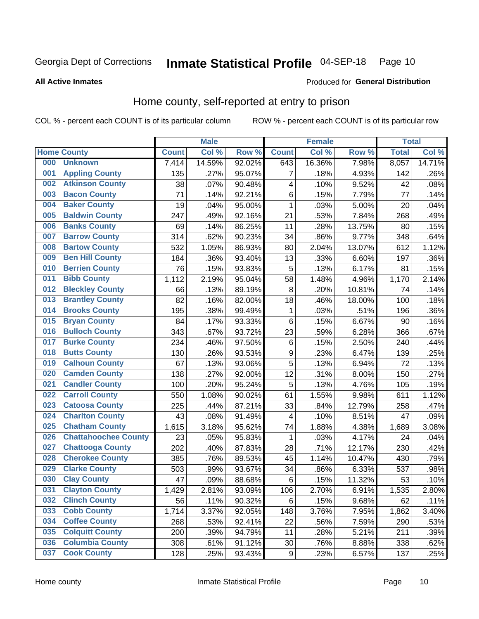#### Inmate Statistical Profile 04-SEP-18 Page 10

**All Active Inmates** 

#### Produced for General Distribution

#### Home county, self-reported at entry to prison

COL % - percent each COUNT is of its particular column

|     |                             |              | <b>Male</b> |        |                  | <b>Female</b> |        | <b>Total</b> |        |
|-----|-----------------------------|--------------|-------------|--------|------------------|---------------|--------|--------------|--------|
|     | <b>Home County</b>          | <b>Count</b> | Col %       | Row %  | <b>Count</b>     | Col %         | Row %  | <b>Total</b> | Col %  |
| 000 | <b>Unknown</b>              | 7,414        | 14.59%      | 92.02% | 643              | 16.36%        | 7.98%  | 8,057        | 14.71% |
| 001 | <b>Appling County</b>       | 135          | .27%        | 95.07% | $\overline{7}$   | .18%          | 4.93%  | 142          | .26%   |
| 002 | <b>Atkinson County</b>      | 38           | .07%        | 90.48% | 4                | .10%          | 9.52%  | 42           | .08%   |
| 003 | <b>Bacon County</b>         | 71           | .14%        | 92.21% | $\,6$            | .15%          | 7.79%  | 77           | .14%   |
| 004 | <b>Baker County</b>         | 19           | .04%        | 95.00% | 1                | .03%          | 5.00%  | 20           | .04%   |
| 005 | <b>Baldwin County</b>       | 247          | .49%        | 92.16% | 21               | .53%          | 7.84%  | 268          | .49%   |
| 006 | <b>Banks County</b>         | 69           | .14%        | 86.25% | 11               | .28%          | 13.75% | 80           | .15%   |
| 007 | <b>Barrow County</b>        | 314          | .62%        | 90.23% | 34               | .86%          | 9.77%  | 348          | .64%   |
| 008 | <b>Bartow County</b>        | 532          | 1.05%       | 86.93% | 80               | 2.04%         | 13.07% | 612          | 1.12%  |
| 009 | <b>Ben Hill County</b>      | 184          | .36%        | 93.40% | 13               | .33%          | 6.60%  | 197          | .36%   |
| 010 | <b>Berrien County</b>       | 76           | .15%        | 93.83% | 5                | .13%          | 6.17%  | 81           | .15%   |
| 011 | <b>Bibb County</b>          | 1,112        | 2.19%       | 95.04% | 58               | 1.48%         | 4.96%  | 1,170        | 2.14%  |
| 012 | <b>Bleckley County</b>      | 66           | .13%        | 89.19% | $\bf 8$          | .20%          | 10.81% | 74           | .14%   |
| 013 | <b>Brantley County</b>      | 82           | .16%        | 82.00% | 18               | .46%          | 18.00% | 100          | .18%   |
| 014 | <b>Brooks County</b>        | 195          | .38%        | 99.49% | 1                | .03%          | .51%   | 196          | .36%   |
| 015 | <b>Bryan County</b>         | 84           | .17%        | 93.33% | $\,6$            | .15%          | 6.67%  | 90           | .16%   |
| 016 | <b>Bulloch County</b>       | 343          | .67%        | 93.72% | 23               | .59%          | 6.28%  | 366          | .67%   |
| 017 | <b>Burke County</b>         | 234          | .46%        | 97.50% | $\,6$            | .15%          | 2.50%  | 240          | .44%   |
| 018 | <b>Butts County</b>         | 130          | .26%        | 93.53% | $\boldsymbol{9}$ | .23%          | 6.47%  | 139          | .25%   |
| 019 | <b>Calhoun County</b>       | 67           | .13%        | 93.06% | 5                | .13%          | 6.94%  | 72           | .13%   |
| 020 | <b>Camden County</b>        | 138          | .27%        | 92.00% | 12               | .31%          | 8.00%  | 150          | .27%   |
| 021 | <b>Candler County</b>       | 100          | .20%        | 95.24% | 5                | .13%          | 4.76%  | 105          | .19%   |
| 022 | <b>Carroll County</b>       | 550          | 1.08%       | 90.02% | 61               | 1.55%         | 9.98%  | 611          | 1.12%  |
| 023 | <b>Catoosa County</b>       | 225          | .44%        | 87.21% | 33               | .84%          | 12.79% | 258          | .47%   |
| 024 | <b>Charlton County</b>      | 43           | .08%        | 91.49% | 4                | .10%          | 8.51%  | 47           | .09%   |
| 025 | <b>Chatham County</b>       | 1,615        | 3.18%       | 95.62% | 74               | 1.88%         | 4.38%  | 1,689        | 3.08%  |
| 026 | <b>Chattahoochee County</b> | 23           | .05%        | 95.83% | 1                | .03%          | 4.17%  | 24           | .04%   |
| 027 | <b>Chattooga County</b>     | 202          | .40%        | 87.83% | 28               | .71%          | 12.17% | 230          | .42%   |
| 028 | <b>Cherokee County</b>      | 385          | .76%        | 89.53% | 45               | 1.14%         | 10.47% | 430          | .79%   |
| 029 | <b>Clarke County</b>        | 503          | .99%        | 93.67% | 34               | .86%          | 6.33%  | 537          | .98%   |
| 030 | <b>Clay County</b>          | 47           | .09%        | 88.68% | $\,6$            | .15%          | 11.32% | 53           | .10%   |
| 031 | <b>Clayton County</b>       | 1,429        | 2.81%       | 93.09% | 106              | 2.70%         | 6.91%  | 1,535        | 2.80%  |
| 032 | <b>Clinch County</b>        | 56           | .11%        | 90.32% | 6                | .15%          | 9.68%  | 62           | .11%   |
| 033 | <b>Cobb County</b>          | 1,714        | 3.37%       | 92.05% | 148              | 3.76%         | 7.95%  | 1,862        | 3.40%  |
| 034 | <b>Coffee County</b>        | 268          | .53%        | 92.41% | 22               | .56%          | 7.59%  | 290          | .53%   |
| 035 | <b>Colquitt County</b>      | 200          | .39%        | 94.79% | 11               | .28%          | 5.21%  | 211          | .39%   |
| 036 | <b>Columbia County</b>      | 308          | .61%        | 91.12% | 30               | .76%          | 8.88%  | 338          | .62%   |
| 037 | <b>Cook County</b>          | 128          | .25%        | 93.43% | $\boldsymbol{9}$ | .23%          | 6.57%  | 137          | .25%   |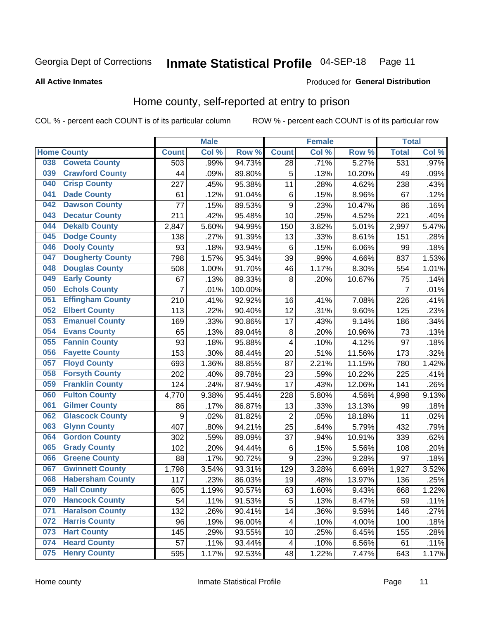#### Inmate Statistical Profile 04-SEP-18 Page 11

#### **All Active Inmates**

## Produced for General Distribution

### Home county, self-reported at entry to prison

COL % - percent each COUNT is of its particular column

|     |                         |                  | <b>Male</b> |         |                         | <b>Female</b> |        | <b>Total</b>   |         |
|-----|-------------------------|------------------|-------------|---------|-------------------------|---------------|--------|----------------|---------|
|     | <b>Home County</b>      | <b>Count</b>     | Col %       | Row %   | <b>Count</b>            | Col %         | Row %  | <b>Total</b>   | Col %   |
| 038 | <b>Coweta County</b>    | 503              | .99%        | 94.73%  | $\overline{28}$         | .71%          | 5.27%  | 531            | $.97\%$ |
| 039 | <b>Crawford County</b>  | 44               | .09%        | 89.80%  | 5                       | .13%          | 10.20% | 49             | .09%    |
| 040 | <b>Crisp County</b>     | 227              | .45%        | 95.38%  | 11                      | .28%          | 4.62%  | 238            | .43%    |
| 041 | <b>Dade County</b>      | 61               | .12%        | 91.04%  | 6                       | .15%          | 8.96%  | 67             | .12%    |
| 042 | <b>Dawson County</b>    | 77               | .15%        | 89.53%  | 9                       | .23%          | 10.47% | 86             | .16%    |
| 043 | <b>Decatur County</b>   | 211              | .42%        | 95.48%  | 10                      | .25%          | 4.52%  | 221            | .40%    |
| 044 | <b>Dekalb County</b>    | 2,847            | 5.60%       | 94.99%  | 150                     | 3.82%         | 5.01%  | 2,997          | 5.47%   |
| 045 | <b>Dodge County</b>     | 138              | .27%        | 91.39%  | 13                      | .33%          | 8.61%  | 151            | .28%    |
| 046 | <b>Dooly County</b>     | 93               | .18%        | 93.94%  | 6                       | .15%          | 6.06%  | 99             | .18%    |
| 047 | <b>Dougherty County</b> | 798              | 1.57%       | 95.34%  | 39                      | .99%          | 4.66%  | 837            | 1.53%   |
| 048 | <b>Douglas County</b>   | 508              | 1.00%       | 91.70%  | 46                      | 1.17%         | 8.30%  | 554            | 1.01%   |
| 049 | <b>Early County</b>     | 67               | .13%        | 89.33%  | 8                       | .20%          | 10.67% | 75             | .14%    |
| 050 | <b>Echols County</b>    | $\overline{7}$   | .01%        | 100.00% |                         |               |        | $\overline{7}$ | .01%    |
| 051 | <b>Effingham County</b> | 210              | .41%        | 92.92%  | 16                      | .41%          | 7.08%  | 226            | .41%    |
| 052 | <b>Elbert County</b>    | 113              | .22%        | 90.40%  | 12                      | .31%          | 9.60%  | 125            | .23%    |
| 053 | <b>Emanuel County</b>   | 169              | .33%        | 90.86%  | 17                      | .43%          | 9.14%  | 186            | .34%    |
| 054 | <b>Evans County</b>     | 65               | .13%        | 89.04%  | 8                       | .20%          | 10.96% | 73             | .13%    |
| 055 | <b>Fannin County</b>    | 93               | .18%        | 95.88%  | 4                       | .10%          | 4.12%  | 97             | .18%    |
| 056 | <b>Fayette County</b>   | 153              | .30%        | 88.44%  | 20                      | .51%          | 11.56% | 173            | .32%    |
| 057 | <b>Floyd County</b>     | 693              | 1.36%       | 88.85%  | 87                      | 2.21%         | 11.15% | 780            | 1.42%   |
| 058 | <b>Forsyth County</b>   | 202              | .40%        | 89.78%  | 23                      | .59%          | 10.22% | 225            | .41%    |
| 059 | <b>Franklin County</b>  | 124              | .24%        | 87.94%  | 17                      | .43%          | 12.06% | 141            | .26%    |
| 060 | <b>Fulton County</b>    | 4,770            | 9.38%       | 95.44%  | 228                     | 5.80%         | 4.56%  | 4,998          | 9.13%   |
| 061 | <b>Gilmer County</b>    | 86               | .17%        | 86.87%  | 13                      | .33%          | 13.13% | 99             | .18%    |
| 062 | <b>Glascock County</b>  | $\boldsymbol{9}$ | .02%        | 81.82%  | $\overline{2}$          | .05%          | 18.18% | 11             | .02%    |
| 063 | <b>Glynn County</b>     | 407              | .80%        | 94.21%  | 25                      | .64%          | 5.79%  | 432            | .79%    |
| 064 | <b>Gordon County</b>    | 302              | .59%        | 89.09%  | 37                      | .94%          | 10.91% | 339            | .62%    |
| 065 | <b>Grady County</b>     | 102              | .20%        | 94.44%  | 6                       | .15%          | 5.56%  | 108            | .20%    |
| 066 | <b>Greene County</b>    | 88               | .17%        | 90.72%  | 9                       | .23%          | 9.28%  | 97             | .18%    |
| 067 | <b>Gwinnett County</b>  | 1,798            | 3.54%       | 93.31%  | 129                     | 3.28%         | 6.69%  | 1,927          | 3.52%   |
| 068 | <b>Habersham County</b> | 117              | .23%        | 86.03%  | 19                      | .48%          | 13.97% | 136            | .25%    |
| 069 | <b>Hall County</b>      | 605              | 1.19%       | 90.57%  | 63                      | 1.60%         | 9.43%  | 668            | 1.22%   |
| 070 | <b>Hancock County</b>   | 54               | .11%        | 91.53%  | 5                       | .13%          | 8.47%  | 59             | .11%    |
| 071 | <b>Haralson County</b>  | 132              | .26%        | 90.41%  | 14                      | .36%          | 9.59%  | 146            | .27%    |
| 072 | <b>Harris County</b>    | 96               | .19%        | 96.00%  | $\overline{\mathbf{4}}$ | .10%          | 4.00%  | 100            | .18%    |
| 073 | <b>Hart County</b>      | 145              | .29%        | 93.55%  | 10                      | .25%          | 6.45%  | 155            | .28%    |
| 074 | <b>Heard County</b>     | 57               | .11%        | 93.44%  | $\overline{\mathbf{4}}$ | .10%          | 6.56%  | 61             | .11%    |
| 075 | <b>Henry County</b>     | 595              | 1.17%       | 92.53%  | 48                      | 1.22%         | 7.47%  | 643            | 1.17%   |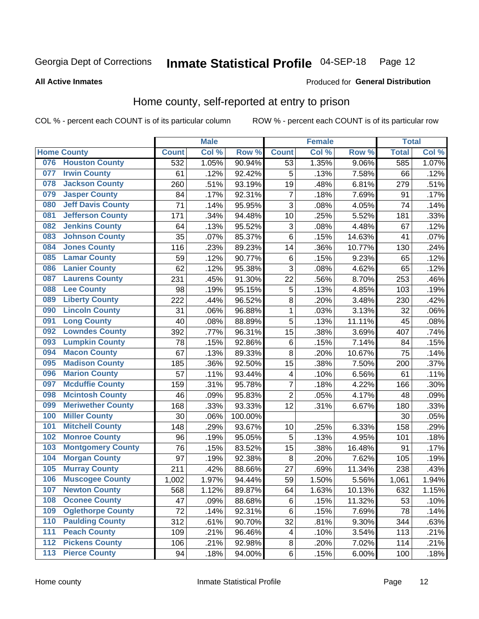#### Inmate Statistical Profile 04-SEP-18 Page 12

#### **All Active Inmates**

#### Produced for General Distribution

### Home county, self-reported at entry to prison

COL % - percent each COUNT is of its particular column

|                  |                          |              | <b>Male</b> |                  |                | <b>Female</b> |        | <b>Total</b> |       |
|------------------|--------------------------|--------------|-------------|------------------|----------------|---------------|--------|--------------|-------|
|                  | <b>Home County</b>       | <b>Count</b> | Col %       | Row <sup>%</sup> | <b>Count</b>   | Col %         | Row %  | <b>Total</b> | Col % |
| 076              | <b>Houston County</b>    | 532          | 1.05%       | 90.94%           | 53             | 1.35%         | 9.06%  | 585          | 1.07% |
| 077              | <b>Irwin County</b>      | 61           | .12%        | 92.42%           | 5              | .13%          | 7.58%  | 66           | .12%  |
| 078              | <b>Jackson County</b>    | 260          | .51%        | 93.19%           | 19             | .48%          | 6.81%  | 279          | .51%  |
| 079              | <b>Jasper County</b>     | 84           | .17%        | 92.31%           | $\overline{7}$ | .18%          | 7.69%  | 91           | .17%  |
| 080              | <b>Jeff Davis County</b> | 71           | .14%        | 95.95%           | 3              | .08%          | 4.05%  | 74           | .14%  |
| 081              | <b>Jefferson County</b>  | 171          | .34%        | 94.48%           | 10             | .25%          | 5.52%  | 181          | .33%  |
| 082              | <b>Jenkins County</b>    | 64           | .13%        | 95.52%           | 3              | .08%          | 4.48%  | 67           | .12%  |
| 083              | <b>Johnson County</b>    | 35           | .07%        | 85.37%           | 6              | .15%          | 14.63% | 41           | .07%  |
| 084              | <b>Jones County</b>      | 116          | .23%        | 89.23%           | 14             | .36%          | 10.77% | 130          | .24%  |
| 085              | <b>Lamar County</b>      | 59           | .12%        | 90.77%           | $\,6$          | .15%          | 9.23%  | 65           | .12%  |
| 086              | <b>Lanier County</b>     | 62           | .12%        | 95.38%           | 3              | .08%          | 4.62%  | 65           | .12%  |
| 087              | <b>Laurens County</b>    | 231          | .45%        | 91.30%           | 22             | .56%          | 8.70%  | 253          | .46%  |
| 088              | <b>Lee County</b>        | 98           | .19%        | 95.15%           | 5              | .13%          | 4.85%  | 103          | .19%  |
| 089              | <b>Liberty County</b>    | 222          | .44%        | 96.52%           | 8              | .20%          | 3.48%  | 230          | .42%  |
| 090              | <b>Lincoln County</b>    | 31           | .06%        | 96.88%           | 1              | .03%          | 3.13%  | 32           | .06%  |
| 091              | <b>Long County</b>       | 40           | .08%        | 88.89%           | 5              | .13%          | 11.11% | 45           | .08%  |
| 092              | <b>Lowndes County</b>    | 392          | .77%        | 96.31%           | 15             | .38%          | 3.69%  | 407          | .74%  |
| 093              | <b>Lumpkin County</b>    | 78           | .15%        | 92.86%           | $\,6$          | .15%          | 7.14%  | 84           | .15%  |
| 094              | <b>Macon County</b>      | 67           | .13%        | 89.33%           | 8              | .20%          | 10.67% | 75           | .14%  |
| 095              | <b>Madison County</b>    | 185          | .36%        | 92.50%           | 15             | .38%          | 7.50%  | 200          | .37%  |
| 096              | <b>Marion County</b>     | 57           | .11%        | 93.44%           | 4              | .10%          | 6.56%  | 61           | .11%  |
| 097              | <b>Mcduffie County</b>   | 159          | .31%        | 95.78%           | 7              | .18%          | 4.22%  | 166          | .30%  |
| 098              | <b>Mcintosh County</b>   | 46           | .09%        | 95.83%           | $\overline{2}$ | .05%          | 4.17%  | 48           | .09%  |
| 099              | <b>Meriwether County</b> | 168          | .33%        | 93.33%           | 12             | .31%          | 6.67%  | 180          | .33%  |
| 100              | <b>Miller County</b>     | 30           | .06%        | 100.00%          |                |               |        | 30           | .05%  |
| 101              | <b>Mitchell County</b>   | 148          | .29%        | 93.67%           | 10             | .25%          | 6.33%  | 158          | .29%  |
| 102              | <b>Monroe County</b>     | 96           | .19%        | 95.05%           | 5              | .13%          | 4.95%  | 101          | .18%  |
| 103              | <b>Montgomery County</b> | 76           | .15%        | 83.52%           | 15             | .38%          | 16.48% | 91           | .17%  |
| 104              | <b>Morgan County</b>     | 97           | .19%        | 92.38%           | 8              | .20%          | 7.62%  | 105          | .19%  |
| 105              | <b>Murray County</b>     | 211          | .42%        | 88.66%           | 27             | .69%          | 11.34% | 238          | .43%  |
| 106              | <b>Muscogee County</b>   | 1,002        | 1.97%       | 94.44%           | 59             | 1.50%         | 5.56%  | 1,061        | 1.94% |
| 107              | <b>Newton County</b>     | 568          | 1.12%       | 89.87%           | 64             | 1.63%         | 10.13% | 632          | 1.15% |
| 108              | <b>Oconee County</b>     | 47           | .09%        | 88.68%           | 6              | .15%          | 11.32% | 53           | .10%  |
| 109              | <b>Oglethorpe County</b> | 72           | .14%        | 92.31%           | 6              | .15%          | 7.69%  | 78           | .14%  |
| 110              | <b>Paulding County</b>   | 312          | .61%        | 90.70%           | 32             | .81%          | 9.30%  | 344          | .63%  |
| 111              | <b>Peach County</b>      | 109          | .21%        | 96.46%           | 4              | .10%          | 3.54%  | 113          | .21%  |
| $\overline{112}$ | <b>Pickens County</b>    | 106          | .21%        | 92.98%           | $\bf 8$        | .20%          | 7.02%  | 114          | .21%  |
| 113              | <b>Pierce County</b>     | 94           | .18%        | 94.00%           | $\,6$          | .15%          | 6.00%  | 100          | .18%  |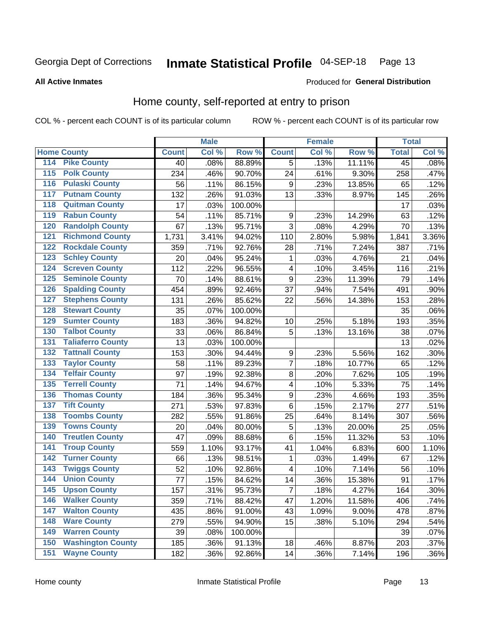#### Inmate Statistical Profile 04-SEP-18 Page 13

#### **All Active Inmates**

#### Produced for General Distribution

### Home county, self-reported at entry to prison

COL % - percent each COUNT is of its particular column

|                    |                          |              | <b>Male</b> |                  |                  | <b>Female</b> |        | <b>Total</b>    |         |
|--------------------|--------------------------|--------------|-------------|------------------|------------------|---------------|--------|-----------------|---------|
| <b>Home County</b> |                          | <b>Count</b> | Col %       | Row <sup>%</sup> | <b>Count</b>     | Col %         | Row %  | <b>Total</b>    | Col %   |
| 114                | <b>Pike County</b>       | 40           | .08%        | 88.89%           | 5                | .13%          | 11.11% | $\overline{45}$ | .08%    |
| 115                | <b>Polk County</b>       | 234          | .46%        | 90.70%           | 24               | .61%          | 9.30%  | 258             | .47%    |
| 116                | <b>Pulaski County</b>    | 56           | .11%        | 86.15%           | 9                | .23%          | 13.85% | 65              | .12%    |
| 117                | <b>Putnam County</b>     | 132          | .26%        | 91.03%           | 13               | .33%          | 8.97%  | 145             | .26%    |
| 118                | <b>Quitman County</b>    | 17           | .03%        | 100.00%          |                  |               |        | 17              | .03%    |
| 119                | <b>Rabun County</b>      | 54           | .11%        | 85.71%           | $\boldsymbol{9}$ | .23%          | 14.29% | 63              | .12%    |
| 120                | <b>Randolph County</b>   | 67           | .13%        | 95.71%           | $\overline{3}$   | .08%          | 4.29%  | 70              | .13%    |
| 121                | <b>Richmond County</b>   | 1,731        | 3.41%       | 94.02%           | 110              | 2.80%         | 5.98%  | 1,841           | 3.36%   |
| 122                | <b>Rockdale County</b>   | 359          | .71%        | 92.76%           | 28               | .71%          | 7.24%  | 387             | .71%    |
| 123                | <b>Schley County</b>     | 20           | .04%        | 95.24%           | 1                | .03%          | 4.76%  | 21              | .04%    |
| 124                | <b>Screven County</b>    | 112          | .22%        | 96.55%           | $\overline{4}$   | .10%          | 3.45%  | 116             | .21%    |
| 125                | <b>Seminole County</b>   | 70           | .14%        | 88.61%           | 9                | .23%          | 11.39% | 79              | .14%    |
| 126                | <b>Spalding County</b>   | 454          | .89%        | 92.46%           | 37               | .94%          | 7.54%  | 491             | .90%    |
| 127                | <b>Stephens County</b>   | 131          | .26%        | 85.62%           | 22               | .56%          | 14.38% | 153             | .28%    |
| 128                | <b>Stewart County</b>    | 35           | .07%        | 100.00%          |                  |               |        | 35              | .06%    |
| 129                | <b>Sumter County</b>     | 183          | .36%        | 94.82%           | 10               | .25%          | 5.18%  | 193             | .35%    |
| 130                | <b>Talbot County</b>     | 33           | .06%        | 86.84%           | 5                | .13%          | 13.16% | 38              | .07%    |
| 131                | <b>Taliaferro County</b> | 13           | .03%        | 100.00%          |                  |               |        | 13              | .02%    |
| 132                | <b>Tattnall County</b>   | 153          | .30%        | 94.44%           | $\boldsymbol{9}$ | .23%          | 5.56%  | 162             | .30%    |
| 133                | <b>Taylor County</b>     | 58           | .11%        | 89.23%           | $\overline{7}$   | .18%          | 10.77% | 65              | .12%    |
| 134                | <b>Telfair County</b>    | 97           | .19%        | 92.38%           | 8                | .20%          | 7.62%  | 105             | .19%    |
| 135                | <b>Terrell County</b>    | 71           | .14%        | 94.67%           | 4                | .10%          | 5.33%  | 75              | .14%    |
| 136                | <b>Thomas County</b>     | 184          | .36%        | 95.34%           | $\boldsymbol{9}$ | .23%          | 4.66%  | 193             | .35%    |
| 137                | <b>Tift County</b>       | 271          | .53%        | 97.83%           | 6                | .15%          | 2.17%  | 277             | .51%    |
| 138                | <b>Toombs County</b>     | 282          | .55%        | 91.86%           | 25               | .64%          | 8.14%  | 307             | .56%    |
| 139                | <b>Towns County</b>      | 20           | .04%        | 80.00%           | 5                | .13%          | 20.00% | 25              | .05%    |
| 140                | <b>Treutlen County</b>   | 47           | .09%        | 88.68%           | $\,6$            | .15%          | 11.32% | 53              | .10%    |
| 141                | <b>Troup County</b>      | 559          | 1.10%       | 93.17%           | 41               | 1.04%         | 6.83%  | 600             | 1.10%   |
| $\overline{142}$   | <b>Turner County</b>     | 66           | .13%        | 98.51%           | 1                | .03%          | 1.49%  | 67              | .12%    |
| 143                | <b>Twiggs County</b>     | 52           | .10%        | 92.86%           | 4                | .10%          | 7.14%  | 56              | .10%    |
| 144                | <b>Union County</b>      | 77           | .15%        | 84.62%           | 14               | .36%          | 15.38% | 91              | .17%    |
| 145                | <b>Upson County</b>      | 157          | .31%        | 95.73%           | $\overline{7}$   | .18%          | 4.27%  | 164             | .30%    |
| 146                | <b>Walker County</b>     | 359          | .71%        | 88.42%           | 47               | 1.20%         | 11.58% | 406             | .74%    |
| 147                | <b>Walton County</b>     | 435          | .86%        | 91.00%           | 43               | 1.09%         | 9.00%  | 478             | .87%    |
| 148                | <b>Ware County</b>       | 279          | .55%        | 94.90%           | 15               | .38%          | 5.10%  | 294             | .54%    |
| 149                | <b>Warren County</b>     | 39           | .08%        | 100.00%          |                  |               |        | 39              | .07%    |
| 150                | <b>Washington County</b> | 185          | .36%        | 91.13%           | 18               | .46%          | 8.87%  | 203             | .37%    |
| 151                | <b>Wayne County</b>      | 182          | .36%        | 92.86%           | 14               | .36%          | 7.14%  | 196             | $.36\%$ |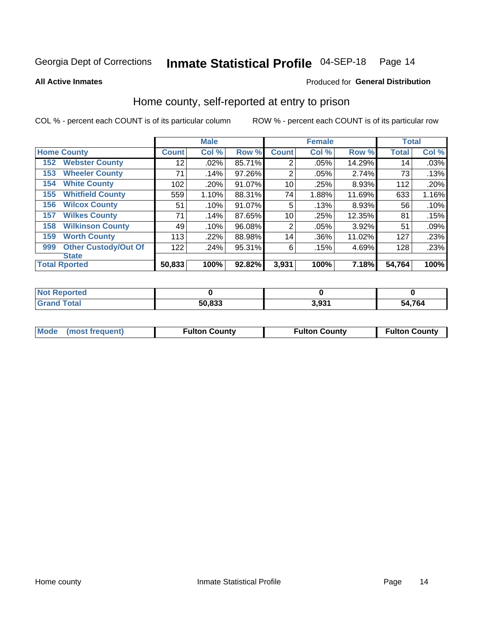## Inmate Statistical Profile 04-SEP-18 Page 14

**All Active Inmates** 

#### Produced for General Distribution

#### Home county, self-reported at entry to prison

COL % - percent each COUNT is of its particular column

|     |                             |                 | <b>Male</b> |        |                | <b>Female</b> |        | <b>Total</b>    |       |
|-----|-----------------------------|-----------------|-------------|--------|----------------|---------------|--------|-----------------|-------|
|     | <b>Home County</b>          | <b>Count</b>    | Col %       | Row %  | <b>Count</b>   | Col %         | Row %  | <b>Total</b>    | Col % |
| 152 | <b>Webster County</b>       | 12 <sub>2</sub> | .02%        | 85.71% | $\overline{2}$ | .05%          | 14.29% | 14 <sub>1</sub> | .03%  |
| 153 | <b>Wheeler County</b>       | 71              | .14%        | 97.26% | 2              | .05%          | 2.74%  | 73              | .13%  |
| 154 | <b>White County</b>         | 102             | .20%        | 91.07% | 10             | .25%          | 8.93%  | 112             | .20%  |
| 155 | <b>Whitfield County</b>     | 559             | 1.10%       | 88.31% | 74             | 1.88%         | 11.69% | 633             | 1.16% |
| 156 | <b>Wilcox County</b>        | 51              | .10%        | 91.07% | 5              | .13%          | 8.93%  | 56              | .10%  |
| 157 | <b>Wilkes County</b>        | 71              | .14%        | 87.65% | 10             | .25%          | 12.35% | 81              | .15%  |
| 158 | <b>Wilkinson County</b>     | 49              | .10%        | 96.08% | $\overline{2}$ | .05%          | 3.92%  | 51              | .09%  |
| 159 | <b>Worth County</b>         | 113             | .22%        | 88.98% | 14             | .36%          | 11.02% | 127             | .23%  |
| 999 | <b>Other Custody/Out Of</b> | 122             | .24%        | 95.31% | 6              | .15%          | 4.69%  | 128             | .23%  |
|     | <b>State</b>                |                 |             |        |                |               |        |                 |       |
|     | <b>Total Rported</b>        | 50,833          | 100%        | 92.82% | 3,931          | 100%          | 7.18%  | 54,764          | 100%  |

| <b>Not</b><br>Reported |        |               |        |
|------------------------|--------|---------------|--------|
| <b>Total</b>           | 50,833 | 2 Q21<br>つっつこ | 54,764 |

|  | Mode (most frequent) | <b>Fulton County</b> | <b>Fulton County</b> | <b>Fulton County</b> |
|--|----------------------|----------------------|----------------------|----------------------|
|--|----------------------|----------------------|----------------------|----------------------|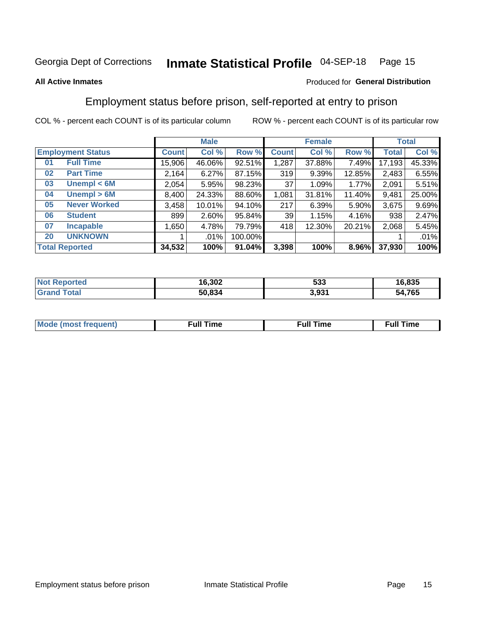#### Inmate Statistical Profile 04-SEP-18 Page 15

#### **All Active Inmates**

#### Produced for General Distribution

### Employment status before prison, self-reported at entry to prison

COL % - percent each COUNT is of its particular column

|                                    |              | <b>Male</b> |         |                 | <b>Female</b> |        |        | <b>Total</b> |
|------------------------------------|--------------|-------------|---------|-----------------|---------------|--------|--------|--------------|
| <b>Employment Status</b>           | <b>Count</b> | Col %       | Row %   | <b>Count</b>    | Col %         | Row %  | Total  | Col %        |
| <b>Full Time</b><br>0 <sub>1</sub> | 15,906       | 46.06%      | 92.51%  | 1,287           | 37.88%        | 7.49%  | 17,193 | 45.33%       |
| <b>Part Time</b><br>02             | 2,164        | 6.27%       | 87.15%  | 319             | 9.39%         | 12.85% | 2,483  | 6.55%        |
| Unempl $<$ 6M<br>03                | 2,054        | 5.95%       | 98.23%  | 37              | 1.09%         | 1.77%  | 2,091  | 5.51%        |
| Unempl > 6M<br>04                  | 8,400        | 24.33%      | 88.60%  | 1,081           | 31.81%        | 11.40% | 9,481  | 25.00%       |
| <b>Never Worked</b><br>05          | 3,458        | 10.01%      | 94.10%  | 217             | 6.39%         | 5.90%  | 3,675  | 9.69%        |
| <b>Student</b><br>06               | 899          | 2.60%       | 95.84%  | 39 <sub>1</sub> | 1.15%         | 4.16%  | 938    | 2.47%        |
| <b>Incapable</b><br>07             | ,650         | 4.78%       | 79.79%  | 418             | 12.30%        | 20.21% | 2,068  | 5.45%        |
| <b>UNKNOWN</b><br>20               |              | .01%        | 100.00% |                 |               |        |        | .01%         |
| <b>Total Reported</b>              | 34,532       | 100%        | 91.04%  | 3,398           | 100%          | 8.96%  | 37,930 | 100%         |

| <b>Not Reported</b> | 16,302 | 533   | 16,835 |
|---------------------|--------|-------|--------|
| <b>Grand Total</b>  | 50,834 | 3,931 | 54,765 |

| <b>Mode (most frequent)</b> | Full Time | <b>Full Time</b> | Time |
|-----------------------------|-----------|------------------|------|
|                             |           |                  |      |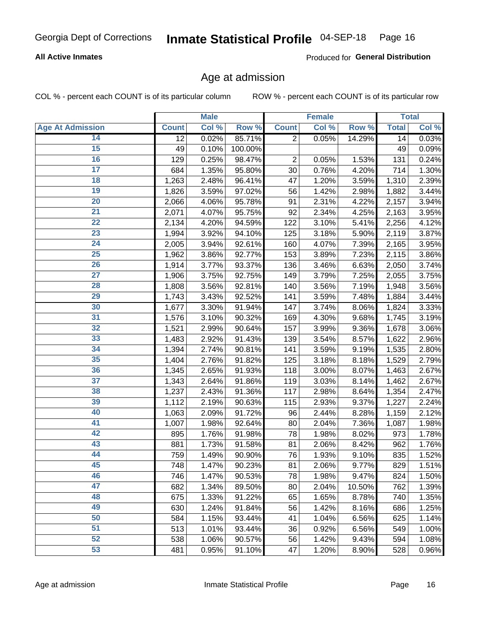#### **All Active Inmates**

Produced for General Distribution

#### Age at admission

COL % - percent each COUNT is of its particular column

|                         |              | <b>Male</b> |         |                | <b>Female</b> |        |              | <b>Total</b> |
|-------------------------|--------------|-------------|---------|----------------|---------------|--------|--------------|--------------|
| <b>Age At Admission</b> | <b>Count</b> | Col %       | Row %   | <b>Count</b>   | Col %         | Row %  | <b>Total</b> | Col %        |
| 14                      | 12           | 0.02%       | 85.71%  | 2              | 0.05%         | 14.29% | 14           | 0.03%        |
| $\overline{15}$         | 49           | 0.10%       | 100.00% |                |               |        | 49           | 0.09%        |
| 16                      | 129          | 0.25%       | 98.47%  | $\overline{2}$ | 0.05%         | 1.53%  | 131          | 0.24%        |
| $\overline{17}$         | 684          | 1.35%       | 95.80%  | 30             | 0.76%         | 4.20%  | 714          | 1.30%        |
| $\overline{18}$         | 1,263        | 2.48%       | 96.41%  | 47             | 1.20%         | 3.59%  | 1,310        | 2.39%        |
| 19                      | 1,826        | 3.59%       | 97.02%  | 56             | 1.42%         | 2.98%  | 1,882        | 3.44%        |
| $\overline{20}$         | 2,066        | 4.06%       | 95.78%  | 91             | 2.31%         | 4.22%  | 2,157        | 3.94%        |
| $\overline{21}$         | 2,071        | 4.07%       | 95.75%  | 92             | 2.34%         | 4.25%  | 2,163        | 3.95%        |
| $\overline{22}$         | 2,134        | 4.20%       | 94.59%  | 122            | 3.10%         | 5.41%  | 2,256        | 4.12%        |
| 23                      | 1,994        | 3.92%       | 94.10%  | 125            | 3.18%         | 5.90%  | 2,119        | 3.87%        |
| $\overline{24}$         | 2,005        | 3.94%       | 92.61%  | 160            | 4.07%         | 7.39%  | 2,165        | 3.95%        |
| 25                      | 1,962        | 3.86%       | 92.77%  | 153            | 3.89%         | 7.23%  | 2,115        | 3.86%        |
| $\overline{26}$         | 1,914        | 3.77%       | 93.37%  | 136            | 3.46%         | 6.63%  | 2,050        | 3.74%        |
| $\overline{27}$         | 1,906        | 3.75%       | 92.75%  | 149            | 3.79%         | 7.25%  | 2,055        | 3.75%        |
| 28                      | 1,808        | 3.56%       | 92.81%  | 140            | 3.56%         | 7.19%  | 1,948        | 3.56%        |
| 29                      | 1,743        | 3.43%       | 92.52%  | 141            | 3.59%         | 7.48%  | 1,884        | 3.44%        |
| 30                      | 1,677        | 3.30%       | 91.94%  | 147            | 3.74%         | 8.06%  | 1,824        | 3.33%        |
| $\overline{31}$         | 1,576        | 3.10%       | 90.32%  | 169            | 4.30%         | 9.68%  | 1,745        | 3.19%        |
| 32                      | 1,521        | 2.99%       | 90.64%  | 157            | 3.99%         | 9.36%  | 1,678        | 3.06%        |
| 33                      | 1,483        | 2.92%       | 91.43%  | 139            | 3.54%         | 8.57%  | 1,622        | 2.96%        |
| 34                      | 1,394        | 2.74%       | 90.81%  | 141            | 3.59%         | 9.19%  | 1,535        | 2.80%        |
| 35                      | 1,404        | 2.76%       | 91.82%  | 125            | 3.18%         | 8.18%  | 1,529        | 2.79%        |
| 36                      | 1,345        | 2.65%       | 91.93%  | 118            | 3.00%         | 8.07%  | 1,463        | 2.67%        |
| $\overline{37}$         | 1,343        | 2.64%       | 91.86%  | 119            | 3.03%         | 8.14%  | 1,462        | 2.67%        |
| 38                      | 1,237        | 2.43%       | 91.36%  | 117            | 2.98%         | 8.64%  | 1,354        | 2.47%        |
| 39                      | 1,112        | 2.19%       | 90.63%  | 115            | 2.93%         | 9.37%  | 1,227        | 2.24%        |
| 40                      | 1,063        | 2.09%       | 91.72%  | 96             | 2.44%         | 8.28%  | 1,159        | 2.12%        |
| 41                      | 1,007        | 1.98%       | 92.64%  | 80             | 2.04%         | 7.36%  | 1,087        | 1.98%        |
| 42                      | 895          | 1.76%       | 91.98%  | 78             | 1.98%         | 8.02%  | 973          | 1.78%        |
| 43                      | 881          | 1.73%       | 91.58%  | 81             | 2.06%         | 8.42%  | 962          | 1.76%        |
| 44                      | 759          | 1.49%       | 90.90%  | 76             | 1.93%         | 9.10%  | 835          | 1.52%        |
| 45                      | 748          | 1.47%       | 90.23%  | 81             | 2.06%         | 9.77%  | 829          | 1.51%        |
| 46                      | 746          | 1.47%       | 90.53%  | 78             | 1.98%         | 9.47%  | 824          | 1.50%        |
| 47                      | 682          | 1.34%       | 89.50%  | 80             | 2.04%         | 10.50% | 762          | 1.39%        |
| 48                      | 675          | 1.33%       | 91.22%  | 65             | 1.65%         | 8.78%  | 740          | 1.35%        |
| 49                      | 630          | 1.24%       | 91.84%  | 56             | 1.42%         | 8.16%  | 686          | 1.25%        |
| 50                      | 584          | 1.15%       | 93.44%  | 41             | 1.04%         | 6.56%  | 625          | 1.14%        |
| 51                      | 513          | 1.01%       | 93.44%  | 36             | 0.92%         | 6.56%  | 549          | 1.00%        |
| 52                      | 538          | 1.06%       | 90.57%  | 56             | 1.42%         | 9.43%  | 594          | 1.08%        |
| 53                      | 481          | 0.95%       | 91.10%  | 47             | 1.20%         | 8.90%  | 528          | 0.96%        |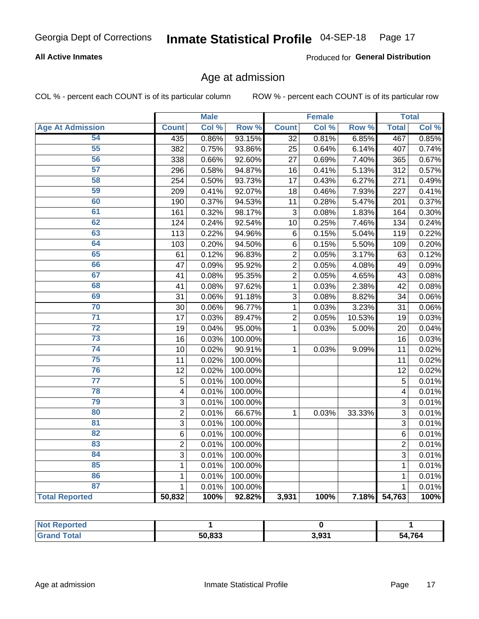#### **All Active Inmates**

Produced for General Distribution

## Age at admission

COL % - percent each COUNT is of its particular column

|                         |                         | <b>Male</b> |         |                 | <b>Female</b> |        |                | <b>Total</b> |
|-------------------------|-------------------------|-------------|---------|-----------------|---------------|--------|----------------|--------------|
| <b>Age At Admission</b> | <b>Count</b>            | Col %       | Row %   | <b>Count</b>    | Col %         | Row %  | <b>Total</b>   | Col %        |
| 54                      | 435                     | 0.86%       | 93.15%  | $\overline{32}$ | 0.81%         | 6.85%  | 467            | 0.85%        |
| 55                      | 382                     | 0.75%       | 93.86%  | 25              | 0.64%         | 6.14%  | 407            | 0.74%        |
| 56                      | 338                     | 0.66%       | 92.60%  | 27              | 0.69%         | 7.40%  | 365            | 0.67%        |
| 57                      | 296                     | 0.58%       | 94.87%  | 16              | 0.41%         | 5.13%  | 312            | 0.57%        |
| 58                      | 254                     | 0.50%       | 93.73%  | 17              | 0.43%         | 6.27%  | 271            | 0.49%        |
| 59                      | 209                     | 0.41%       | 92.07%  | 18              | 0.46%         | 7.93%  | 227            | 0.41%        |
| 60                      | 190                     | 0.37%       | 94.53%  | 11              | 0.28%         | 5.47%  | 201            | 0.37%        |
| 61                      | 161                     | 0.32%       | 98.17%  | 3               | 0.08%         | 1.83%  | 164            | 0.30%        |
| 62                      | 124                     | 0.24%       | 92.54%  | 10              | 0.25%         | 7.46%  | 134            | 0.24%        |
| 63                      | 113                     | 0.22%       | 94.96%  | $\,6$           | 0.15%         | 5.04%  | 119            | 0.22%        |
| 64                      | 103                     | 0.20%       | 94.50%  | $\,6$           | 0.15%         | 5.50%  | 109            | 0.20%        |
| 65                      | 61                      | 0.12%       | 96.83%  | $\overline{2}$  | 0.05%         | 3.17%  | 63             | 0.12%        |
| 66                      | 47                      | 0.09%       | 95.92%  | $\overline{2}$  | 0.05%         | 4.08%  | 49             | 0.09%        |
| 67                      | 41                      | 0.08%       | 95.35%  | $\overline{2}$  | 0.05%         | 4.65%  | 43             | 0.08%        |
| 68                      | 41                      | 0.08%       | 97.62%  | 1               | 0.03%         | 2.38%  | 42             | 0.08%        |
| 69                      | 31                      | 0.06%       | 91.18%  | 3               | 0.08%         | 8.82%  | 34             | 0.06%        |
| 70                      | 30                      | 0.06%       | 96.77%  | 1               | 0.03%         | 3.23%  | 31             | 0.06%        |
| $\overline{71}$         | 17                      | 0.03%       | 89.47%  | $\overline{2}$  | 0.05%         | 10.53% | 19             | 0.03%        |
| $\overline{72}$         | 19                      | 0.04%       | 95.00%  | $\mathbf{1}$    | 0.03%         | 5.00%  | 20             | 0.04%        |
| $\overline{73}$         | 16                      | 0.03%       | 100.00% |                 |               |        | 16             | 0.03%        |
| $\overline{74}$         | 10                      | 0.02%       | 90.91%  | $\mathbf{1}$    | 0.03%         | 9.09%  | 11             | 0.02%        |
| 75                      | 11                      | 0.02%       | 100.00% |                 |               |        | 11             | 0.02%        |
| 76                      | 12                      | 0.02%       | 100.00% |                 |               |        | 12             | 0.02%        |
| $\overline{77}$         | 5                       | 0.01%       | 100.00% |                 |               |        | 5              | 0.01%        |
| 78                      | $\overline{\mathbf{4}}$ | 0.01%       | 100.00% |                 |               |        | 4              | 0.01%        |
| 79                      | 3                       | 0.01%       | 100.00% |                 |               |        | 3              | 0.01%        |
| 80                      | $\overline{2}$          | 0.01%       | 66.67%  | $\mathbf{1}$    | 0.03%         | 33.33% | 3              | 0.01%        |
| $\overline{81}$         | 3                       | 0.01%       | 100.00% |                 |               |        | 3              | 0.01%        |
| $\overline{82}$         | 6                       | 0.01%       | 100.00% |                 |               |        | 6              | 0.01%        |
| 83                      | $\overline{2}$          | 0.01%       | 100.00% |                 |               |        | $\overline{2}$ | 0.01%        |
| 84                      | 3                       | 0.01%       | 100.00% |                 |               |        | 3              | 0.01%        |
| 85                      | $\mathbf{1}$            | 0.01%       | 100.00% |                 |               |        | $\mathbf{1}$   | 0.01%        |
| 86                      | $\mathbf 1$             | 0.01%       | 100.00% |                 |               |        | 1              | 0.01%        |
| 87                      | $\mathbf{1}$            | 0.01%       | 100.00% |                 |               |        | 1              | 0.01%        |
| <b>Total Reported</b>   | 50,832                  | 100%        | 92.82%  | 3,931           | 100%          | 7.18%  | 54,763         | 100%         |

| <b>Not Reported</b> |        |                  |        |
|---------------------|--------|------------------|--------|
| <b>Total</b>        | 50.833 | 2 021<br>ີ ບ.ບັບ | 54,764 |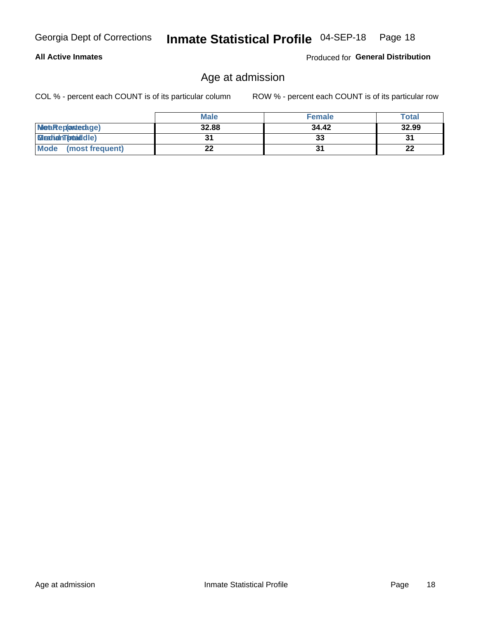#### **All Active Inmates**

Produced for General Distribution

#### Age at admission

COL % - percent each COUNT is of its particular column

|                         | <b>Male</b> | <b>Female</b> | <b>Total</b> |
|-------------------------|-------------|---------------|--------------|
| MetaRep(anterage)       | 32.88       | 34.42         | 32.99        |
| <b>MeatianTotaddle)</b> |             | 33            | 31           |
| Mode<br>(most frequent) | 22          |               | 22           |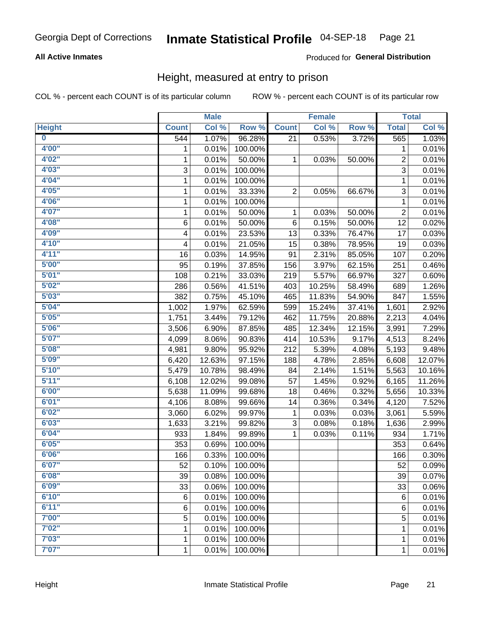#### **All Active Inmates**

#### Produced for General Distribution

#### Height, measured at entry to prison

COL % - percent each COUNT is of its particular column

|                         |              | <b>Male</b> |         |                | <b>Female</b> |        |                | <b>Total</b>        |
|-------------------------|--------------|-------------|---------|----------------|---------------|--------|----------------|---------------------|
| <b>Height</b>           | <b>Count</b> | Col %       | Row %   | <b>Count</b>   | Col %         | Row %  | <b>Total</b>   | Col %               |
| $\overline{\mathbf{0}}$ | 544          | 1.07%       | 96.28%  | 21             | 0.53%         | 3.72%  | 565            | 1.03%               |
| 4'00"                   | 1            | 0.01%       | 100.00% |                |               |        | 1              | 0.01%               |
| 4'02"                   | $\mathbf{1}$ | 0.01%       | 50.00%  | 1              | 0.03%         | 50.00% | $\overline{c}$ | 0.01%               |
| 4'03''                  | 3            | 0.01%       | 100.00% |                |               |        | $\overline{3}$ | 0.01%               |
| 4'04"                   | 1            | 0.01%       | 100.00% |                |               |        | 1              | 0.01%               |
| 4'05"                   | $\mathbf{1}$ | 0.01%       | 33.33%  | $\overline{2}$ | 0.05%         | 66.67% | 3              | 0.01%               |
| 4'06"                   | $\mathbf{1}$ | 0.01%       | 100.00% |                |               |        | $\mathbf{1}$   | 0.01%               |
| 4'07"                   | 1            | 0.01%       | 50.00%  | 1              | 0.03%         | 50.00% | $\overline{c}$ | 0.01%               |
| 4'08"                   | 6            | 0.01%       | 50.00%  | 6              | 0.15%         | 50.00% | 12             | 0.02%               |
| 4'09"                   | 4            | 0.01%       | 23.53%  | 13             | 0.33%         | 76.47% | 17             | 0.03%               |
| 4'10"                   | 4            | 0.01%       | 21.05%  | 15             | 0.38%         | 78.95% | 19             | 0.03%               |
| 4'11''                  | 16           | 0.03%       | 14.95%  | 91             | 2.31%         | 85.05% | 107            | 0.20%               |
| 5'00''                  | 95           | 0.19%       | 37.85%  | 156            | 3.97%         | 62.15% | 251            | 0.46%               |
| 5'01"                   | 108          | 0.21%       | 33.03%  | 219            | 5.57%         | 66.97% | 327            | 0.60%               |
| 5'02"                   | 286          | 0.56%       | 41.51%  | 403            | 10.25%        | 58.49% | 689            | 1.26%               |
| 5'03"                   | 382          | 0.75%       | 45.10%  | 465            | 11.83%        | 54.90% | 847            | 1.55%               |
| 5'04"                   | 1,002        | 1.97%       | 62.59%  | 599            | 15.24%        | 37.41% | 1,601          | 2.92%               |
| 5'05"                   | 1,751        | 3.44%       | 79.12%  | 462            | 11.75%        | 20.88% | 2,213          | 4.04%               |
| 5'06''                  | 3,506        | 6.90%       | 87.85%  | 485            | 12.34%        | 12.15% | 3,991          | 7.29%               |
| 5'07"                   | 4,099        | 8.06%       | 90.83%  | 414            | 10.53%        | 9.17%  | 4,513          | 8.24%               |
| 5'08''                  | 4,981        | 9.80%       | 95.92%  | 212            | 5.39%         | 4.08%  | 5,193          | 9.48%               |
| 5'09''                  | 6,420        | 12.63%      | 97.15%  | 188            | 4.78%         | 2.85%  | 6,608          | 12.07%              |
| 5'10''                  | 5,479        | 10.78%      | 98.49%  | 84             | 2.14%         | 1.51%  | 5,563          | 10.16%              |
| 5'11"                   | 6,108        | 12.02%      | 99.08%  | 57             | 1.45%         | 0.92%  | 6,165          | 11.26%              |
| 6'00''                  | 5,638        | 11.09%      | 99.68%  | 18             | 0.46%         | 0.32%  | 5,656          | 10.33%              |
| 6'01''                  | 4,106        | 8.08%       | 99.66%  | 14             | 0.36%         | 0.34%  | 4,120          | 7.52%               |
| 6'02"                   | 3,060        | 6.02%       | 99.97%  | 1              | 0.03%         | 0.03%  | 3,061          | 5.59%               |
| 6'03''                  | 1,633        | 3.21%       | 99.82%  | 3              | 0.08%         | 0.18%  | 1,636          | 2.99%               |
| 6'04"                   | 933          | 1.84%       | 99.89%  | 1              | 0.03%         | 0.11%  | 934            | 1.71%               |
| 6'05"                   | 353          | 0.69%       | 100.00% |                |               |        | 353            | 0.64%               |
| 6'06"                   | 166          | 0.33%       | 100.00% |                |               |        | 166            | 0.30%               |
| 6'07"                   | 52           | 0.10%       | 100.00% |                |               |        | 52             | 0.09%               |
| 6'08''                  | 39           | 0.08%       | 100.00% |                |               |        | 39             | 0.07%               |
| 6'09''                  | 33           | 0.06%       | 100.00% |                |               |        | 33             | 0.06%               |
| 6'10''                  | 6            | 0.01%       | 100.00% |                |               |        | $\,6$          | 0.01%               |
| 6'11''                  | 6            | 0.01%       | 100.00% |                |               |        | 6              | $\overline{0.01\%}$ |
| 7'00"                   | 5            | 0.01%       | 100.00% |                |               |        | 5              | 0.01%               |
| 7'02"                   | 1            | 0.01%       | 100.00% |                |               |        | 1              | 0.01%               |
| 7'03''                  | 1            | 0.01%       | 100.00% |                |               |        | 1              | 0.01%               |
| 7'07''                  | $\mathbf{1}$ | 0.01%       | 100.00% |                |               |        | $\mathbf{1}$   | $\overline{0.01\%}$ |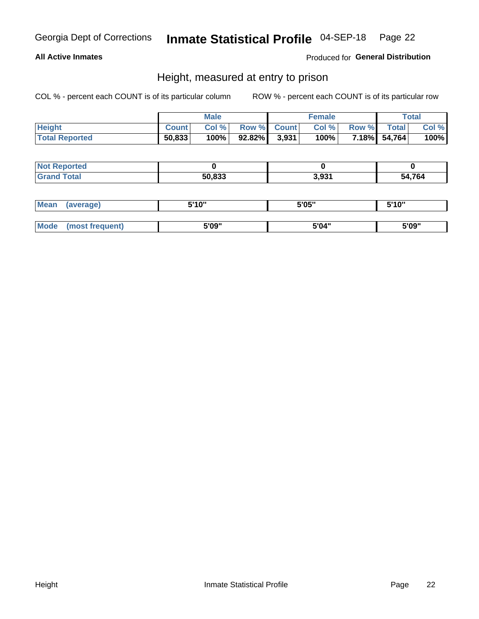#### **All Active Inmates**

Produced for General Distribution

#### Height, measured at entry to prison

COL % - percent each COUNT is of its particular column

|                       |              | <b>Male</b> |                 | <b>Female</b> |              |              | <b>Total</b> |
|-----------------------|--------------|-------------|-----------------|---------------|--------------|--------------|--------------|
| <b>Height</b>         | <b>Count</b> | Col %       | Row % Count     | Col %         | <b>Row %</b> | <b>Total</b> | Col %        |
| <b>Total Reported</b> | 50,833       | 100%        | $92.82\%$ 3,931 | 100%          |              | 7.18% 54,764 | 100%         |

| <b>Not Reported</b> |        |       |        |
|---------------------|--------|-------|--------|
| <b>Total</b><br>Gr2 | 50.833 | 3,931 | 54.764 |

| <b>Mean</b> | (average)       | 5'10" | 5'05" | 5'10" |
|-------------|-----------------|-------|-------|-------|
|             |                 |       |       |       |
| Mode        | (most frequent) | 5'09" | 5'04" | 5'09" |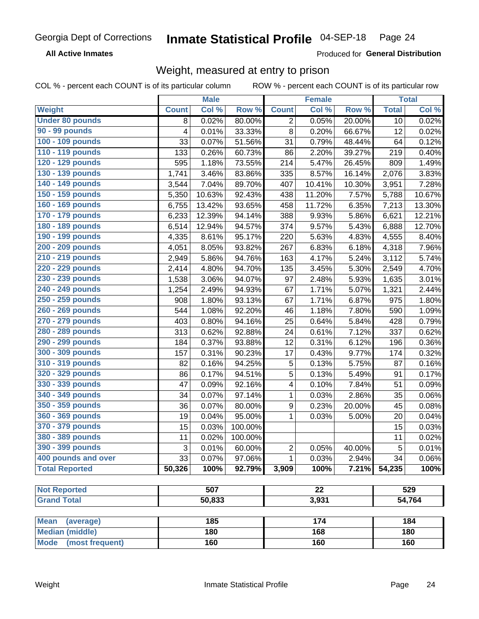**All Active Inmates** 

Produced for General Distribution

### Weight, measured at entry to prison

COL % - percent each COUNT is of its particular column

|                                |              | <b>Male</b> |         |                  | <b>Female</b>   |        |              | <b>Total</b>        |
|--------------------------------|--------------|-------------|---------|------------------|-----------------|--------|--------------|---------------------|
| Weight                         | <b>Count</b> | Col %       | Row %   | <b>Count</b>     | Col %           | Row %  | <b>Total</b> | Col %               |
| <b>Under 80 pounds</b>         | 8            | 0.02%       | 80.00%  | $\overline{2}$   | 0.05%           | 20.00% | 10           | 0.02%               |
| 90 - 99 pounds                 | 4            | 0.01%       | 33.33%  | 8                | 0.20%           | 66.67% | 12           | 0.02%               |
| 100 - 109 pounds               | 33           | 0.07%       | 51.56%  | 31               | 0.79%           | 48.44% | 64           | 0.12%               |
| 110 - 119 pounds               | 133          | 0.26%       | 60.73%  | 86               | 2.20%           | 39.27% | 219          | 0.40%               |
| 120 - 129 pounds               | 595          | 1.18%       | 73.55%  | 214              | 5.47%           | 26.45% | 809          | 1.49%               |
| 130 - 139 pounds               | 1,741        | 3.46%       | 83.86%  | 335              | 8.57%           | 16.14% | 2,076        | 3.83%               |
| 140 - 149 pounds               | 3,544        | 7.04%       | 89.70%  | 407              | 10.41%          | 10.30% | 3,951        | 7.28%               |
| 150 - 159 pounds               | 5,350        | 10.63%      | 92.43%  | 438              | 11.20%          | 7.57%  | 5,788        | 10.67%              |
| 160 - 169 pounds               | 6,755        | 13.42%      | 93.65%  | 458              | 11.72%          | 6.35%  | 7,213        | 13.30%              |
| 170 - 179 pounds               | 6,233        | 12.39%      | 94.14%  | 388              | 9.93%           | 5.86%  | 6,621        | 12.21%              |
| 180 - 189 pounds               | 6,514        | 12.94%      | 94.57%  | 374              | 9.57%           | 5.43%  | 6,888        | 12.70%              |
| 190 - 199 pounds               | 4,335        | 8.61%       | 95.17%  | 220              | 5.63%           | 4.83%  | 4,555        | 8.40%               |
| 200 - 209 pounds               | 4,051        | 8.05%       | 93.82%  | 267              | 6.83%           | 6.18%  | 4,318        | 7.96%               |
| 210 - 219 pounds               | 2,949        | 5.86%       | 94.76%  | 163              | 4.17%           | 5.24%  | 3,112        | 5.74%               |
| 220 - 229 pounds               | 2,414        | 4.80%       | 94.70%  | 135              | 3.45%           | 5.30%  | 2,549        | 4.70%               |
| 230 - 239 pounds               | 1,538        | 3.06%       | 94.07%  | 97               | 2.48%           | 5.93%  | 1,635        | 3.01%               |
| 240 - 249 pounds               | 1,254        | 2.49%       | 94.93%  | 67               | 1.71%           | 5.07%  | 1,321        | 2.44%               |
| 250 - 259 pounds               | 908          | 1.80%       | 93.13%  | 67               | 1.71%           | 6.87%  | 975          | 1.80%               |
| 260 - 269 pounds               | 544          | 1.08%       | 92.20%  | 46               | 1.18%           | 7.80%  | 590          | 1.09%               |
| 270 - 279 pounds               | 403          | 0.80%       | 94.16%  | 25               | 0.64%           | 5.84%  | 428          | 0.79%               |
| 280 - 289 pounds               | 313          | 0.62%       | 92.88%  | 24               | 0.61%           | 7.12%  | 337          | 0.62%               |
| 290 - 299 pounds               | 184          | 0.37%       | 93.88%  | 12               | 0.31%           | 6.12%  | 196          | 0.36%               |
| 300 - 309 pounds               | 157          | 0.31%       | 90.23%  | 17               | 0.43%           | 9.77%  | 174          | 0.32%               |
| 310 - 319 pounds               | 82           | 0.16%       | 94.25%  | $\mathbf 5$      | 0.13%           | 5.75%  | 87           | 0.16%               |
| 320 - 329 pounds               | 86           | 0.17%       | 94.51%  | $\sqrt{5}$       | 0.13%           | 5.49%  | 91           | 0.17%               |
| 330 - 339 pounds               | 47           | 0.09%       | 92.16%  | 4                | 0.10%           | 7.84%  | 51           | 0.09%               |
| 340 - 349 pounds               | 34           | 0.07%       | 97.14%  | 1                | 0.03%           | 2.86%  | 35           | 0.06%               |
| 350 - 359 pounds               | 36           | 0.07%       | 80.00%  | $\boldsymbol{9}$ | 0.23%           | 20.00% | 45           | 0.08%               |
| 360 - 369 pounds               | 19           | 0.04%       | 95.00%  | $\mathbf{1}$     | 0.03%           | 5.00%  | 20           | 0.04%               |
| 370 - 379 pounds               | 15           | 0.03%       | 100.00% |                  |                 |        | 15           | 0.03%               |
| 380 - 389 pounds               | 11           | 0.02%       | 100.00% |                  |                 |        | 11           | 0.02%               |
| 390 - 399 pounds               | 3            | 0.01%       | 60.00%  | 2                | 0.05%           | 40.00% | 5            | $\overline{0.01\%}$ |
| 400 pounds and over            | 33           | 0.07%       | 97.06%  | 1                | 0.03%           | 2.94%  | 34           | 0.06%               |
| <b>Total Reported</b>          | 50,326       | 100%        | 92.79%  | 3,909            | 100%            | 7.21%  | 54,235       | 100%                |
|                                |              |             |         |                  |                 |        |              |                     |
| <b>Not Reported</b>            |              | 507         |         |                  | $\overline{22}$ |        |              | 529                 |
| <b>Grand Total</b>             |              | 50,833      |         |                  | 3,931           |        |              | 54,764              |
| <b>Mean</b><br>(average)       |              | 185         |         |                  | 174             |        |              | 184                 |
| <b>Median (middle)</b>         |              | 180         |         |                  | 168             |        |              | 180                 |
| <b>Mode</b><br>(most frequent) |              | 160         |         |                  | 160             |        |              | 160                 |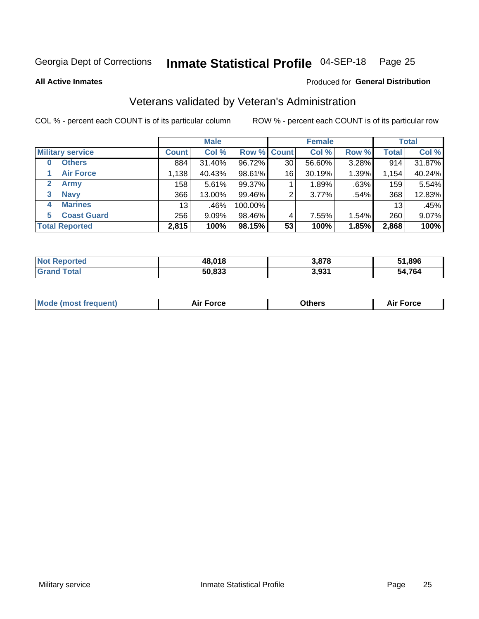#### Inmate Statistical Profile 04-SEP-18 Page 25

**All Active Inmates** 

#### Produced for General Distribution

### Veterans validated by Veteran's Administration

COL % - percent each COUNT is of its particular column

|                             |                 | <b>Male</b> |         |                    | <b>Female</b> |          |              | <b>Total</b> |
|-----------------------------|-----------------|-------------|---------|--------------------|---------------|----------|--------------|--------------|
| <b>Military service</b>     | <b>Count</b>    | Col %       |         | <b>Row % Count</b> | Col %         | Row %    | <b>Total</b> | Col %        |
| <b>Others</b><br>0          | 884             | 31.40%      | 96.72%  | 30                 | 56.60%        | 3.28%    | 914          | 31.87%       |
| <b>Air Force</b>            | 1,138           | 40.43%      | 98.61%  | 16                 | 30.19%        | 1.39%    | 1,154        | 40.24%       |
| $\mathbf{2}$<br><b>Army</b> | 158             | 5.61%       | 99.37%  |                    | 1.89%         | .63%     | 159          | 5.54%        |
| <b>Navy</b><br>3            | 366             | 13.00%      | 99.46%  | 2                  | 3.77%         | .54%     | 368          | 12.83%       |
| <b>Marines</b><br>4         | 13 <sub>1</sub> | .46%        | 100.00% |                    |               |          | 13           | .45%         |
| <b>Coast Guard</b><br>5.    | 256             | $9.09\%$    | 98.46%  | 4                  | 7.55%         | $1.54\%$ | 260          | 9.07%        |
| <b>Total Reported</b>       | 2,815           | 100%        | 98.15%  | 53                 | 100%          | 1.85%    | 2,868        | 100%         |

| rted<br>NOI | 48,018 | 3,878 | 51,896       |
|-------------|--------|-------|--------------|
| $\sim$      | 50.833 | 3,931 | ,764<br>- 5Δ |

|  |  | <b>Mode (most frequent)</b> | <b>Force</b><br>Aır | วthers | orce |
|--|--|-----------------------------|---------------------|--------|------|
|--|--|-----------------------------|---------------------|--------|------|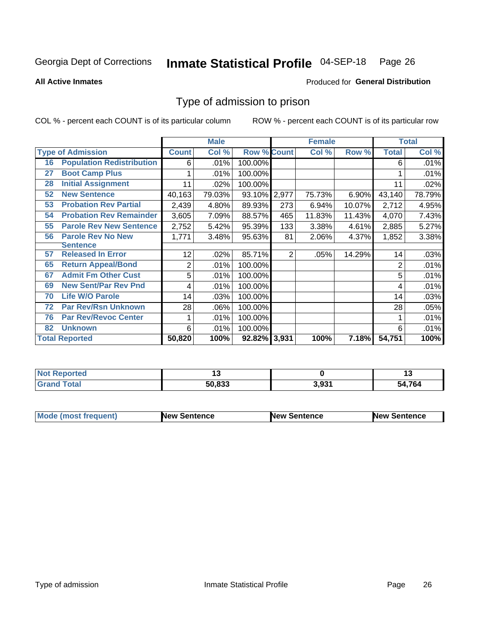#### Inmate Statistical Profile 04-SEP-18 Page 26

**All Active Inmates** 

#### Produced for General Distribution

### Type of admission to prison

COL % - percent each COUNT is of its particular column

|    |                                  |              | <b>Male</b> |                    |                | <b>Female</b> |        |              | <b>Total</b> |
|----|----------------------------------|--------------|-------------|--------------------|----------------|---------------|--------|--------------|--------------|
|    | <b>Type of Admission</b>         | <b>Count</b> | Col %       | <b>Row % Count</b> |                | Col %         | Row %  | <b>Total</b> | Col %        |
| 16 | <b>Population Redistribution</b> | 6            | .01%        | 100.00%            |                |               |        | 6            | .01%         |
| 27 | <b>Boot Camp Plus</b>            |              | .01%        | 100.00%            |                |               |        |              | .01%         |
| 28 | <b>Initial Assignment</b>        | 11           | .02%        | 100.00%            |                |               |        | 11           | .02%         |
| 52 | <b>New Sentence</b>              | 40,163       | 79.03%      | 93.10% 2,977       |                | 75.73%        | 6.90%  | 43,140       | 78.79%       |
| 53 | <b>Probation Rev Partial</b>     | 2,439        | 4.80%       | 89.93%             | 273            | 6.94%         | 10.07% | 2,712        | 4.95%        |
| 54 | <b>Probation Rev Remainder</b>   | 3,605        | 7.09%       | 88.57%             | 465            | 11.83%        | 11.43% | 4,070        | 7.43%        |
| 55 | <b>Parole Rev New Sentence</b>   | 2,752        | 5.42%       | 95.39%             | 133            | 3.38%         | 4.61%  | 2,885        | 5.27%        |
| 56 | <b>Parole Rev No New</b>         | 1,771        | 3.48%       | 95.63%             | 81             | 2.06%         | 4.37%  | 1,852        | 3.38%        |
|    | <b>Sentence</b>                  |              |             |                    |                |               |        |              |              |
| 57 | <b>Released In Error</b>         | 12           | .02%        | 85.71%             | $\overline{2}$ | .05%          | 14.29% | 14           | .03%         |
| 65 | <b>Return Appeal/Bond</b>        | 2            | .01%        | 100.00%            |                |               |        | 2            | .01%         |
| 67 | <b>Admit Fm Other Cust</b>       | 5            | .01%        | 100.00%            |                |               |        | 5            | .01%         |
| 69 | <b>New Sent/Par Rev Pnd</b>      | 4            | .01%        | 100.00%            |                |               |        | 4            | .01%         |
| 70 | <b>Life W/O Parole</b>           | 14           | .03%        | 100.00%            |                |               |        | 14           | .03%         |
| 72 | <b>Par Rev/Rsn Unknown</b>       | 28           | .06%        | 100.00%            |                |               |        | 28           | .05%         |
| 76 | <b>Par Rev/Revoc Center</b>      |              | .01%        | 100.00%            |                |               |        |              | .01%         |
| 82 | <b>Unknown</b>                   | 6            | .01%        | 100.00%            |                |               |        | 6            | .01%         |
|    | <b>Total Reported</b>            | 50,820       | 100%        | 92.82%             | 3,931          | 100%          | 7.18%  | 54,751       | 100%         |

| <b>Not Reported</b> |        |       | . .    |
|---------------------|--------|-------|--------|
| Total<br>Gran       | 50,833 | 3,931 | 54,764 |

| <b>Mode (most frequent)</b> | <b>New Sentence</b> | <b>New Sentence</b> | <b>New Sentence</b> |
|-----------------------------|---------------------|---------------------|---------------------|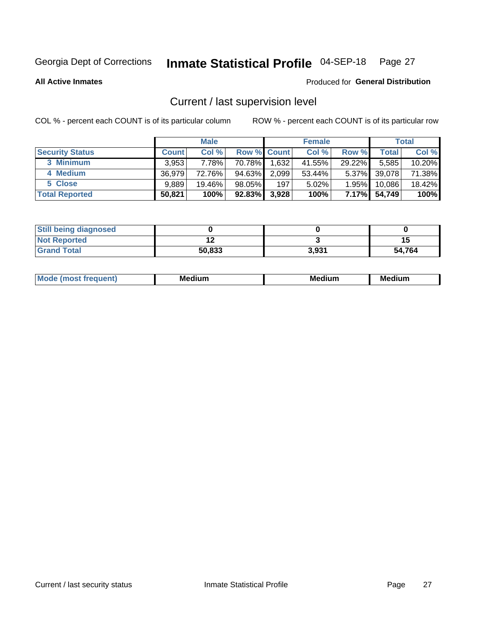## Inmate Statistical Profile 04-SEP-18 Page 27

**All Active Inmates** 

#### Produced for General Distribution

## Current / last supervision level

COL % - percent each COUNT is of its particular column

|                        |              | <b>Male</b> |                    |       | <b>Female</b> |          |        | <b>Total</b> |
|------------------------|--------------|-------------|--------------------|-------|---------------|----------|--------|--------------|
| <b>Security Status</b> | <b>Count</b> | Col %       | <b>Row % Count</b> |       | Col %         | Row %    | Total  | Col %        |
| 3 Minimum              | 3,953        | 7.78%l      | 70.78%             | 1,632 | 41.55%        | 29.22%   | 5,585  | 10.20%       |
| 4 Medium               | 36.979       | 72.76%      | 94.63%             | 2,099 | 53.44%        | $5.37\%$ | 39,078 | 71.38%       |
| 5 Close                | 9.889        | 19.46%      | 98.05%             | 197   | 5.02%         | 1.95%    | 10,086 | 18.42%       |
| <b>Total Reported</b>  | 50,821       | 100%        | $92.83\%$          | 3,928 | 100%          | 7.17%    | 54,749 | 100%         |

| <b>Still being diagnosed</b> |        |       |        |
|------------------------------|--------|-------|--------|
| <b>Not Reported</b>          |        |       | 15     |
| <b>Grand Total</b>           | 50,833 | 3.931 | 54.764 |

| M | M | . . |
|---|---|-----|
|   |   |     |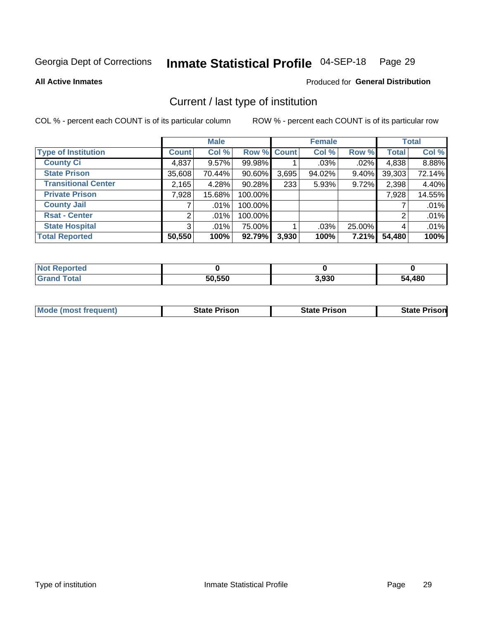#### Inmate Statistical Profile 04-SEP-18 Page 29

**All Active Inmates** 

#### Produced for General Distribution

## Current / last type of institution

COL % - percent each COUNT is of its particular column

|                            |                | <b>Male</b> |             |       | <b>Female</b> |        |              | <b>Total</b> |
|----------------------------|----------------|-------------|-------------|-------|---------------|--------|--------------|--------------|
| <b>Type of Institution</b> | <b>Count</b>   | Col %       | Row % Count |       | Col %         | Row %  | <b>Total</b> | Col %        |
| <b>County Ci</b>           | 4,837          | $9.57\%$    | 99.98%      |       | .03%          | .02%   | 4,838        | 8.88%        |
| <b>State Prison</b>        | 35,608         | 70.44%      | $90.60\%$   | 3,695 | 94.02%        | 9.40%  | 39,303       | 72.14%       |
| <b>Transitional Center</b> | 2,165          | 4.28%       | 90.28%      | 233   | 5.93%         | 9.72%  | 2,398        | 4.40%        |
| <b>Private Prison</b>      | 7,928          | 15.68%      | 100.00%     |       |               |        | 7,928        | 14.55%       |
| <b>County Jail</b>         |                | $.01\%$     | 100.00%     |       |               |        |              | .01%         |
| <b>Rsat - Center</b>       | 21             | $.01\%$     | 100.00%     |       |               |        | 2            | .01%         |
| <b>State Hospital</b>      | 3 <sup>1</sup> | $.01\%$     | 75.00%      |       | .03%          | 25.00% | 4            | .01%         |
| <b>Total Reported</b>      | 50,550         | 100%        | 92.79%      | 3,930 | 100%          | 7.21%  | 54,480       | 100%         |

| NG<br>portea |        |       |      |
|--------------|--------|-------|------|
| $\sim$ 40    | 50,550 | 3,930 | ,480 |

| <b>Mode (most frequent)</b> | State Prison | <b>State Prison</b> | <b>State Prison</b> |
|-----------------------------|--------------|---------------------|---------------------|
|                             |              |                     |                     |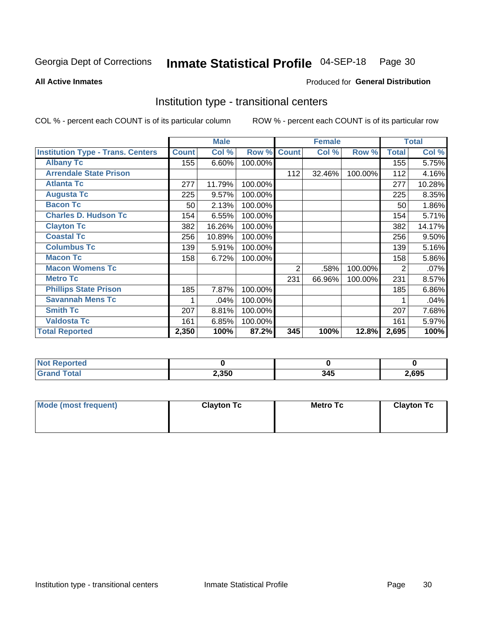#### Inmate Statistical Profile 04-SEP-18 Page 30

**All Active Inmates** 

#### Produced for General Distribution

### Institution type - transitional centers

COL % - percent each COUNT is of its particular column

|                                          |              | <b>Male</b> |         |              | <b>Female</b> |         |                | <b>Total</b> |
|------------------------------------------|--------------|-------------|---------|--------------|---------------|---------|----------------|--------------|
| <b>Institution Type - Trans. Centers</b> | <b>Count</b> | Col %       | Row %   | <b>Count</b> | Col %         | Row %   | <b>Total</b>   | Col %        |
| <b>Albany Tc</b>                         | 155          | 6.60%       | 100.00% |              |               |         | 155            | 5.75%        |
| <b>Arrendale State Prison</b>            |              |             |         | 112          | 32.46%        | 100.00% | 112            | 4.16%        |
| <b>Atlanta Tc</b>                        | 277          | 11.79%      | 100.00% |              |               |         | 277            | 10.28%       |
| <b>Augusta Tc</b>                        | 225          | 9.57%       | 100.00% |              |               |         | 225            | 8.35%        |
| <b>Bacon Tc</b>                          | 50           | 2.13%       | 100.00% |              |               |         | 50             | 1.86%        |
| <b>Charles D. Hudson Tc</b>              | 154          | 6.55%       | 100.00% |              |               |         | 154            | 5.71%        |
| <b>Clayton Tc</b>                        | 382          | 16.26%      | 100.00% |              |               |         | 382            | 14.17%       |
| <b>Coastal Tc</b>                        | 256          | 10.89%      | 100.00% |              |               |         | 256            | 9.50%        |
| <b>Columbus Tc</b>                       | 139          | 5.91%       | 100.00% |              |               |         | 139            | 5.16%        |
| <b>Macon Tc</b>                          | 158          | 6.72%       | 100.00% |              |               |         | 158            | 5.86%        |
| <b>Macon Womens Tc</b>                   |              |             |         | 2            | .58%          | 100.00% | $\overline{2}$ | .07%         |
| <b>Metro Tc</b>                          |              |             |         | 231          | 66.96%        | 100.00% | 231            | 8.57%        |
| <b>Phillips State Prison</b>             | 185          | 7.87%       | 100.00% |              |               |         | 185            | 6.86%        |
| <b>Savannah Mens Tc</b>                  |              | .04%        | 100.00% |              |               |         |                | .04%         |
| <b>Smith Tc</b>                          | 207          | 8.81%       | 100.00% |              |               |         | 207            | 7.68%        |
| <b>Valdosta Tc</b>                       | 161          | 6.85%       | 100.00% |              |               |         | 161            | 5.97%        |
| <b>Total Reported</b>                    | 2,350        | 100%        | 87.2%   | 345          | 100%          | 12.8%   | 2,695          | 100%         |

| <b>Reported</b><br>NOT. |       |     |      |
|-------------------------|-------|-----|------|
| <b>Total</b>            | 2,350 | 345 | ,695 |

| Mode (most frequent) | <b>Clayton Tc</b> | Metro Tc | <b>Clayton Tc</b> |
|----------------------|-------------------|----------|-------------------|
|                      |                   |          |                   |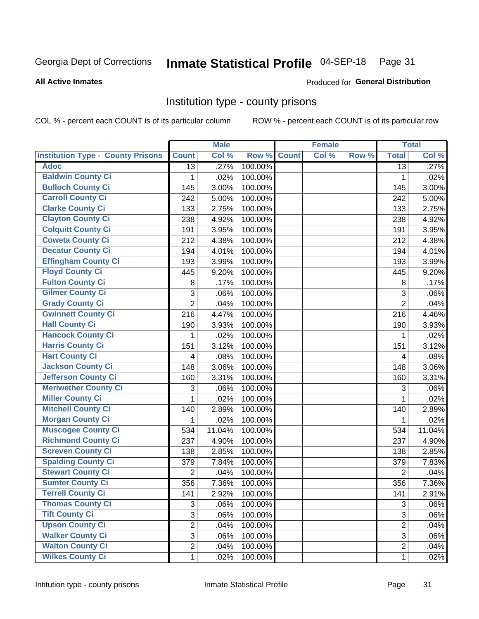## Inmate Statistical Profile 04-SEP-18 Page 31

#### **All Active Inmates**

## **Produced for General Distribution**

#### Institution type - county prisons

COL % - percent each COUNT is of its particular column

|                                          |                | <b>Male</b> |         |              | <b>Female</b> |       |                 | <b>Total</b> |
|------------------------------------------|----------------|-------------|---------|--------------|---------------|-------|-----------------|--------------|
| <b>Institution Type - County Prisons</b> | <b>Count</b>   | Col %       | Row %   | <b>Count</b> | Col %         | Row % | <b>Total</b>    | Col %        |
| <b>Adoc</b>                              | 13             | .27%        | 100.00% |              |               |       | $\overline{13}$ | .27%         |
| <b>Baldwin County Ci</b>                 | 1              | .02%        | 100.00% |              |               |       | $\mathbf 1$     | .02%         |
| <b>Bulloch County Ci</b>                 | 145            | 3.00%       | 100.00% |              |               |       | 145             | 3.00%        |
| <b>Carroll County Ci</b>                 | 242            | 5.00%       | 100.00% |              |               |       | 242             | 5.00%        |
| <b>Clarke County Ci</b>                  | 133            | 2.75%       | 100.00% |              |               |       | 133             | 2.75%        |
| <b>Clayton County Ci</b>                 | 238            | 4.92%       | 100.00% |              |               |       | 238             | 4.92%        |
| <b>Colquitt County Ci</b>                | 191            | 3.95%       | 100.00% |              |               |       | 191             | 3.95%        |
| <b>Coweta County Ci</b>                  | 212            | 4.38%       | 100.00% |              |               |       | 212             | 4.38%        |
| <b>Decatur County Ci</b>                 | 194            | 4.01%       | 100.00% |              |               |       | 194             | 4.01%        |
| <b>Effingham County Ci</b>               | 193            | 3.99%       | 100.00% |              |               |       | 193             | 3.99%        |
| <b>Floyd County Ci</b>                   | 445            | 9.20%       | 100.00% |              |               |       | 445             | 9.20%        |
| <b>Fulton County Ci</b>                  | 8              | .17%        | 100.00% |              |               |       | 8               | .17%         |
| <b>Gilmer County Ci</b>                  | 3              | .06%        | 100.00% |              |               |       | 3               | .06%         |
| <b>Grady County Ci</b>                   | $\overline{2}$ | .04%        | 100.00% |              |               |       | $\overline{2}$  | .04%         |
| <b>Gwinnett County Ci</b>                | 216            | 4.47%       | 100.00% |              |               |       | 216             | 4.46%        |
| <b>Hall County Ci</b>                    | 190            | 3.93%       | 100.00% |              |               |       | 190             | 3.93%        |
| <b>Hancock County Ci</b>                 | 1              | .02%        | 100.00% |              |               |       | 1               | .02%         |
| <b>Harris County Ci</b>                  | 151            | 3.12%       | 100.00% |              |               |       | 151             | 3.12%        |
| <b>Hart County Ci</b>                    | 4              | .08%        | 100.00% |              |               |       | 4               | .08%         |
| Jackson County Ci                        | 148            | 3.06%       | 100.00% |              |               |       | 148             | 3.06%        |
| Jefferson County Ci                      | 160            | 3.31%       | 100.00% |              |               |       | 160             | 3.31%        |
| <b>Meriwether County Ci</b>              | 3              | .06%        | 100.00% |              |               |       | 3               | .06%         |
| <b>Miller County Ci</b>                  | $\mathbf{1}$   | .02%        | 100.00% |              |               |       | 1               | .02%         |
| <b>Mitchell County Ci</b>                | 140            | 2.89%       | 100.00% |              |               |       | 140             | 2.89%        |
| <b>Morgan County Ci</b>                  | 1              | .02%        | 100.00% |              |               |       | 1               | .02%         |
| <b>Muscogee County Ci</b>                | 534            | 11.04%      | 100.00% |              |               |       | 534             | 11.04%       |
| <b>Richmond County Ci</b>                | 237            | 4.90%       | 100.00% |              |               |       | 237             | 4.90%        |
| <b>Screven County Ci</b>                 | 138            | 2.85%       | 100.00% |              |               |       | 138             | 2.85%        |
| <b>Spalding County Ci</b>                | 379            | 7.84%       | 100.00% |              |               |       | 379             | 7.83%        |
| <b>Stewart County Ci</b>                 | $\overline{2}$ | .04%        | 100.00% |              |               |       | $\overline{2}$  | .04%         |
| <b>Sumter County Ci</b>                  | 356            | 7.36%       | 100.00% |              |               |       | 356             | 7.36%        |
| <b>Terrell County Ci</b>                 | 141            | 2.92%       | 100.00% |              |               |       | 141             | 2.91%        |
| <b>Thomas County Ci</b>                  | 3              | .06%        | 100.00% |              |               |       | 3               | .06%         |
| <b>Tift County Ci</b>                    | 3              | .06%        | 100.00% |              |               |       | 3               | .06%         |
| <b>Upson County Ci</b>                   | $\overline{2}$ | .04%        | 100.00% |              |               |       | $\overline{2}$  | .04%         |
| <b>Walker County Ci</b>                  | 3              | .06%        | 100.00% |              |               |       | $\sqrt{3}$      | .06%         |
| <b>Walton County Ci</b>                  | $\overline{2}$ | .04%        | 100.00% |              |               |       | $\overline{2}$  | .04%         |
| <b>Wilkes County Ci</b>                  | $\mathbf{1}$   | .02%        | 100.00% |              |               |       | 1               | .02%         |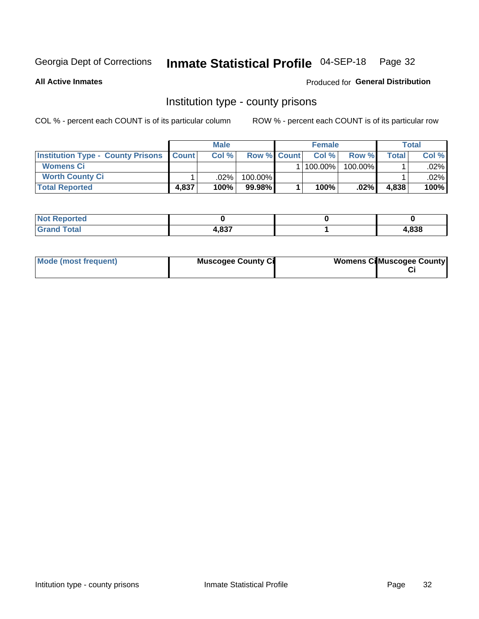## Inmate Statistical Profile 04-SEP-18 Page 32

**All Active Inmates** 

Produced for General Distribution

#### Institution type - county prisons

COL % - percent each COUNT is of its particular column

|                                                    |       | <b>Male</b> |                    | <b>Female</b> |         |       | <b>Total</b> |
|----------------------------------------------------|-------|-------------|--------------------|---------------|---------|-------|--------------|
| <b>Institution Type - County Prisons   Count  </b> |       | Col %       | <b>Row % Count</b> | Col%          | Row %   | Total | Col %        |
| <b>Womens Ci</b>                                   |       |             |                    | 100.00%       | 100.00% |       | .02% l       |
| <b>Worth County Ci</b>                             |       | $.02\%$     | 100.00%            |               |         |       | $.02\%$      |
| <b>Total Reported</b>                              | 4,837 | 100%        | $99.98\%$          | 100%          | $.02\%$ | 4,838 | 100%         |

| <b>Reported</b><br>' NOT |       |       |
|--------------------------|-------|-------|
| <b>otal</b>              | דפס ו | 4,838 |

| Mode (most frequent) | <b>Muscogee County Ci</b> | <b>Womens Ci</b> Muscogee County |
|----------------------|---------------------------|----------------------------------|
|----------------------|---------------------------|----------------------------------|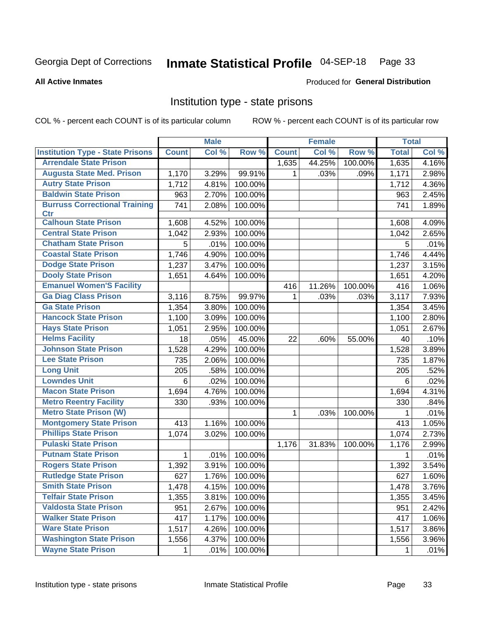#### Inmate Statistical Profile 04-SEP-18 Page 33

**All Active Inmates** 

#### Produced for General Distribution

#### Institution type - state prisons

COL % - percent each COUNT is of its particular column

|                                         |              | <b>Male</b> |         |              | <b>Female</b> |         | <b>Total</b> |       |
|-----------------------------------------|--------------|-------------|---------|--------------|---------------|---------|--------------|-------|
| <b>Institution Type - State Prisons</b> | <b>Count</b> | Col %       | Row %   | <b>Count</b> | Col %         | Row %   | <b>Total</b> | Col % |
| <b>Arrendale State Prison</b>           |              |             |         | 1,635        | 44.25%        | 100.00% | 1,635        | 4.16% |
| <b>Augusta State Med. Prison</b>        | 1,170        | 3.29%       | 99.91%  | 1            | .03%          | .09%    | 1,171        | 2.98% |
| <b>Autry State Prison</b>               | 1,712        | 4.81%       | 100.00% |              |               |         | 1,712        | 4.36% |
| <b>Baldwin State Prison</b>             | 963          | 2.70%       | 100.00% |              |               |         | 963          | 2.45% |
| <b>Burruss Correctional Training</b>    | 741          | 2.08%       | 100.00% |              |               |         | 741          | 1.89% |
| <b>Ctr</b>                              |              |             |         |              |               |         |              |       |
| <b>Calhoun State Prison</b>             | 1,608        | 4.52%       | 100.00% |              |               |         | 1,608        | 4.09% |
| <b>Central State Prison</b>             | 1,042        | 2.93%       | 100.00% |              |               |         | 1,042        | 2.65% |
| <b>Chatham State Prison</b>             | 5            | .01%        | 100.00% |              |               |         | 5            | .01%  |
| <b>Coastal State Prison</b>             | 1,746        | 4.90%       | 100.00% |              |               |         | 1,746        | 4.44% |
| <b>Dodge State Prison</b>               | 1,237        | 3.47%       | 100.00% |              |               |         | 1,237        | 3.15% |
| <b>Dooly State Prison</b>               | 1,651        | 4.64%       | 100.00% |              |               |         | 1,651        | 4.20% |
| <b>Emanuel Women'S Facility</b>         |              |             |         | 416          | 11.26%        | 100.00% | 416          | 1.06% |
| <b>Ga Diag Class Prison</b>             | 3,116        | 8.75%       | 99.97%  | $\mathbf 1$  | .03%          | .03%    | 3,117        | 7.93% |
| <b>Ga State Prison</b>                  | 1,354        | 3.80%       | 100.00% |              |               |         | 1,354        | 3.45% |
| <b>Hancock State Prison</b>             | 1,100        | 3.09%       | 100.00% |              |               |         | 1,100        | 2.80% |
| <b>Hays State Prison</b>                | 1,051        | 2.95%       | 100.00% |              |               |         | 1,051        | 2.67% |
| <b>Helms Facility</b>                   | 18           | .05%        | 45.00%  | 22           | .60%          | 55.00%  | 40           | .10%  |
| <b>Johnson State Prison</b>             | 1,528        | 4.29%       | 100.00% |              |               |         | 1,528        | 3.89% |
| <b>Lee State Prison</b>                 | 735          | 2.06%       | 100.00% |              |               |         | 735          | 1.87% |
| <b>Long Unit</b>                        | 205          | .58%        | 100.00% |              |               |         | 205          | .52%  |
| <b>Lowndes Unit</b>                     | 6            | .02%        | 100.00% |              |               |         | 6            | .02%  |
| <b>Macon State Prison</b>               | 1,694        | 4.76%       | 100.00% |              |               |         | 1,694        | 4.31% |
| <b>Metro Reentry Facility</b>           | 330          | .93%        | 100.00% |              |               |         | 330          | .84%  |
| <b>Metro State Prison (W)</b>           |              |             |         | 1            | .03%          | 100.00% | 1            | .01%  |
| <b>Montgomery State Prison</b>          | 413          | 1.16%       | 100.00% |              |               |         | 413          | 1.05% |
| <b>Phillips State Prison</b>            | 1,074        | 3.02%       | 100.00% |              |               |         | 1,074        | 2.73% |
| <b>Pulaski State Prison</b>             |              |             |         | 1,176        | 31.83%        | 100.00% | 1,176        | 2.99% |
| <b>Putnam State Prison</b>              | $\mathbf{1}$ | .01%        | 100.00% |              |               |         | 1            | .01%  |
| <b>Rogers State Prison</b>              | 1,392        | 3.91%       | 100.00% |              |               |         | 1,392        | 3.54% |
| <b>Rutledge State Prison</b>            | 627          | 1.76%       | 100.00% |              |               |         | 627          | 1.60% |
| <b>Smith State Prison</b>               | 1,478        | 4.15%       | 100.00% |              |               |         | 1,478        | 3.76% |
| <b>Telfair State Prison</b>             | 1,355        | 3.81%       | 100.00% |              |               |         | 1,355        | 3.45% |
| <b>Valdosta State Prison</b>            | 951          | 2.67%       | 100.00% |              |               |         | 951          | 2.42% |
| <b>Walker State Prison</b>              | 417          | 1.17%       | 100.00% |              |               |         | 417          | 1.06% |
| <b>Ware State Prison</b>                | 1,517        | 4.26%       | 100.00% |              |               |         | 1,517        | 3.86% |
| <b>Washington State Prison</b>          | 1,556        | 4.37%       | 100.00% |              |               |         | 1,556        | 3.96% |
| <b>Wayne State Prison</b>               | 1            | .01%        | 100.00% |              |               |         | 1            | .01%  |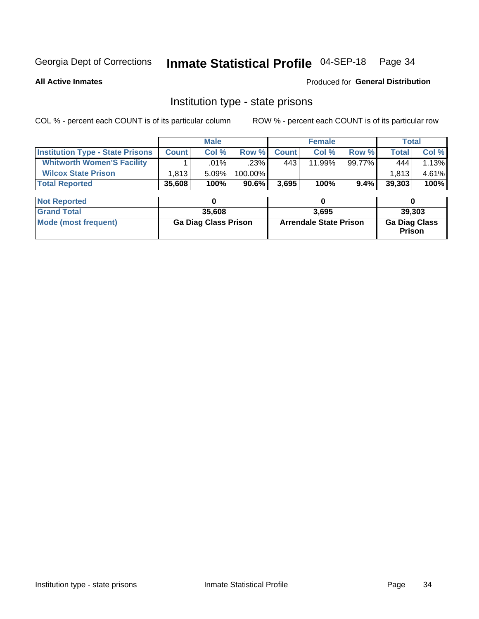## Inmate Statistical Profile 04-SEP-18 Page 34

**All Active Inmates** 

Produced for General Distribution

#### Institution type - state prisons

COL % - percent each COUNT is of its particular column ROW % - percent each COUNT is of its particular row

|                                         |                             | <b>Male</b> |                               |              | <b>Female</b> |                      | <b>Total</b> |        |  |
|-----------------------------------------|-----------------------------|-------------|-------------------------------|--------------|---------------|----------------------|--------------|--------|--|
| <b>Institution Type - State Prisons</b> | <b>Count</b>                | Col %       | Row %                         | <b>Count</b> | Col %         | Row %                | <b>Total</b> | Col %  |  |
| <b>Whitworth Women'S Facility</b>       |                             | .01%        | $.23\%$                       | 443          | 11.99%        | 99.77%               | 444          | 1.13%  |  |
| <b>Wilcox State Prison</b>              | 1,813                       | 5.09%       | 100.00%                       |              |               |                      | 1,813        | 4.61%  |  |
| <b>Total Reported</b>                   | 35,608                      | 100%        | 90.6%                         | 3,695        | 100%          | $9.4\%$              | 39,303       | 100%   |  |
| <b>Not Reported</b>                     |                             | 0           |                               |              | 0             |                      | 0            |        |  |
| <b>Grand Total</b>                      |                             | 35,608      |                               |              | 3,695         |                      |              | 39,303 |  |
| <b>Mode (most frequent)</b>             | <b>Ga Diag Class Prison</b> |             | <b>Arrendale State Prison</b> |              |               | <b>Ga Diag Class</b> |              |        |  |
|                                         |                             |             |                               |              |               |                      | Prison       |        |  |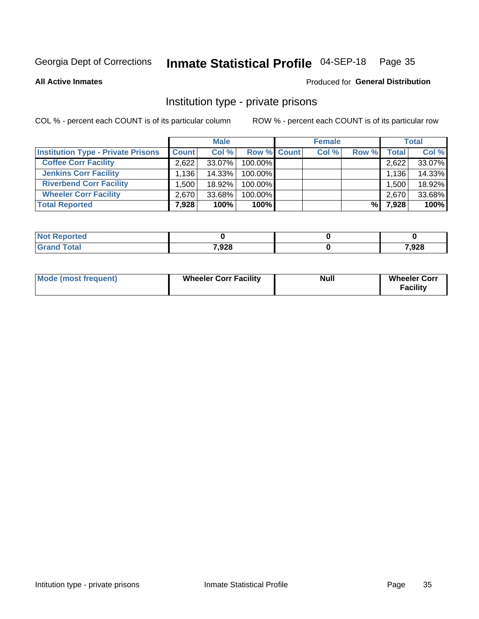## Inmate Statistical Profile 04-SEP-18 Page 35

**All Active Inmates** 

#### Produced for General Distribution

### Institution type - private prisons

COL % - percent each COUNT is of its particular column

|                                           |              | <b>Male</b> |                    | <b>Female</b> |       |       | <b>Total</b> |
|-------------------------------------------|--------------|-------------|--------------------|---------------|-------|-------|--------------|
| <b>Institution Type - Private Prisons</b> | <b>Count</b> | Col %       | <b>Row % Count</b> | Col %         | Row % | Total | Col %        |
| <b>Coffee Corr Facility</b>               | 2.622        | 33.07%      | 100.00%            |               |       | 2,622 | 33.07%       |
| <b>Jenkins Corr Facility</b>              | 1.136        | $14.33\%$   | $100.00\%$         |               |       | 1,136 | 14.33%       |
| <b>Riverbend Corr Facility</b>            | .500         | 18.92%      | 100.00%            |               |       | 1,500 | 18.92%       |
| <b>Wheeler Corr Facility</b>              | 2.670        | 33.68%      | 100.00%            |               |       | 2,670 | 33.68%       |
| <b>Total Reported</b>                     | 7,928        | 100%        | 100%               |               | %।    | 7,928 | 100%         |

| <b>Reported</b><br>' NO) - |       |      |
|----------------------------|-------|------|
| <b>otal</b>                | 7,928 | ,928 |

| <b>Mode (most frequent)</b> | <b>Wheeler Corr Facility</b> | <b>Null</b> | <b>Wheeler Corr</b><br><b>Facility</b> |
|-----------------------------|------------------------------|-------------|----------------------------------------|
|-----------------------------|------------------------------|-------------|----------------------------------------|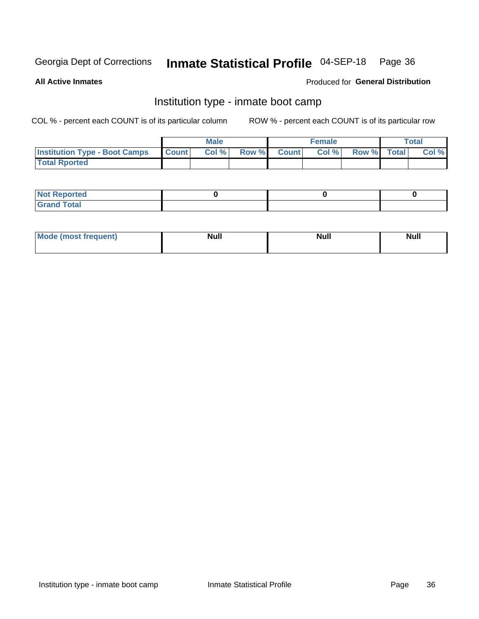## Inmate Statistical Profile 04-SEP-18 Page 36

**All Active Inmates** 

#### Produced for General Distribution

### Institution type - inmate boot camp

COL % - percent each COUNT is of its particular column

|                                      |                  | <b>Male</b> |              |              | <b>Female</b> |             | <b>Total</b> |
|--------------------------------------|------------------|-------------|--------------|--------------|---------------|-------------|--------------|
| <b>Institution Type - Boot Camps</b> | <b>I</b> Count I | Col %       | <b>Row %</b> | <b>Count</b> | Col %         | Row % Total | Col %        |
| <b>Total Rported</b>                 |                  |             |              |              |               |             |              |

| <b>Not Reported</b>            |  |  |
|--------------------------------|--|--|
| <b>Total</b><br>C <sub>r</sub> |  |  |

| Mod<br>uamo | Nul.<br>$- - - - - -$ | <b>Null</b> | . .<br>uu.<br>------ |
|-------------|-----------------------|-------------|----------------------|
|             |                       |             |                      |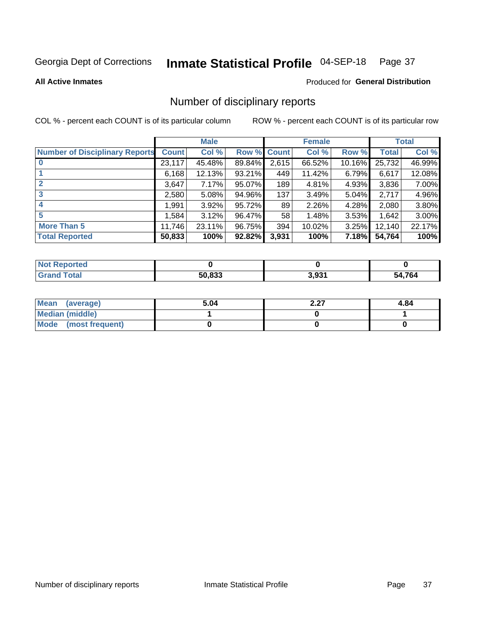#### Inmate Statistical Profile 04-SEP-18 Page 37

#### **All Active Inmates**

#### Produced for General Distribution

### Number of disciplinary reports

COL % - percent each COUNT is of its particular column

|                                       |              | <b>Male</b> |        |              | <b>Female</b> |           |              | <b>Total</b> |
|---------------------------------------|--------------|-------------|--------|--------------|---------------|-----------|--------------|--------------|
| <b>Number of Disciplinary Reports</b> | <b>Count</b> | Col %       | Row %  | <b>Count</b> | Col %         | Row %     | <b>Total</b> | Col %        |
|                                       | 23,117       | 45.48%      | 89.84% | 2,615        | 66.52%        | $10.16\%$ | 25,732       | 46.99%       |
|                                       | 6,168        | 12.13%      | 93.21% | 449          | 11.42%        | 6.79%     | 6,617        | 12.08%       |
| $\mathbf{2}$                          | 3,647        | 7.17%       | 95.07% | 189          | 4.81%         | 4.93%     | 3,836        | 7.00%        |
| 3                                     | 2,580        | 5.08%       | 94.96% | 137          | 3.49%         | $5.04\%$  | 2,717        | 4.96%        |
|                                       | 1,991        | $3.92\%$    | 95.72% | 89           | 2.26%         | 4.28%     | 2,080        | 3.80%        |
| 5                                     | 1,584        | 3.12%       | 96.47% | 58           | 1.48%         | $3.53\%$  | 1,642        | 3.00%        |
| <b>More Than 5</b>                    | 11,746       | 23.11%      | 96.75% | 394          | 10.02%        | $3.25\%$  | 12,140       | 22.17%       |
| <b>Total Reported</b>                 | 50,833       | 100%        | 92.82% | 3,931        | 100%          | 7.18%     | 54,764       | 100%         |

| orted<br><b>NOT</b> |        |       |            |
|---------------------|--------|-------|------------|
| Total               | 50.833 | 3,931 | ,764<br>54 |

| Mean (average)       | 5.04 | דר ר<br>2.ZI | 4.84 |
|----------------------|------|--------------|------|
| Median (middle)      |      |              |      |
| Mode (most frequent) |      |              |      |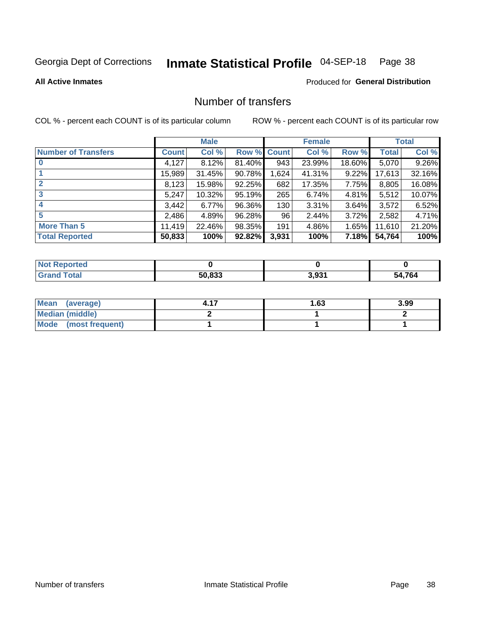## Inmate Statistical Profile 04-SEP-18 Page 38

**All Active Inmates** 

#### **Produced for General Distribution**

### Number of transfers

COL % - percent each COUNT is of its particular column

|                            |         | <b>Male</b> |             |       | <b>Female</b> |          |              | <b>Total</b> |
|----------------------------|---------|-------------|-------------|-------|---------------|----------|--------------|--------------|
| <b>Number of Transfers</b> | Count l | Col %       | Row % Count |       | Col %         | Row %    | <b>Total</b> | Col %        |
|                            | 4,127   | 8.12%       | 81.40%      | 943   | 23.99%        | 18.60%   | 5,070        | 9.26%        |
|                            | 15,989  | 31.45%      | 90.78%      | 1,624 | 41.31%        | $9.22\%$ | 17,613       | 32.16%       |
| $\mathbf{2}$               | 8,123   | 15.98%      | 92.25%      | 682   | 17.35%        | 7.75%    | 8,805        | 16.08%       |
| 3                          | 5,247   | 10.32%      | 95.19%      | 265   | 6.74%         | 4.81%    | 5,512        | 10.07%       |
| 4                          | 3,442   | 6.77%       | 96.36%      | 130   | 3.31%         | $3.64\%$ | 3,572        | 6.52%        |
| 5                          | 2,486   | 4.89%       | 96.28%      | 96    | 2.44%         | 3.72%    | 2,582        | 4.71%        |
| <b>More Than 5</b>         | 11,419  | 22.46%      | 98.35%      | 191   | 4.86%         | 1.65%    | 11,610       | 21.20%       |
| <b>Total Reported</b>      | 50,833  | 100%        | 92.82%      | 3,931 | 100%          | 7.18%    | 54,764       | 100%         |

| orted<br><b>NOT</b> |        |       |            |
|---------------------|--------|-------|------------|
| Total               | 50.833 | 3,931 | ,764<br>54 |

| Mean (average)         | l.63 | 3.99 |
|------------------------|------|------|
| <b>Median (middle)</b> |      |      |
| Mode (most frequent)   |      |      |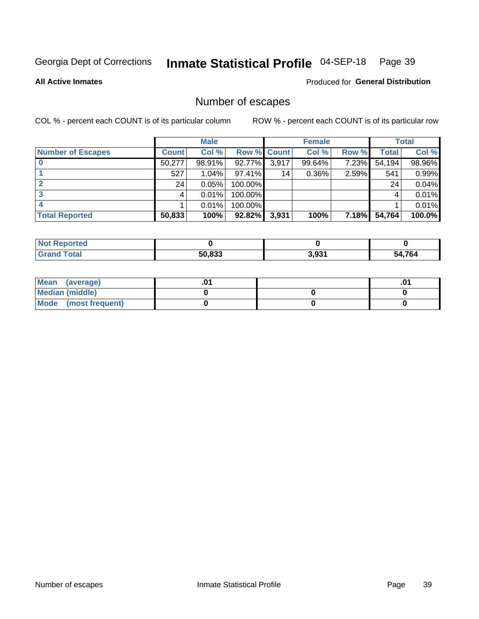## Inmate Statistical Profile 04-SEP-18 Page 39

**All Active Inmates** 

**Produced for General Distribution** 

## Number of escapes

COL % - percent each COUNT is of its particular column

|                          |              | <b>Male</b> |             |       | <b>Female</b> |       |        | <b>Total</b> |
|--------------------------|--------------|-------------|-------------|-------|---------------|-------|--------|--------------|
| <b>Number of Escapes</b> | <b>Count</b> | Col %       | Row % Count |       | Col %         | Row % | Total  | Col %        |
|                          | 50,277       | 98.91%      | 92.77%      | 3,917 | 99.64%        | 7.23% | 54,194 | 98.96%       |
|                          | 527          | 1.04%       | $97.41\%$   | 14    | $0.36\%$      | 2.59% | 541    | 0.99%        |
|                          | 24           | 0.05%       | 100.00%     |       |               |       | 24     | 0.04%        |
|                          |              | 0.01%       | 100.00%     |       |               |       |        | 0.01%        |
|                          |              | 0.01%       | 100.00%     |       |               |       |        | 0.01%        |
| <b>Total Reported</b>    | 50,833       | 100%        | 92.82%      | 3,931 | 100%          | 7.18% | 54,764 | 100.0%       |

| prted        |        |       |      |
|--------------|--------|-------|------|
| <b>Total</b> | 50.833 | 3.931 | ,764 |

| Mean<br>(average)    |  | .0 |
|----------------------|--|----|
| Median (middle)      |  |    |
| Mode (most frequent) |  |    |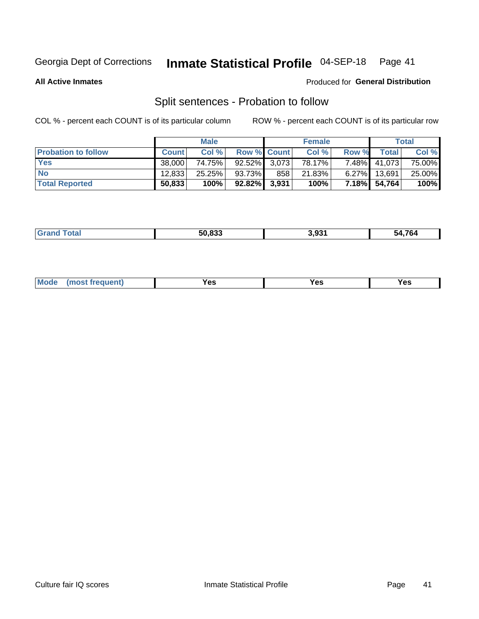#### Inmate Statistical Profile 04-SEP-18 Page 41

**All Active Inmates** 

#### Produced for General Distribution

## Split sentences - Probation to follow

COL % - percent each COUNT is of its particular column

|                            |              | <b>Male</b> |                    |     | <b>Female</b> |          |              | <b>Total</b> |
|----------------------------|--------------|-------------|--------------------|-----|---------------|----------|--------------|--------------|
| <b>Probation to follow</b> | <b>Count</b> | Col%        | <b>Row % Count</b> |     | Col %         | Row %    | Total        | Col %        |
| <b>Yes</b>                 | 38.000       | 74.75%      | $92.52\%$ 3,073    |     | 78.17%        |          | 7.48% 41,073 | 75.00%       |
| <b>No</b>                  | 12,833       | $25.25\%$   | 93.73%             | 858 | 21.83%        | $6.27\%$ | 13.691       | 25.00%       |
| <b>Total Reported</b>      | 50,833       | 100%        | $92.82\%$ 3,931    |     | 100%          | 7.18%I   | 54,764       | 100%         |

|  |  | $F^{\alpha}$ and<br>. | 3,931 | $\sim$ 4 mm $\sim$<br>⁄ ხ∕<br>- 20 |
|--|--|-----------------------|-------|------------------------------------|
|--|--|-----------------------|-------|------------------------------------|

| $Moo$<br>requent<br>′es<br>Yes<br><b>YAC</b><br>. |
|---------------------------------------------------|
|---------------------------------------------------|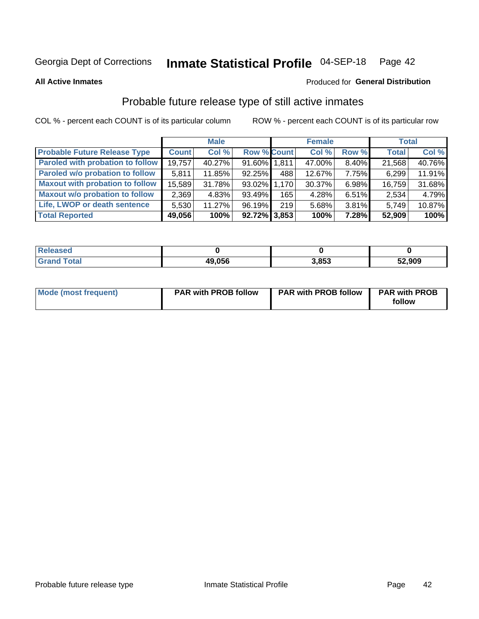#### Inmate Statistical Profile 04-SEP-18 Page 42

**All Active Inmates** 

#### Produced for General Distribution

## Probable future release type of still active inmates

COL % - percent each COUNT is of its particular column

|                                         |              | <b>Male</b> |                    |     | <b>Female</b> |          | Total        |        |
|-----------------------------------------|--------------|-------------|--------------------|-----|---------------|----------|--------------|--------|
| <b>Probable Future Release Type</b>     | <b>Count</b> | Col %       | <b>Row % Count</b> |     | Col %         | Row %    | <b>Total</b> | Col %  |
| <b>Paroled with probation to follow</b> | 19,757       | 40.27%      | 91.60% 1.811       |     | 47.00%        | 8.40%    | 21,568       | 40.76% |
| Paroled w/o probation to follow         | 5,811        | 11.85%      | 92.25%             | 488 | 12.67%        | 7.75%    | 6,299        | 11.91% |
| <b>Maxout with probation to follow</b>  | 15,589       | 31.78%      | 93.02% 1.170       |     | 30.37%        | 6.98%    | 16,759       | 31.68% |
| <b>Maxout w/o probation to follow</b>   | 2,369        | 4.83%       | 93.49%             | 165 | 4.28%         | 6.51%    | 2,534        | 4.79%  |
| Life, LWOP or death sentence            | 5,530        | 11.27%      | 96.19%             | 219 | 5.68%         | $3.81\%$ | 5,749        | 10.87% |
| <b>Total Reported</b>                   | 49,056       | 100%        | $92.72\%$ 3.853    |     | 100%          | 7.28%    | 52,909       | 100%   |

| ased                  |        |       |        |
|-----------------------|--------|-------|--------|
| $f \wedge f \wedge f$ | 49,056 | 3.853 | 52,909 |

| <b>Mode (most frequent)</b> | <b>PAR with PROB follow</b> | <b>PAR with PROB follow</b> | <b>PAR with PROB</b> |
|-----------------------------|-----------------------------|-----------------------------|----------------------|
|                             |                             |                             | follow               |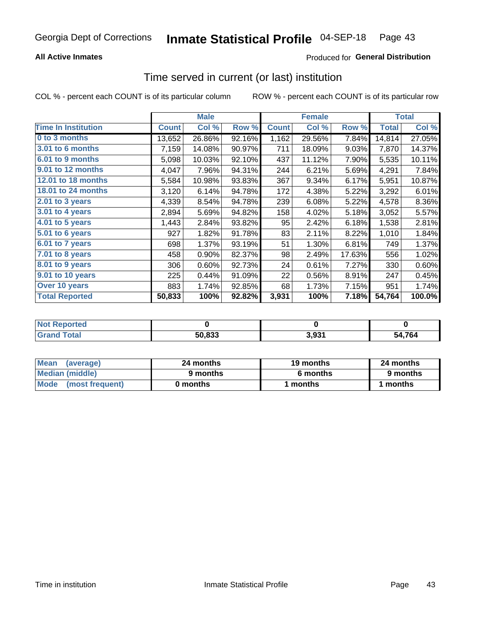### **All Active Inmates**

### Produced for General Distribution

### Time served in current (or last) institution

COL % - percent each COUNT is of its particular column

|                            |              | <b>Male</b> |        |              | <b>Female</b> |        |              | <b>Total</b> |
|----------------------------|--------------|-------------|--------|--------------|---------------|--------|--------------|--------------|
| <b>Time In Institution</b> | <b>Count</b> | Col %       | Row %  | <b>Count</b> | Col %         | Row %  | <b>Total</b> | Col %        |
| 0 to 3 months              | 13,652       | 26.86%      | 92.16% | 1,162        | 29.56%        | 7.84%  | 14,814       | 27.05%       |
| <b>3.01 to 6 months</b>    | 7,159        | 14.08%      | 90.97% | 711          | 18.09%        | 9.03%  | 7,870        | 14.37%       |
| 6.01 to 9 months           | 5,098        | 10.03%      | 92.10% | 437          | 11.12%        | 7.90%  | 5,535        | 10.11%       |
| 9.01 to 12 months          | 4,047        | 7.96%       | 94.31% | 244          | 6.21%         | 5.69%  | 4,291        | 7.84%        |
| 12.01 to 18 months         | 5,584        | 10.98%      | 93.83% | 367          | 9.34%         | 6.17%  | 5,951        | 10.87%       |
| <b>18.01 to 24 months</b>  | 3,120        | 6.14%       | 94.78% | 172          | 4.38%         | 5.22%  | 3,292        | 6.01%        |
| 2.01 to 3 years            | 4,339        | 8.54%       | 94.78% | 239          | 6.08%         | 5.22%  | 4,578        | 8.36%        |
| 3.01 to 4 years            | 2,894        | 5.69%       | 94.82% | 158          | 4.02%         | 5.18%  | 3,052        | 5.57%        |
| $4.01$ to 5 years          | 1,443        | 2.84%       | 93.82% | 95           | 2.42%         | 6.18%  | 1,538        | 2.81%        |
| 5.01 to 6 years            | 927          | 1.82%       | 91.78% | 83           | 2.11%         | 8.22%  | 1,010        | 1.84%        |
| 6.01 to 7 years            | 698          | 1.37%       | 93.19% | 51           | 1.30%         | 6.81%  | 749          | 1.37%        |
| 7.01 to 8 years            | 458          | 0.90%       | 82.37% | 98           | 2.49%         | 17.63% | 556          | 1.02%        |
| $8.01$ to 9 years          | 306          | 0.60%       | 92.73% | 24           | 0.61%         | 7.27%  | 330          | 0.60%        |
| 9.01 to 10 years           | 225          | 0.44%       | 91.09% | 22           | 0.56%         | 8.91%  | 247          | 0.45%        |
| Over 10 years              | 883          | 1.74%       | 92.85% | 68           | 1.73%         | 7.15%  | 951          | 1.74%        |
| <b>Total Reported</b>      | 50,833       | 100%        | 92.82% | 3,931        | 100%          | 7.18%  | 54,764       | 100.0%       |

| Reported<br><b>Not</b> |        |     |            |
|------------------------|--------|-----|------------|
| <b>otal</b>            | 50,833 | 021 | .764<br>בא |

| <b>Mean</b><br>(average) | 24 months | 19 months | 24 months |
|--------------------------|-----------|-----------|-----------|
| Median (middle)          | 9 months  | 6 months  | 9 months  |
| Mode (most frequent)     | 0 months  | months    | 1 months  |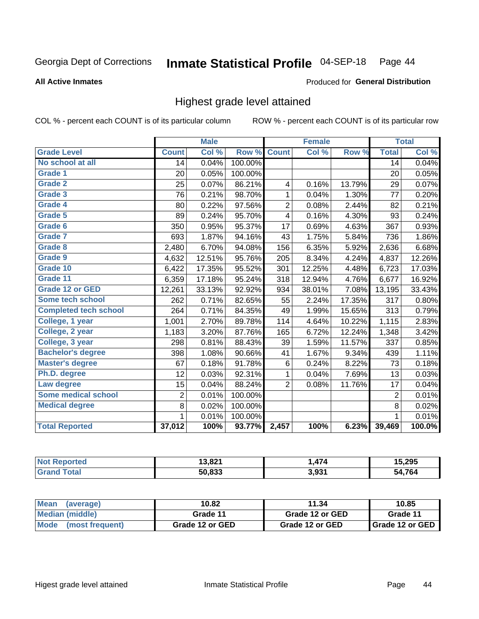#### Inmate Statistical Profile 04-SEP-18 Page 44

#### **All Active Inmates**

#### Produced for General Distribution

### Highest grade level attained

COL % - percent each COUNT is of its particular column

|                              |                 | <b>Male</b> |         |                | <b>Female</b> |        |                 | <b>Total</b> |
|------------------------------|-----------------|-------------|---------|----------------|---------------|--------|-----------------|--------------|
| <b>Grade Level</b>           | <b>Count</b>    | Col %       | Row %   | <b>Count</b>   | Col %         | Row %  | <b>Total</b>    | Col %        |
| No school at all             | $\overline{14}$ | 0.04%       | 100.00% |                |               |        | $\overline{14}$ | 0.04%        |
| <b>Grade 1</b>               | 20              | 0.05%       | 100.00% |                |               |        | 20              | 0.05%        |
| <b>Grade 2</b>               | 25              | 0.07%       | 86.21%  | 4              | 0.16%         | 13.79% | 29              | 0.07%        |
| Grade 3                      | 76              | 0.21%       | 98.70%  | 1              | 0.04%         | 1.30%  | 77              | 0.20%        |
| Grade 4                      | 80              | 0.22%       | 97.56%  | $\overline{2}$ | 0.08%         | 2.44%  | 82              | 0.21%        |
| Grade 5                      | 89              | 0.24%       | 95.70%  | 4              | 0.16%         | 4.30%  | 93              | 0.24%        |
| Grade 6                      | 350             | 0.95%       | 95.37%  | 17             | 0.69%         | 4.63%  | 367             | 0.93%        |
| <b>Grade 7</b>               | 693             | 1.87%       | 94.16%  | 43             | 1.75%         | 5.84%  | 736             | 1.86%        |
| Grade 8                      | 2,480           | 6.70%       | 94.08%  | 156            | 6.35%         | 5.92%  | 2,636           | 6.68%        |
| Grade 9                      | 4,632           | 12.51%      | 95.76%  | 205            | 8.34%         | 4.24%  | 4,837           | 12.26%       |
| Grade 10                     | 6,422           | 17.35%      | 95.52%  | 301            | 12.25%        | 4.48%  | 6,723           | 17.03%       |
| Grade 11                     | 6,359           | 17.18%      | 95.24%  | 318            | 12.94%        | 4.76%  | 6,677           | 16.92%       |
| <b>Grade 12 or GED</b>       | 12,261          | 33.13%      | 92.92%  | 934            | 38.01%        | 7.08%  | 13,195          | 33.43%       |
| <b>Some tech school</b>      | 262             | 0.71%       | 82.65%  | 55             | 2.24%         | 17.35% | 317             | 0.80%        |
| <b>Completed tech school</b> | 264             | 0.71%       | 84.35%  | 49             | 1.99%         | 15.65% | 313             | 0.79%        |
| College, 1 year              | 1,001           | 2.70%       | 89.78%  | 114            | 4.64%         | 10.22% | 1,115           | 2.83%        |
| College, 2 year              | 1,183           | 3.20%       | 87.76%  | 165            | 6.72%         | 12.24% | 1,348           | 3.42%        |
| College, 3 year              | 298             | 0.81%       | 88.43%  | 39             | 1.59%         | 11.57% | 337             | 0.85%        |
| <b>Bachelor's degree</b>     | 398             | 1.08%       | 90.66%  | 41             | 1.67%         | 9.34%  | 439             | 1.11%        |
| <b>Master's degree</b>       | 67              | 0.18%       | 91.78%  | $\,6$          | 0.24%         | 8.22%  | 73              | 0.18%        |
| Ph.D. degree                 | 12              | 0.03%       | 92.31%  | 1              | 0.04%         | 7.69%  | 13              | 0.03%        |
| Law degree                   | 15              | 0.04%       | 88.24%  | $\overline{2}$ | 0.08%         | 11.76% | 17              | 0.04%        |
| <b>Some medical school</b>   | $\overline{2}$  | 0.01%       | 100.00% |                |               |        | 2               | 0.01%        |
| <b>Medical degree</b>        | 8               | 0.02%       | 100.00% |                |               |        | 8               | 0.02%        |
|                              | 1.              | 0.01%       | 100.00% |                |               |        | 1               | 0.01%        |
| <b>Total Reported</b>        | 37,012          | 100%        | 93.77%  | 2,457          | 100%          | 6.23%  | 39,469          | 100.0%       |

| 12.021<br>19.OZ I | 474<br>TI 7 | 5.295 |
|-------------------|-------------|-------|
| EO 000<br>.833    | 3,931       | 70A   |

| ∣Mean<br>(average)   | 10.82           | 11.34           | 10.85           |  |
|----------------------|-----------------|-----------------|-----------------|--|
| Median (middle)      | Grade 11        | Grade 12 or GED | Grade 11        |  |
| Mode (most frequent) | Grade 12 or GED | Grade 12 or GED | Grade 12 or GED |  |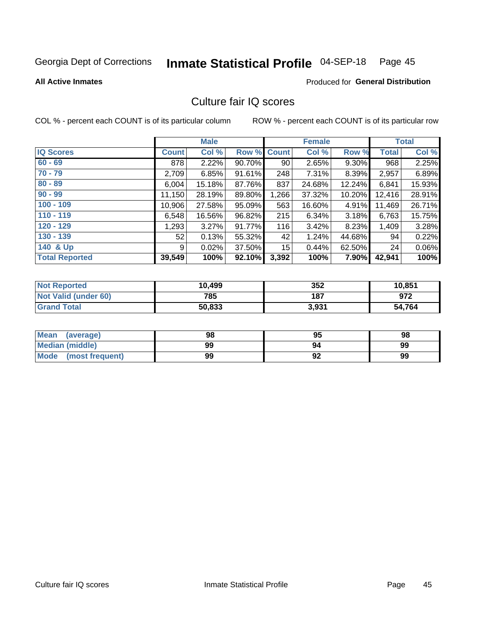# Inmate Statistical Profile 04-SEP-18 Page 45

**All Active Inmates** 

#### **Produced for General Distribution**

## Culture fair IQ scores

COL % - percent each COUNT is of its particular column

|                       |              | <b>Male</b> |             |       | <b>Female</b> |          |              | <b>Total</b> |
|-----------------------|--------------|-------------|-------------|-------|---------------|----------|--------------|--------------|
| <b>IQ Scores</b>      | <b>Count</b> | Col %       | Row % Count |       | Col %         | Row %    | <b>Total</b> | Col %        |
| $60 - 69$             | 878          | 2.22%       | 90.70%      | 90    | 2.65%         | $9.30\%$ | 968          | 2.25%        |
| $70 - 79$             | 2,709        | 6.85%       | 91.61%      | 248   | 7.31%         | 8.39%    | 2,957        | 6.89%        |
| $80 - 89$             | 6,004        | 15.18%      | 87.76%      | 837   | 24.68%        | 12.24%   | 6,841        | 15.93%       |
| $90 - 99$             | 11,150       | 28.19%      | 89.80%      | 1,266 | 37.32%        | 10.20%   | 12,416       | 28.91%       |
| $100 - 109$           | 10,906       | 27.58%      | 95.09%      | 563   | 16.60%        | 4.91%    | 11,469       | 26.71%       |
| $110 - 119$           | 6,548        | 16.56%      | 96.82%      | 215   | 6.34%         | 3.18%    | 6,763        | 15.75%       |
| $120 - 129$           | 1,293        | 3.27%       | 91.77%      | 116   | 3.42%         | 8.23%    | 1,409        | 3.28%        |
| $130 - 139$           | 52           | 0.13%       | 55.32%      | 42    | 1.24%         | 44.68%   | 94           | 0.22%        |
| 140 & Up              | 9            | 0.02%       | 37.50%      | 15    | 0.44%         | 62.50%   | 24           | 0.06%        |
| <b>Total Reported</b> | 39,549       | 100%        | 92.10%      | 3,392 | 100%          | 7.90%    | 42,941       | 100%         |

| <b>Not Reported</b>         | 10,499 | 352   | 10,851 |
|-----------------------------|--------|-------|--------|
| <b>Not Valid (under 60)</b> | 785    | 187   | 972    |
| <b>Grand Total</b>          | 50,833 | 3,931 | 54,764 |

| <b>Mean</b><br>(average)       | 98 | 95      | 98 |
|--------------------------------|----|---------|----|
| <b>Median (middle)</b>         | 99 | 94      | 99 |
| <b>Mode</b><br>(most frequent) | 99 | ٥٥<br>∍ | 99 |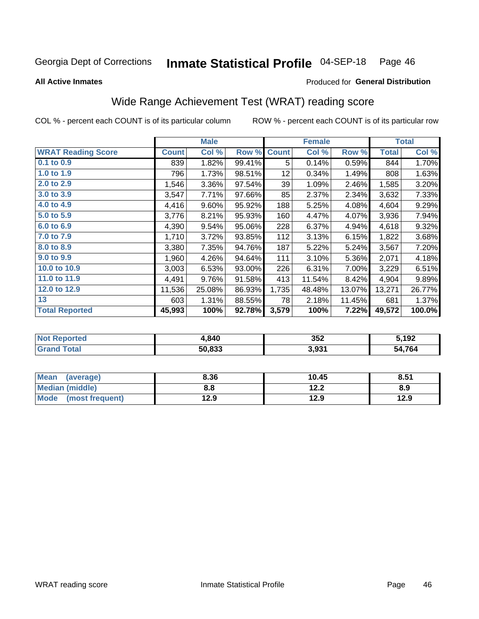#### Inmate Statistical Profile 04-SEP-18 Page 46

**All Active Inmates** 

### **Produced for General Distribution**

## Wide Range Achievement Test (WRAT) reading score

COL % - percent each COUNT is of its particular column

|                           |              | <b>Male</b> |        |              | <b>Female</b> |        |              | <b>Total</b> |
|---------------------------|--------------|-------------|--------|--------------|---------------|--------|--------------|--------------|
| <b>WRAT Reading Score</b> | <b>Count</b> | Col %       | Row %  | <b>Count</b> | Col %         | Row %  | <b>Total</b> | Col %        |
| 0.1 to 0.9                | 839          | 1.82%       | 99.41% | 5            | 0.14%         | 0.59%  | 844          | 1.70%        |
| 1.0 to 1.9                | 796          | 1.73%       | 98.51% | 12           | 0.34%         | 1.49%  | 808          | 1.63%        |
| 2.0 to 2.9                | 1,546        | 3.36%       | 97.54% | 39           | 1.09%         | 2.46%  | 1,585        | 3.20%        |
| 3.0 to 3.9                | 3,547        | 7.71%       | 97.66% | 85           | 2.37%         | 2.34%  | 3,632        | 7.33%        |
| 4.0 to 4.9                | 4,416        | 9.60%       | 95.92% | 188          | 5.25%         | 4.08%  | 4,604        | 9.29%        |
| 5.0 to 5.9                | 3,776        | 8.21%       | 95.93% | 160          | 4.47%         | 4.07%  | 3,936        | 7.94%        |
| 6.0 to 6.9                | 4,390        | 9.54%       | 95.06% | 228          | 6.37%         | 4.94%  | 4,618        | 9.32%        |
| 7.0 to 7.9                | 1,710        | 3.72%       | 93.85% | 112          | 3.13%         | 6.15%  | 1,822        | 3.68%        |
| 8.0 to 8.9                | 3,380        | 7.35%       | 94.76% | 187          | 5.22%         | 5.24%  | 3,567        | 7.20%        |
| 9.0 to 9.9                | 1,960        | 4.26%       | 94.64% | 111          | 3.10%         | 5.36%  | 2,071        | 4.18%        |
| 10.0 to 10.9              | 3,003        | 6.53%       | 93.00% | 226          | 6.31%         | 7.00%  | 3,229        | 6.51%        |
| 11.0 to 11.9              | 4,491        | 9.76%       | 91.58% | 413          | 11.54%        | 8.42%  | 4,904        | 9.89%        |
| 12.0 to 12.9              | 11,536       | 25.08%      | 86.93% | 1,735        | 48.48%        | 13.07% | 13,271       | 26.77%       |
| 13                        | 603          | 1.31%       | 88.55% | 78           | 2.18%         | 11.45% | 681          | 1.37%        |
| <b>Total Reported</b>     | 45,993       | 100%        | 92.78% | 3,579        | 100%          | 7.22%  | 49,572       | 100.0%       |

| <b>nted</b><br>NO | 1,840  | 352   | 5,192       |
|-------------------|--------|-------|-------------|
| $T$ otol $T$      | 50,833 | 3,931 | 4,764<br>יש |

| <b>Mean</b><br>(average) | 8.36 | 10.45 | 8.51 |
|--------------------------|------|-------|------|
| Median (middle)          | 8.8  | 12.2  | 8.9  |
| Mode<br>(most frequent)  | 12.9 | 12.9  | 12.9 |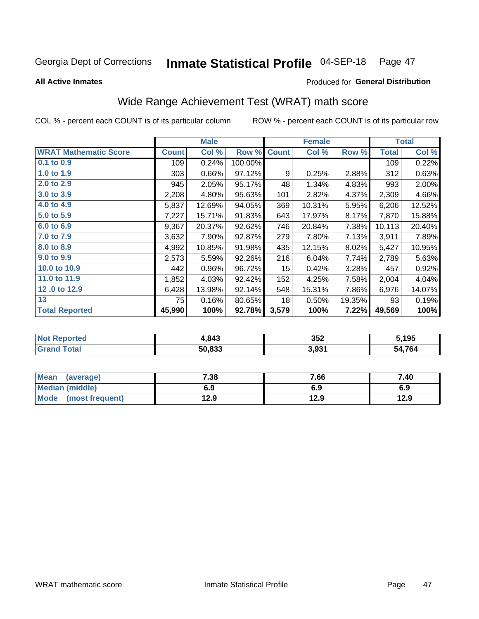#### Inmate Statistical Profile 04-SEP-18 Page 47

**All Active Inmates** 

### Produced for General Distribution

## Wide Range Achievement Test (WRAT) math score

COL % - percent each COUNT is of its particular column

|                              |              | <b>Male</b> |         |              | <b>Female</b> |        |              | <b>Total</b> |
|------------------------------|--------------|-------------|---------|--------------|---------------|--------|--------------|--------------|
| <b>WRAT Mathematic Score</b> | <b>Count</b> | Col %       | Row %   | <b>Count</b> | Col %         | Row %  | <b>Total</b> | Col %        |
| 0.1 to 0.9                   | 109          | 0.24%       | 100.00% |              |               |        | 109          | 0.22%        |
| 1.0 to 1.9                   | 303          | 0.66%       | 97.12%  | 9            | 0.25%         | 2.88%  | 312          | 0.63%        |
| 2.0 to 2.9                   | 945          | 2.05%       | 95.17%  | 48           | 1.34%         | 4.83%  | 993          | 2.00%        |
| 3.0 to 3.9                   | 2,208        | 4.80%       | 95.63%  | 101          | 2.82%         | 4.37%  | 2,309        | 4.66%        |
| 4.0 to 4.9                   | 5,837        | 12.69%      | 94.05%  | 369          | 10.31%        | 5.95%  | 6,206        | 12.52%       |
| 5.0 to 5.9                   | 7,227        | 15.71%      | 91.83%  | 643          | 17.97%        | 8.17%  | 7,870        | 15.88%       |
| 6.0 to 6.9                   | 9,367        | 20.37%      | 92.62%  | 746          | 20.84%        | 7.38%  | 10,113       | 20.40%       |
| 7.0 to 7.9                   | 3,632        | 7.90%       | 92.87%  | 279          | 7.80%         | 7.13%  | 3,911        | 7.89%        |
| 8.0 to 8.9                   | 4,992        | 10.85%      | 91.98%  | 435          | 12.15%        | 8.02%  | 5,427        | 10.95%       |
| 9.0 to 9.9                   | 2,573        | 5.59%       | 92.26%  | 216          | 6.04%         | 7.74%  | 2,789        | 5.63%        |
| 10.0 to 10.9                 | 442          | 0.96%       | 96.72%  | 15           | 0.42%         | 3.28%  | 457          | 0.92%        |
| 11.0 to 11.9                 | 1,852        | 4.03%       | 92.42%  | 152          | 4.25%         | 7.58%  | 2,004        | 4.04%        |
| 12.0 to 12.9                 | 6,428        | 13.98%      | 92.14%  | 548          | 15.31%        | 7.86%  | 6,976        | 14.07%       |
| 13                           | 75           | 0.16%       | 80.65%  | 18           | 0.50%         | 19.35% | 93           | 0.19%        |
| <b>Total Reported</b>        | 45,990       | 100%        | 92.78%  | 3,579        | 100%          | 7.22%  | 49,569       | 100%         |

| orted | .843   | 352   | 195         |
|-------|--------|-------|-------------|
| otal  | 50,833 | 3,931 | 4,764<br>מי |

| <b>Mean</b><br>(average) | 7.38 | 7.66 | 7.40 |
|--------------------------|------|------|------|
| Median (middle)          | 6.9  | 6.9  | 6.9  |
| Mode<br>(most frequent)  | 12.9 | 12.9 | 12.9 |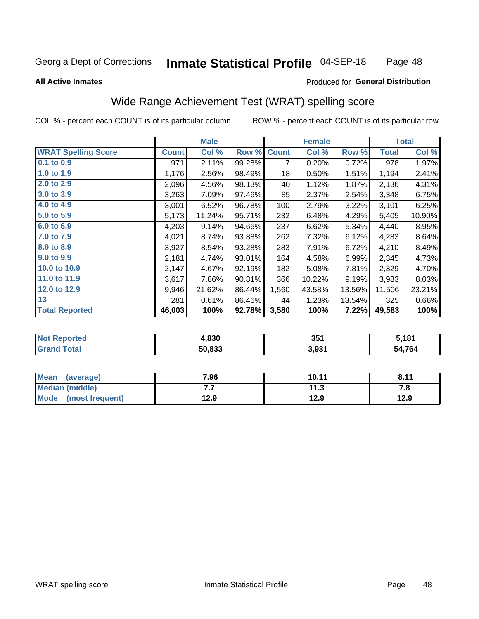#### Inmate Statistical Profile 04-SEP-18 Page 48

#### **All Active Inmates**

### Produced for General Distribution

## Wide Range Achievement Test (WRAT) spelling score

COL % - percent each COUNT is of its particular column

|                            |              | <b>Male</b> |        |              | <b>Female</b> |        |              | <b>Total</b> |
|----------------------------|--------------|-------------|--------|--------------|---------------|--------|--------------|--------------|
| <b>WRAT Spelling Score</b> | <b>Count</b> | Col %       | Row %  | <b>Count</b> | Col %         | Row %  | <b>Total</b> | Col %        |
| $0.1$ to $0.9$             | 971          | 2.11%       | 99.28% | 7            | 0.20%         | 0.72%  | 978          | 1.97%        |
| 1.0 to 1.9                 | 1,176        | 2.56%       | 98.49% | 18           | 0.50%         | 1.51%  | 1,194        | 2.41%        |
| 2.0 to 2.9                 | 2,096        | 4.56%       | 98.13% | 40           | 1.12%         | 1.87%  | 2,136        | 4.31%        |
| 3.0 to 3.9                 | 3,263        | 7.09%       | 97.46% | 85           | 2.37%         | 2.54%  | 3,348        | 6.75%        |
| 4.0 to 4.9                 | 3,001        | 6.52%       | 96.78% | 100          | 2.79%         | 3.22%  | 3,101        | 6.25%        |
| 5.0 to 5.9                 | 5,173        | 11.24%      | 95.71% | 232          | 6.48%         | 4.29%  | 5,405        | 10.90%       |
| 6.0 to 6.9                 | 4,203        | 9.14%       | 94.66% | 237          | 6.62%         | 5.34%  | 4,440        | 8.95%        |
| 7.0 to 7.9                 | 4,021        | 8.74%       | 93.88% | 262          | 7.32%         | 6.12%  | 4,283        | 8.64%        |
| 8.0 to 8.9                 | 3,927        | 8.54%       | 93.28% | 283          | 7.91%         | 6.72%  | 4,210        | 8.49%        |
| 9.0 to 9.9                 | 2,181        | 4.74%       | 93.01% | 164          | 4.58%         | 6.99%  | 2,345        | 4.73%        |
| 10.0 to 10.9               | 2,147        | 4.67%       | 92.19% | 182          | 5.08%         | 7.81%  | 2,329        | 4.70%        |
| 11.0 to 11.9               | 3,617        | 7.86%       | 90.81% | 366          | 10.22%        | 9.19%  | 3,983        | 8.03%        |
| 12.0 to 12.9               | 9,946        | 21.62%      | 86.44% | 1,560        | 43.58%        | 13.56% | 11,506       | 23.21%       |
| 13                         | 281          | 0.61%       | 86.46% | 44           | 1.23%         | 13.54% | 325          | 0.66%        |
| <b>Total Reported</b>      | 46,003       | 100%        | 92.78% | 3,580        | 100%          | 7.22%  | 49,583       | 100%         |

| Tea.<br>NO     | 4,830  | 351   | 5.181       |
|----------------|--------|-------|-------------|
| T <sub>1</sub> | 50,833 | 3,931 | 4,764<br>יש |

| <b>Mean</b><br>(average) | 7.96 | 10.11 | 9.11<br>. O.I. |
|--------------------------|------|-------|----------------|
| Median (middle)          | .    | 11.3  | 7. L           |
| Mode<br>(most frequent)  | 12.9 | 12.9  | 12.9           |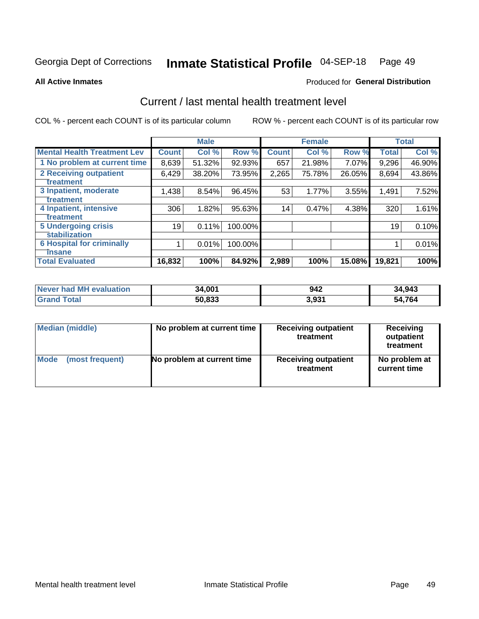#### Inmate Statistical Profile 04-SEP-18 Page 49

**All Active Inmates** 

### **Produced for General Distribution**

## Current / last mental health treatment level

COL % - percent each COUNT is of its particular column

|                                    |              | <b>Male</b> |         |              | <b>Female</b> |        |              | <b>Total</b> |
|------------------------------------|--------------|-------------|---------|--------------|---------------|--------|--------------|--------------|
| <b>Mental Health Treatment Lev</b> | <b>Count</b> | Col %       | Row %   | <b>Count</b> | Col %         | Row %  | <b>Total</b> | Col %        |
| 1 No problem at current time       | 8,639        | 51.32%      | 92.93%  | 657          | 21.98%        | 7.07%  | 9,296        | 46.90%       |
| 2 Receiving outpatient             | 6,429        | 38.20%      | 73.95%  | 2,265        | 75.78%        | 26.05% | 8,694        | 43.86%       |
| <b>Treatment</b>                   |              |             |         |              |               |        |              |              |
| 3 Inpatient, moderate              | 1,438        | 8.54%       | 96.45%  | 53           | 1.77%         | 3.55%  | 1,491        | 7.52%        |
| <b>Treatment</b>                   |              |             |         |              |               |        |              |              |
| 4 Inpatient, intensive             | 306          | 1.82%       | 95.63%  | 14           | 0.47%         | 4.38%  | 320          | 1.61%        |
| Treatment                          |              |             |         |              |               |        |              |              |
| <b>5 Undergoing crisis</b>         | 19           | 0.11%       | 100.00% |              |               |        | 19           | 0.10%        |
| <b>Stabilization</b>               |              |             |         |              |               |        |              |              |
| <b>6 Hospital for criminally</b>   |              | 0.01%       | 100.00% |              |               |        |              | 0.01%        |
| <b>Tinsane</b>                     |              |             |         |              |               |        |              |              |
| <b>Total Evaluated</b>             | 16,832       | 100%        | 84.92%  | 2,989        | 100%          | 15.08% | 19,821       | 100%         |

| Never had MH evaluation | 34.001 | 942               | 34,943 |
|-------------------------|--------|-------------------|--------|
| $\tau$ otal             | 50,833 | 3.93 <sup>4</sup> | 54,764 |

| Median (middle) | No problem at current time | <b>Receiving outpatient</b><br>treatment | <b>Receiving</b><br>outpatient<br>treatment |  |  |
|-----------------|----------------------------|------------------------------------------|---------------------------------------------|--|--|
| <b>Mode</b>     | No problem at current time | <b>Receiving outpatient</b>              | No problem at                               |  |  |
| (most frequent) |                            | treatment                                | current time                                |  |  |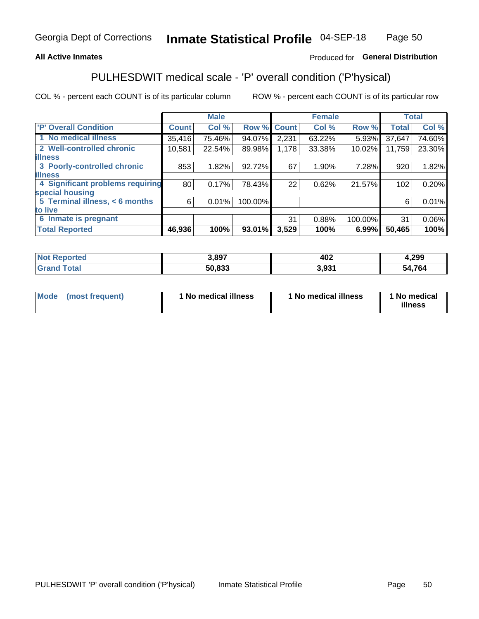### **All Active Inmates**

### Produced for General Distribution

## PULHESDWIT medical scale - 'P' overall condition ('P'hysical)

COL % - percent each COUNT is of its particular column

|                                  |              | <b>Male</b> |         |              | <b>Female</b> |         |              | <b>Total</b> |
|----------------------------------|--------------|-------------|---------|--------------|---------------|---------|--------------|--------------|
| 'P' Overall Condition            | <b>Count</b> | Col %       | Row %   | <b>Count</b> | Col %         | Row %   | <b>Total</b> | Col %        |
| 1 No medical illness             | 35,416       | 75.46%      | 94.07%  | 2,231        | 63.22%        | 5.93%   | 37,647       | 74.60%       |
| 2 Well-controlled chronic        | 10,581       | 22.54%      | 89.98%  | 1,178        | 33.38%        | 10.02%  | 11,759       | 23.30%       |
| <b>illness</b>                   |              |             |         |              |               |         |              |              |
| 3 Poorly-controlled chronic      | 853          | 1.82%       | 92.72%  | 67           | 1.90%         | 7.28%   | 920          | 1.82%        |
| <b>illness</b>                   |              |             |         |              |               |         |              |              |
| 4 Significant problems requiring | 80           | 0.17%       | 78.43%  | 22           | 0.62%         | 21.57%  | 102          | 0.20%        |
| special housing                  |              |             |         |              |               |         |              |              |
| 5 Terminal illness, < 6 months   | 6            | 0.01%       | 100.00% |              |               |         | 6            | 0.01%        |
| to live                          |              |             |         |              |               |         |              |              |
| 6 Inmate is pregnant             |              |             |         | 31           | 0.88%         | 100.00% | 31           | $0.06\%$     |
| <b>Total Reported</b>            | 46,936       | 100%        | 93.01%  | 3,529        | 100%          | 6.99%   | 50,465       | 100%         |

| тео | 3,897  | 402 | ,299       |
|-----|--------|-----|------------|
|     | an nan | 021 | .764<br>מר |

| Mode | (most frequent) | 1 No medical illness | 1 No medical illness | 1 No medical<br>illness |
|------|-----------------|----------------------|----------------------|-------------------------|
|------|-----------------|----------------------|----------------------|-------------------------|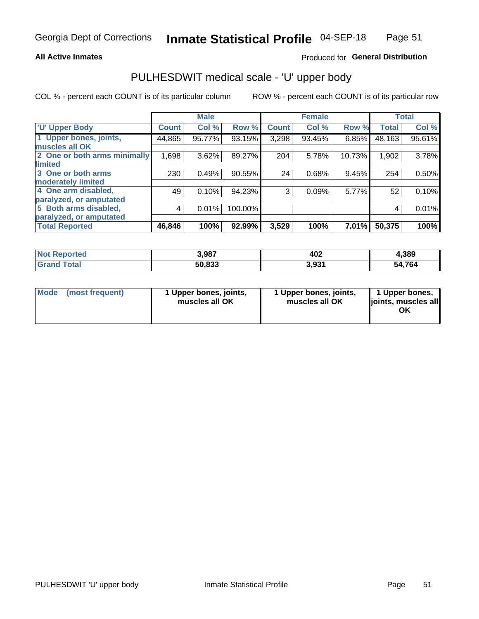### **All Active Inmates**

### Produced for General Distribution

# PULHESDWIT medical scale - 'U' upper body

COL % - percent each COUNT is of its particular column

|                              |              | <b>Male</b> |         |              | <b>Female</b> |        |              | <b>Total</b> |
|------------------------------|--------------|-------------|---------|--------------|---------------|--------|--------------|--------------|
| <b>U' Upper Body</b>         | <b>Count</b> | Col %       | Row %   | <b>Count</b> | Col %         | Row %  | <b>Total</b> | Col %        |
| 1 Upper bones, joints,       | 44,865       | 95.77%      | 93.15%  | 3,298        | 93.45%        | 6.85%  | 48,163       | 95.61%       |
| muscles all OK               |              |             |         |              |               |        |              |              |
| 2 One or both arms minimally | 1,698        | 3.62%       | 89.27%  | 204          | 5.78%         | 10.73% | 1,902        | 3.78%        |
| limited                      |              |             |         |              |               |        |              |              |
| 3 One or both arms           | 230          | 0.49%       | 90.55%  | 24           | 0.68%         | 9.45%  | 254          | 0.50%        |
| <b>moderately limited</b>    |              |             |         |              |               |        |              |              |
| 4 One arm disabled,          | 49           | 0.10%       | 94.23%  | 3            | 0.09%         | 5.77%  | 52           | 0.10%        |
| paralyzed, or amputated      |              |             |         |              |               |        |              |              |
| 5 Both arms disabled,        | 4            | 0.01%       | 100.00% |              |               |        | 4            | 0.01%        |
| paralyzed, or amputated      |              |             |         |              |               |        |              |              |
| <b>Total Reported</b>        | 46,846       | 100%        | 92.99%  | 3,529        | 100%          | 7.01%  | 50,375       | 100%         |

| <b>Not Reported</b> | 3,987  | 402   | 1,389  |
|---------------------|--------|-------|--------|
| Total<br>Grand      | 50,833 | 3,931 | 54,764 |

| Mode (most frequent) | 1 Upper bones, joints,<br>muscles all OK | 1 Upper bones, joints,<br>muscles all OK | 1 Upper bones,<br>joints, muscles all<br>ΟK |
|----------------------|------------------------------------------|------------------------------------------|---------------------------------------------|
|----------------------|------------------------------------------|------------------------------------------|---------------------------------------------|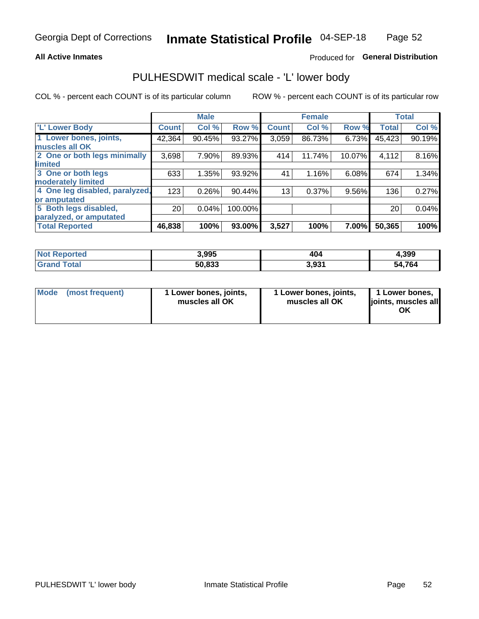### **All Active Inmates**

### Produced for General Distribution

## PULHESDWIT medical scale - 'L' lower body

COL % - percent each COUNT is of its particular column

|                                |                 | <b>Male</b> |         |              | <b>Female</b> |        |              | <b>Total</b> |
|--------------------------------|-----------------|-------------|---------|--------------|---------------|--------|--------------|--------------|
| 'L' Lower Body                 | <b>Count</b>    | Col %       | Row %   | <b>Count</b> | Col %         | Row %  | <b>Total</b> | Col %        |
| 1 Lower bones, joints,         | 42,364          | 90.45%      | 93.27%  | 3,059        | 86.73%        | 6.73%  | 45,423       | 90.19%       |
| muscles all OK                 |                 |             |         |              |               |        |              |              |
| 2 One or both legs minimally   | 3,698           | 7.90%       | 89.93%  | 414          | 11.74%        | 10.07% | 4,112        | 8.16%        |
| limited                        |                 |             |         |              |               |        |              |              |
| 3 One or both legs             | 633             | 1.35%       | 93.92%  | 41           | 1.16%         | 6.08%  | 674          | 1.34%        |
| moderately limited             |                 |             |         |              |               |        |              |              |
| 4 One leg disabled, paralyzed, | 123             | 0.26%       | 90.44%  | 13           | 0.37%         | 9.56%  | 136          | 0.27%        |
| or amputated                   |                 |             |         |              |               |        |              |              |
| 5 Both legs disabled,          | 20 <sub>1</sub> | 0.04%       | 100.00% |              |               |        | 20           | 0.04%        |
| paralyzed, or amputated        |                 |             |         |              |               |        |              |              |
| <b>Total Reported</b>          | 46,838          | 100%        | 93.00%  | 3,527        | 100%          | 7.00%  | 50,365       | 100%         |

| <b>Not Reported</b>   | 3,995  | 404   | 4,399  |
|-----------------------|--------|-------|--------|
| <b>Total</b><br>Grand | 50,833 | 3,931 | 54,764 |

| Mode | (most frequent) | 1 Lower bones, joints,<br>muscles all OK | 1 Lower bones, joints,<br>muscles all OK | 1 Lower bones,<br>joints, muscles all<br>ΟK |
|------|-----------------|------------------------------------------|------------------------------------------|---------------------------------------------|
|------|-----------------|------------------------------------------|------------------------------------------|---------------------------------------------|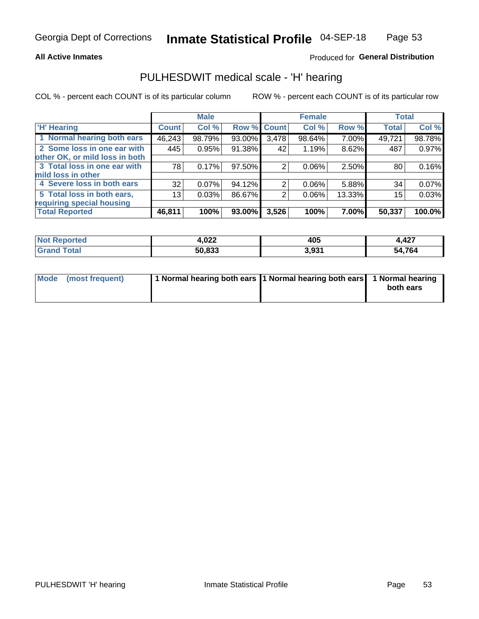### **All Active Inmates**

### Produced for General Distribution

### PULHESDWIT medical scale - 'H' hearing

COL % - percent each COUNT is of its particular column

|                                |              | <b>Male</b> |        |             | <b>Female</b> |        | <b>Total</b> |        |
|--------------------------------|--------------|-------------|--------|-------------|---------------|--------|--------------|--------|
| <b>H' Hearing</b>              | <b>Count</b> | Col %       |        | Row % Count | Col %         | Row %  | <b>Total</b> | Col %  |
| 1 Normal hearing both ears     | 46,243       | 98.79%      | 93.00% | 3,478       | 98.64%        | 7.00%  | 49,721       | 98.78% |
| 2 Some loss in one ear with    | 445          | 0.95%       | 91.38% | 42          | 1.19%         | 8.62%  | 487          | 0.97%  |
| other OK, or mild loss in both |              |             |        |             |               |        |              |        |
| 3 Total loss in one ear with   | 78           | 0.17%       | 97.50% | 2           | 0.06%         | 2.50%  | 80           | 0.16%  |
| mild loss in other             |              |             |        |             |               |        |              |        |
| 4 Severe loss in both ears     | 32           | 0.07%       | 94.12% | 2           | $0.06\%$      | 5.88%  | 34           | 0.07%  |
| 5 Total loss in both ears,     | 13           | 0.03%       | 86.67% | 2           | 0.06%         | 13.33% | 15           | 0.03%  |
| requiring special housing      |              |             |        |             |               |        |              |        |
| <b>Total Reported</b>          | 46,811       | 100%        | 93.00% | 3,526       | 100%          | 7.00%  | 50,337       | 100.0% |

| rted<br><b>NOT</b> | nnn<br>1.V <i>ll</i> | 405        | 1,427  |
|--------------------|----------------------|------------|--------|
|                    | 50,833               | 3.931<br>. | 54,764 |

| Mode (most frequent) | 1 Normal hearing both ears 11 Normal hearing both ears 1 Normal hearing | both ears |
|----------------------|-------------------------------------------------------------------------|-----------|
|                      |                                                                         |           |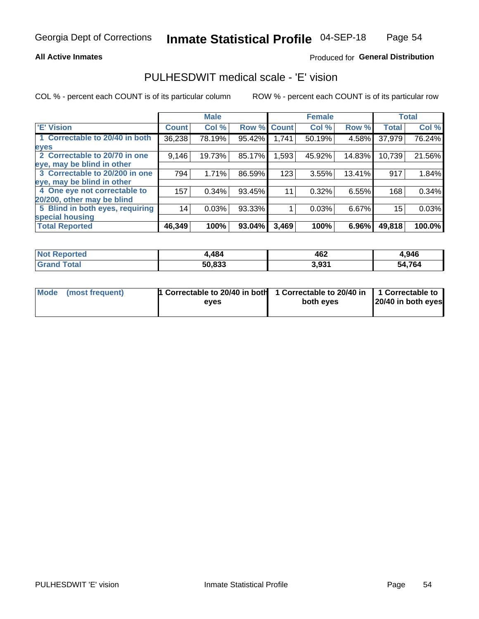### **All Active Inmates**

### Produced for General Distribution

### PULHESDWIT medical scale - 'E' vision

COL % - percent each COUNT is of its particular column

|                                 |              | <b>Male</b> |        |              | <b>Female</b> |        |              | <b>Total</b> |
|---------------------------------|--------------|-------------|--------|--------------|---------------|--------|--------------|--------------|
| <b>E' Vision</b>                | <b>Count</b> | Col %       | Row %  | <b>Count</b> | Col %         | Row %  | <b>Total</b> | Col %        |
| 1 Correctable to 20/40 in both  | 36,238       | 78.19%      | 95.42% | 1,741        | 50.19%        | 4.58%  | 37,979       | 76.24%       |
| eyes                            |              |             |        |              |               |        |              |              |
| 2 Correctable to 20/70 in one   | 9,146        | 19.73%      | 85.17% | 1,593        | 45.92%        | 14.83% | 10,739       | 21.56%       |
| eye, may be blind in other      |              |             |        |              |               |        |              |              |
| 3 Correctable to 20/200 in one  | 794          | 1.71%       | 86.59% | 123          | 3.55%         | 13.41% | 917          | 1.84%        |
| eye, may be blind in other      |              |             |        |              |               |        |              |              |
| 4 One eye not correctable to    | 157          | 0.34%       | 93.45% | 11           | 0.32%         | 6.55%  | 168          | 0.34%        |
| 20/200, other may be blind      |              |             |        |              |               |        |              |              |
| 5 Blind in both eyes, requiring | 14           | 0.03%       | 93.33% |              | 0.03%         | 6.67%  | 15           | 0.03%        |
| special housing                 |              |             |        |              |               |        |              |              |
| <b>Total Reported</b>           | 46,349       | 100%        | 93.04% | 3,469        | 100%          | 6.96%  | 49,818       | 100.0%       |

| <b>Not Reported</b> | .484   | 462   | 4,946       |
|---------------------|--------|-------|-------------|
| Гоtal               | 50,833 | 3,931 | 4,764<br>54 |

| Mode (most frequent) | 1 Correctable to 20/40 in both<br>eves | 1 Correctable to 20/40 in   1 Correctable to  <br>both eves | 20/40 in both eyes |  |
|----------------------|----------------------------------------|-------------------------------------------------------------|--------------------|--|
|                      |                                        |                                                             |                    |  |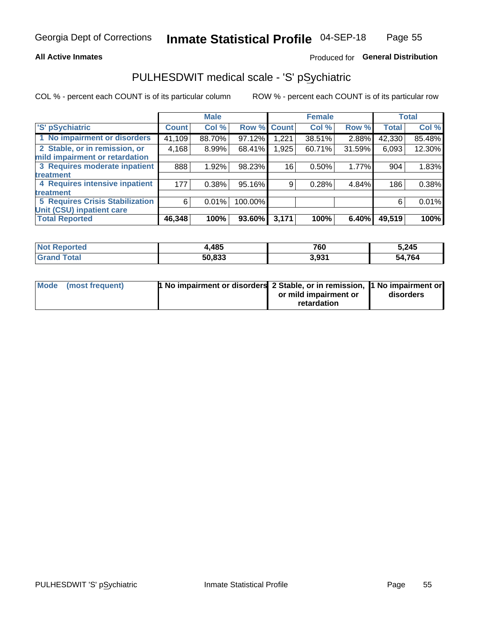### **All Active Inmates**

### Produced for General Distribution

## PULHESDWIT medical scale - 'S' pSychiatric

COL % - percent each COUNT is of its particular column

|                                        |              | <b>Male</b> |         |              | <b>Female</b> |        |              | <b>Total</b> |
|----------------------------------------|--------------|-------------|---------|--------------|---------------|--------|--------------|--------------|
| 'S' pSychiatric                        | <b>Count</b> | Col %       | Row %   | <b>Count</b> | Col %         | Row %  | <b>Total</b> | Col %        |
| 1 No impairment or disorders           | 41,109       | 88.70%      | 97.12%  | ,221         | 38.51%        | 2.88%  | 42,330       | 85.48%       |
| 2 Stable, or in remission, or          | 4,168        | 8.99%       | 68.41%  | ,925         | 60.71%        | 31.59% | 6,093        | 12.30%       |
| mild impairment or retardation         |              |             |         |              |               |        |              |              |
| 3 Requires moderate inpatient          | 888          | 1.92%       | 98.23%  | 16           | 0.50%         | 1.77%  | 904          | 1.83%        |
| treatment                              |              |             |         |              |               |        |              |              |
| 4 Requires intensive inpatient         | 177          | 0.38%       | 95.16%  | 9            | 0.28%         | 4.84%  | 186          | 0.38%        |
| treatment                              |              |             |         |              |               |        |              |              |
| <b>5 Requires Crisis Stabilization</b> | 6            | 0.01%       | 100.00% |              |               |        | 6            | 0.01%        |
| Unit (CSU) inpatient care              |              |             |         |              |               |        |              |              |
| <b>Total Reported</b>                  | 46,348       | 100%        | 93.60%  | 3,171        | 100%          | 6.40%  | 49,519       | 100%         |

| <b>Not Reported</b> | .485   | 760   | 5,245       |
|---------------------|--------|-------|-------------|
| Total               | 50,833 | 3,931 | 4,764<br>54 |

| Mode (most frequent) | <b>t No impairment or disorders 2 Stable, or in remission, 1 No impairment or</b> |                       |           |
|----------------------|-----------------------------------------------------------------------------------|-----------------------|-----------|
|                      |                                                                                   | or mild impairment or | disorders |
|                      |                                                                                   | retardation           |           |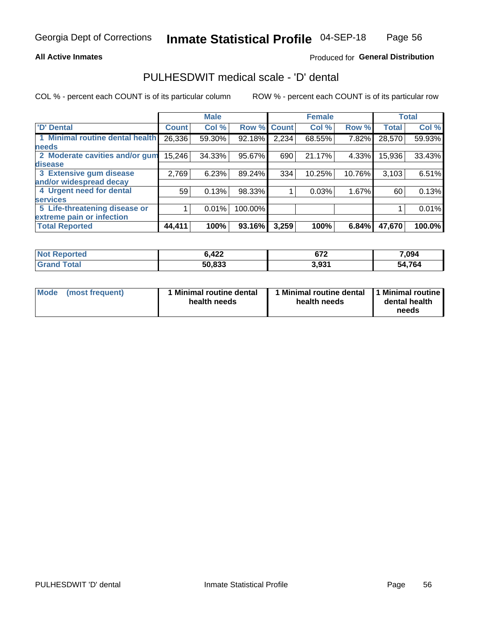### **All Active Inmates**

### Produced for General Distribution

## PULHESDWIT medical scale - 'D' dental

COL % - percent each COUNT is of its particular column

|                                 |              | <b>Male</b> |         |              | <b>Female</b> |        |              | <b>Total</b> |
|---------------------------------|--------------|-------------|---------|--------------|---------------|--------|--------------|--------------|
| <b>D'</b> Dental                | <b>Count</b> | Col %       | Row %   | <b>Count</b> | Col %         | Row %  | <b>Total</b> | Col %        |
| 1 Minimal routine dental health | 26,336       | 59.30%      | 92.18%  | 2,234        | 68.55%        | 7.82%  | 28,570       | 59.93%       |
| <b>needs</b>                    |              |             |         |              |               |        |              |              |
| 2 Moderate cavities and/or gum  | 15,246       | 34.33%      | 95.67%  | 690          | 21.17%        | 4.33%  | 15,936       | 33.43%       |
| disease                         |              |             |         |              |               |        |              |              |
| 3 Extensive gum disease         | 2,769        | 6.23%       | 89.24%  | 334          | 10.25%        | 10.76% | 3,103        | 6.51%        |
| and/or widespread decay         |              |             |         |              |               |        |              |              |
| 4 Urgent need for dental        | 59           | 0.13%       | 98.33%  |              | 0.03%         | 1.67%  | 60           | 0.13%        |
| <b>services</b>                 |              |             |         |              |               |        |              |              |
| 5 Life-threatening disease or   |              | 0.01%       | 100.00% |              |               |        |              | 0.01%        |
| extreme pain or infection       |              |             |         |              |               |        |              |              |
| <b>Total Reported</b>           | 44,411       | 100%        | 93.16%  | 3,259        | 100%          | 6.84%  | 47,670       | 100.0%       |

| <b>Not Reported</b>     | 6,422  | ~70<br>07 Z | 7,094  |
|-------------------------|--------|-------------|--------|
| <b>Total</b><br>' Grand | 50,833 | 3,931       | 54,764 |

| 1 Minimal routine dental<br>Mode<br>(most frequent)<br>health needs | 1 Minimal routine dental 1 Minimal routine<br>health needs | dental health<br>needs |
|---------------------------------------------------------------------|------------------------------------------------------------|------------------------|
|---------------------------------------------------------------------|------------------------------------------------------------|------------------------|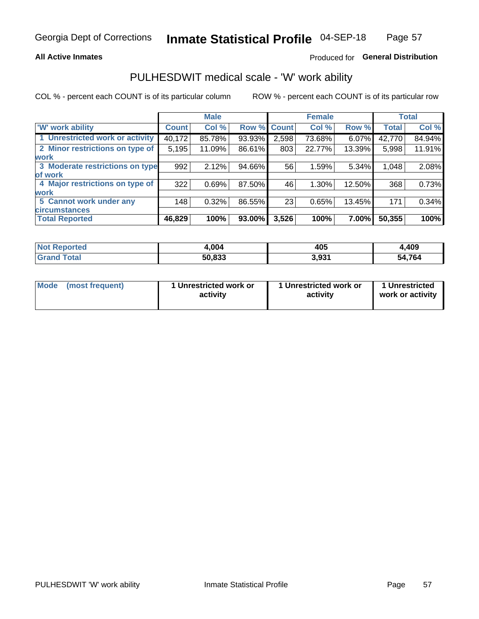### **All Active Inmates**

### Produced for General Distribution

## PULHESDWIT medical scale - 'W' work ability

COL % - percent each COUNT is of its particular column

|                                 |              | <b>Male</b> |        |             | <b>Female</b> |        |              | <b>Total</b> |
|---------------------------------|--------------|-------------|--------|-------------|---------------|--------|--------------|--------------|
| 'W' work ability                | <b>Count</b> | Col %       |        | Row % Count | Col %         | Row %  | <b>Total</b> | Col %        |
| 1 Unrestricted work or activity | 40,172       | 85.78%      | 93.93% | 2,598       | 73.68%        | 6.07%  | 42,770       | 84.94%       |
| 2 Minor restrictions on type of | 5,195        | 11.09%      | 86.61% | 803         | 22.77%        | 13.39% | 5,998        | 11.91%       |
| <b>work</b>                     |              |             |        |             |               |        |              |              |
| 3 Moderate restrictions on type | 992          | 2.12%       | 94.66% | 56          | 1.59%         | 5.34%  | 1,048        | 2.08%        |
| lof work                        |              |             |        |             |               |        |              |              |
| 4 Major restrictions on type of | 322          | 0.69%       | 87.50% | 46          | 1.30%         | 12.50% | 368          | 0.73%        |
| <b>work</b>                     |              |             |        |             |               |        |              |              |
| 5 Cannot work under any         | 148          | 0.32%       | 86.55% | 23          | 0.65%         | 13.45% | 171          | 0.34%        |
| <b>circumstances</b>            |              |             |        |             |               |        |              |              |
| <b>Total Reported</b>           | 46,829       | 100%        | 93.00% | 3,526       | 100%          | 7.00%  | 50,355       | 100%         |

| <b>Not Reported</b>   | 1,004  | 405   | ,409          |
|-----------------------|--------|-------|---------------|
| Total<br><b>Grand</b> | 50,833 | 3,931 | 54,764<br>'nД |

| Mode (most frequent) | 1 Unrestricted work or | 1 Unrestricted work or | 1 Unrestricted   |
|----------------------|------------------------|------------------------|------------------|
|                      | activity               | activity               | work or activity |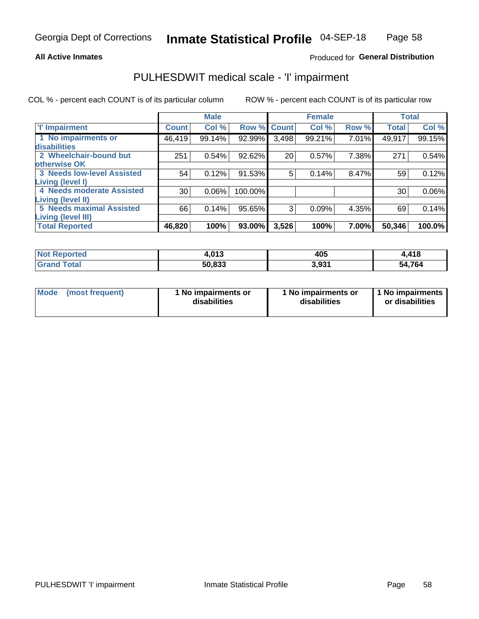### **All Active Inmates**

### Produced for General Distribution

## PULHESDWIT medical scale - 'I' impairment

COL % - percent each COUNT is of its particular column

|                                   |              | <b>Male</b> |                    |       | <b>Female</b> |       |              | <b>Total</b> |
|-----------------------------------|--------------|-------------|--------------------|-------|---------------|-------|--------------|--------------|
| <b>T' Impairment</b>              | <b>Count</b> | Col %       | <b>Row % Count</b> |       | Col %         | Row % | <b>Total</b> | Col %        |
| 1 No impairments or               | 46,419       | 99.14%      | 92.99%             | 3,498 | 99.21%        | 7.01% | 49,917       | 99.15%       |
| disabilities                      |              |             |                    |       |               |       |              |              |
| 2 Wheelchair-bound but            | 251          | 0.54%       | 92.62%             | 20    | 0.57%         | 7.38% | 271          | 0.54%        |
| otherwise OK                      |              |             |                    |       |               |       |              |              |
| <b>3 Needs low-level Assisted</b> | 54           | 0.12%       | 91.53%             | 5     | 0.14%         | 8.47% | 59           | 0.12%        |
| Living (level I)                  |              |             |                    |       |               |       |              |              |
| 4 Needs moderate Assisted         | 30           | 0.06%       | 100.00%            |       |               |       | 30           | $0.06\%$     |
| <b>Living (level II)</b>          |              |             |                    |       |               |       |              |              |
| <b>5 Needs maximal Assisted</b>   | 66           | 0.14%       | 95.65%             | 3     | 0.09%         | 4.35% | 69           | 0.14%        |
| <b>Living (level III)</b>         |              |             |                    |       |               |       |              |              |
| <b>Total Reported</b>             | 46,820       | 100%        | 93.00%             | 3,526 | 100%          | 7.00% | 50,346       | 100.0%       |

| Not F<br><b>Reported</b> | 0.42<br>4.V I J | 405   | 4,418  |
|--------------------------|-----------------|-------|--------|
| <b>Grand Total</b>       | 50,833          | 3,931 | 54,764 |

| <b>Mode</b> | (most frequent) | <b>No impairments or</b><br>disabilities | 1 No impairments or<br>disabilities | 1 No impairments<br>or disabilities |
|-------------|-----------------|------------------------------------------|-------------------------------------|-------------------------------------|
|-------------|-----------------|------------------------------------------|-------------------------------------|-------------------------------------|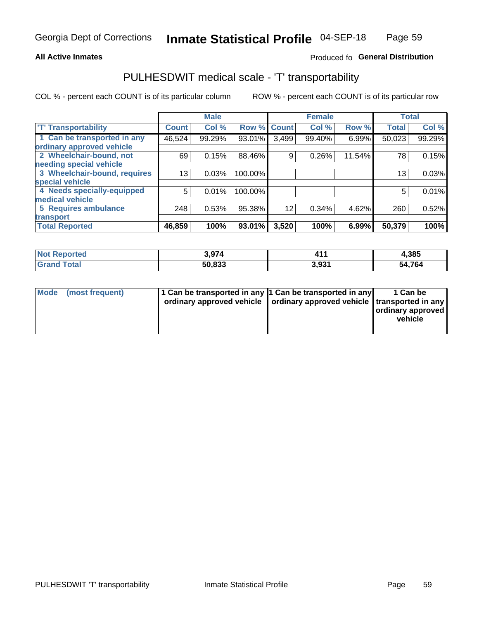### **All Active Inmates**

### Produced fo General Distribution

## PULHESDWIT medical scale - 'T' transportability

COL % - percent each COUNT is of its particular column

|                              |                 | <b>Male</b> |                    |       | <b>Female</b> |        | <b>Total</b> |        |
|------------------------------|-----------------|-------------|--------------------|-------|---------------|--------|--------------|--------|
| <b>T' Transportability</b>   | <b>Count</b>    | Col %       | <b>Row % Count</b> |       | Col %         | Row %  | <b>Total</b> | Col %  |
| 1 Can be transported in any  | 46,524          | 99.29%      | 93.01%             | 3,499 | 99.40%        | 6.99%  | 50,023       | 99.29% |
| ordinary approved vehicle    |                 |             |                    |       |               |        |              |        |
| 2 Wheelchair-bound, not      | 69              | 0.15%       | 88.46%             | 9     | 0.26%         | 11.54% | 78           | 0.15%  |
| needing special vehicle      |                 |             |                    |       |               |        |              |        |
| 3 Wheelchair-bound, requires | 13 <sub>1</sub> | 0.03%       | 100.00%            |       |               |        | 13           | 0.03%  |
| special vehicle              |                 |             |                    |       |               |        |              |        |
| 4 Needs specially-equipped   | 5               | 0.01%       | 100.00%            |       |               |        | 5            | 0.01%  |
| medical vehicle              |                 |             |                    |       |               |        |              |        |
| <b>5 Requires ambulance</b>  | 248             | 0.53%       | 95.38%             | 12    | 0.34%         | 4.62%  | 260          | 0.52%  |
| transport                    |                 |             |                    |       |               |        |              |        |
| <b>Total Reported</b>        | 46,859          | 100%        | 93.01%             | 3,520 | 100%          | 6.99%  | 50,379       | 100%   |

| Not F<br>Reported            | 3,974  | $\sim$ | 4,385  |
|------------------------------|--------|--------|--------|
| <b>Total</b><br><b>Grand</b> | 50,833 | 3,931  | 54,764 |

|  | Mode (most frequent) | 1 Can be transported in any 1 Can be transported in any<br>ordinary approved vehicle   ordinary approved vehicle   transported in any |  | 1 Can be<br>  ordinary approved  <br>vehicle |
|--|----------------------|---------------------------------------------------------------------------------------------------------------------------------------|--|----------------------------------------------|
|--|----------------------|---------------------------------------------------------------------------------------------------------------------------------------|--|----------------------------------------------|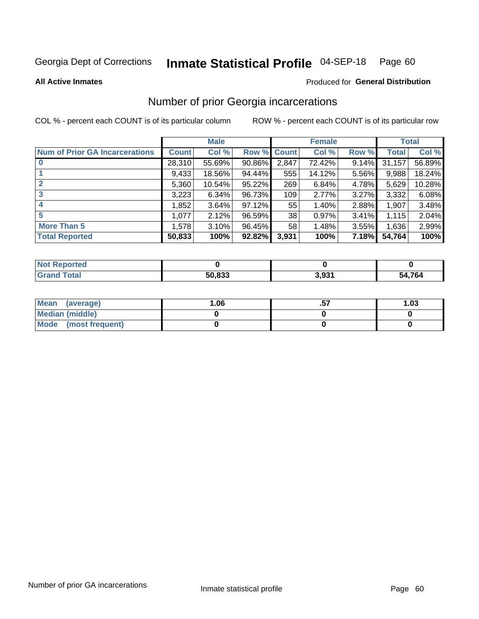#### Inmate Statistical Profile 04-SEP-18 Page 60

**All Active Inmates** 

### **Produced for General Distribution**

### Number of prior Georgia incarcerations

COL % - percent each COUNT is of its particular column

|                                       |              | <b>Male</b> |             |       | <b>Female</b> |       |        | <b>Total</b> |
|---------------------------------------|--------------|-------------|-------------|-------|---------------|-------|--------|--------------|
| <b>Num of Prior GA Incarcerations</b> | <b>Count</b> | Col %       | Row % Count |       | Col %         | Row % | Total  | Col %        |
| $\bf{0}$                              | 28,310       | 55.69%      | 90.86%      | 2,847 | 72.42%        | 9.14% | 31,157 | 56.89%       |
|                                       | 9,433        | 18.56%      | 94.44%      | 555   | 14.12%        | 5.56% | 9,988  | 18.24%       |
| $\mathbf{2}$                          | 5,360        | 10.54%      | $95.22\%$   | 269   | 6.84%         | 4.78% | 5,629  | 10.28%       |
| 3                                     | 3,223        | 6.34%       | 96.73%      | 109   | 2.77%         | 3.27% | 3,332  | 6.08%        |
| $\boldsymbol{4}$                      | 1,852        | 3.64%       | $97.12\%$   | 55    | 1.40%         | 2.88% | 1,907  | 3.48%        |
| 5                                     | 1,077        | 2.12%       | 96.59%      | 38    | 0.97%         | 3.41% | 1,115  | 2.04%        |
| <b>More Than 5</b>                    | 1,578        | 3.10%       | 96.45%      | 58    | 1.48%         | 3.55% | 1,636  | 2.99%        |
| <b>Total Reported</b>                 | 50,833       | 100%        | 92.82%      | 3,931 | 100%          | 7.18% | 54,764 | 100%         |

| orted<br>NO. |        |       |             |
|--------------|--------|-------|-------------|
|              | 50,833 | 3,931 | ,764<br>- 2 |

| Mean (average)         | 1.06 | <br>1.03 |
|------------------------|------|----------|
| <b>Median (middle)</b> |      |          |
| Mode (most frequent)   |      |          |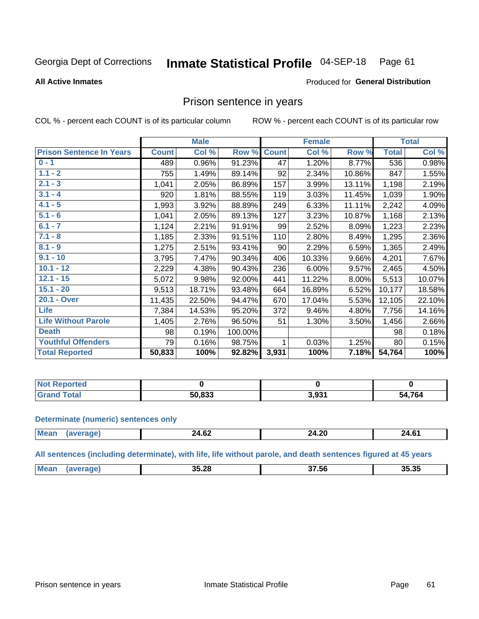#### Inmate Statistical Profile 04-SEP-18 Page 61

#### **All Active Inmates**

#### Produced for General Distribution

### Prison sentence in years

COL % - percent each COUNT is of its particular column

ROW % - percent each COUNT is of its particular row

|                                 |              | <b>Male</b> |         |              | <b>Female</b> |        |              | <b>Total</b> |
|---------------------------------|--------------|-------------|---------|--------------|---------------|--------|--------------|--------------|
| <b>Prison Sentence In Years</b> | <b>Count</b> | Col %       | Row %   | <b>Count</b> | Col %         | Row %  | <b>Total</b> | Col %        |
| $0 - 1$                         | 489          | 0.96%       | 91.23%  | 47           | 1.20%         | 8.77%  | 536          | 0.98%        |
| $1.1 - 2$                       | 755          | 1.49%       | 89.14%  | 92           | 2.34%         | 10.86% | 847          | 1.55%        |
| $2.1 - 3$                       | 1,041        | 2.05%       | 86.89%  | 157          | 3.99%         | 13.11% | 1,198        | 2.19%        |
| $3.1 - 4$                       | 920          | 1.81%       | 88.55%  | 119          | 3.03%         | 11.45% | 1,039        | 1.90%        |
| $4.1 - 5$                       | 1,993        | 3.92%       | 88.89%  | 249          | 6.33%         | 11.11% | 2,242        | 4.09%        |
| $5.1 - 6$                       | 1,041        | 2.05%       | 89.13%  | 127          | 3.23%         | 10.87% | 1,168        | 2.13%        |
| $6.1 - 7$                       | 1,124        | 2.21%       | 91.91%  | 99           | 2.52%         | 8.09%  | 1,223        | 2.23%        |
| $7.1 - 8$                       | 1,185        | 2.33%       | 91.51%  | 110          | 2.80%         | 8.49%  | 1,295        | 2.36%        |
| $8.1 - 9$                       | 1,275        | 2.51%       | 93.41%  | 90           | 2.29%         | 6.59%  | 1,365        | 2.49%        |
| $9.1 - 10$                      | 3,795        | 7.47%       | 90.34%  | 406          | 10.33%        | 9.66%  | 4,201        | 7.67%        |
| $10.1 - 12$                     | 2,229        | 4.38%       | 90.43%  | 236          | 6.00%         | 9.57%  | 2,465        | 4.50%        |
| $12.1 - 15$                     | 5,072        | 9.98%       | 92.00%  | 441          | 11.22%        | 8.00%  | 5,513        | 10.07%       |
| $15.1 - 20$                     | 9,513        | 18.71%      | 93.48%  | 664          | 16.89%        | 6.52%  | 10,177       | 18.58%       |
| 20.1 - Over                     | 11,435       | 22.50%      | 94.47%  | 670          | 17.04%        | 5.53%  | 12,105       | 22.10%       |
| <b>Life</b>                     | 7,384        | 14.53%      | 95.20%  | 372          | 9.46%         | 4.80%  | 7,756        | 14.16%       |
| <b>Life Without Parole</b>      | 1,405        | 2.76%       | 96.50%  | 51           | 1.30%         | 3.50%  | 1,456        | 2.66%        |
| <b>Death</b>                    | 98           | 0.19%       | 100.00% |              |               |        | 98           | 0.18%        |
| <b>Youthful Offenders</b>       | 79           | 0.16%       | 98.75%  | 1            | 0.03%         | 1.25%  | 80           | 0.15%        |
| <b>Total Reported</b>           | 50,833       | 100%        | 92.82%  | 3,931        | 100%          | 7.18%  | 54,764       | 100%         |

| <b>Not Reported</b> |                 |       |            |
|---------------------|-----------------|-------|------------|
| Total               | こい ロクク<br>-50 L | 931.و | .764<br>בר |

#### **Determinate (numeric) sentences only**

| Mos | $\overline{ }$<br>24.OZ | $\sim$<br>----- | <b>24.6</b> 1<br>_______ |
|-----|-------------------------|-----------------|--------------------------|
|     |                         |                 |                          |

All sentences (including determinate), with life, life without parole, and death sentences figured at 45 years

| <br>35.35<br>Mean<br>35.28<br>-<br>יש.<br>$\cdots$<br>$  -$<br>.<br>. |
|-----------------------------------------------------------------------|
|-----------------------------------------------------------------------|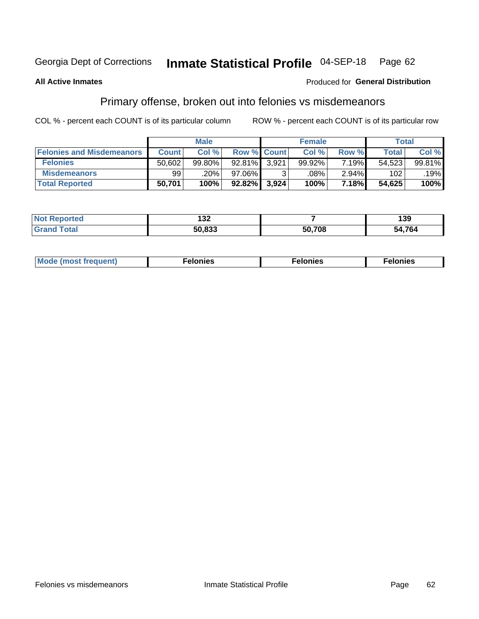#### Inmate Statistical Profile 04-SEP-18 Page 62

#### **All Active Inmates**

### Produced for General Distribution

## Primary offense, broken out into felonies vs misdemeanors

COL % - percent each COUNT is of its particular column

|                                  |              | <b>Male</b> |                    |       | <b>Female</b> |          | Total        |        |
|----------------------------------|--------------|-------------|--------------------|-------|---------------|----------|--------------|--------|
| <b>Felonies and Misdemeanors</b> | <b>Count</b> | Col %       | <b>Row % Count</b> |       | Col %         | Row %    | <b>Total</b> | Col %  |
| <b>Felonies</b>                  | 50,602       | 99.80%      | 92.81%             | 3,921 | 99.92%        | 7.19%    | 54,523       | 99.81% |
| <b>Misdemeanors</b>              | 99           | .20%        | 97.06%             |       | .08%          | $2.94\%$ | 102          | .19%   |
| <b>Total Reported</b>            | 50,701       | 100%        | 92.82%             | 3,924 | 100%          | 7.18%    | 54,625       | 100%   |

| Not<br>ted | ,<br>IJZ.     |        | 39     |
|------------|---------------|--------|--------|
| ™ota⊾      | にへ ロクク<br>ווא | 50,708 | 54,764 |

| Mo | ____ | 11 C.S<br>. | onies<br>. |
|----|------|-------------|------------|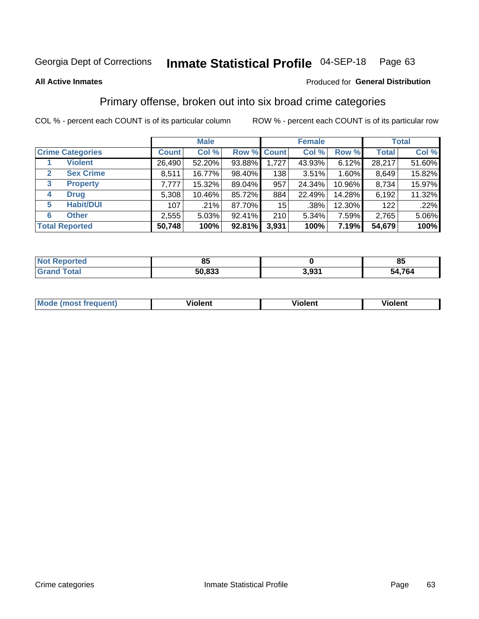#### Inmate Statistical Profile 04-SEP-18 Page 63

#### **All Active Inmates**

### **Produced for General Distribution**

### Primary offense, broken out into six broad crime categories

COL % - percent each COUNT is of its particular column

|              |                         |              | <b>Male</b> |        |             | <b>Female</b> |        |              | <b>Total</b> |
|--------------|-------------------------|--------------|-------------|--------|-------------|---------------|--------|--------------|--------------|
|              | <b>Crime Categories</b> | <b>Count</b> | Col %       |        | Row % Count | Col %         | Row %  | <b>Total</b> | Col %        |
|              | <b>Violent</b>          | 26,490       | 52.20%      | 93.88% | 1,727       | 43.93%        | 6.12%  | 28,217       | 51.60%       |
| $\mathbf{2}$ | <b>Sex Crime</b>        | 8.511        | 16.77%      | 98.40% | 138         | 3.51%         | 1.60%  | 8,649        | 15.82%       |
| 3            | <b>Property</b>         | 7,777        | 15.32%      | 89.04% | 957         | 24.34%        | 10.96% | 8,734        | 15.97%       |
| 4            | <b>Drug</b>             | 5,308        | 10.46%      | 85.72% | 884         | 22.49%        | 14.28% | 6,192        | 11.32%       |
| 5            | <b>Habit/DUI</b>        | 107          | .21%        | 87.70% | 15          | $.38\%$       | 12.30% | 122          | .22%         |
| 6            | <b>Other</b>            | 2,555        | 5.03%       | 92.41% | 210         | 5.34%         | 7.59%  | 2,765        | 5.06%        |
|              | <b>Total Reported</b>   | 50,748       | 100%        | 92.81% | 3,931       | 100%          | 7.19%  | 54,679       | 100%         |

| rteo<br>NO | o.     |              | - -<br>ပ္  |
|------------|--------|--------------|------------|
|            | 50.833 | ∘ מי<br>J.JJ | 764<br>'nД |

| <b>Mode (most frequent)</b> | .<br><b>iolent</b> | 'iolent | ---<br>Violent |
|-----------------------------|--------------------|---------|----------------|
|                             |                    |         |                |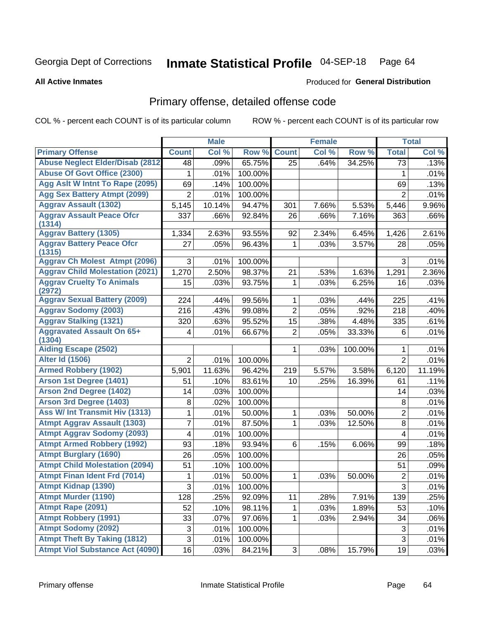#### Inmate Statistical Profile 04-SEP-18 Page 64

#### **All Active Inmates**

## **Produced for General Distribution**

## Primary offense, detailed offense code

COL % - percent each COUNT is of its particular column

|                                            |                           | <b>Male</b> |         |                | <b>Female</b> |         |                  | <b>Total</b> |
|--------------------------------------------|---------------------------|-------------|---------|----------------|---------------|---------|------------------|--------------|
| <b>Primary Offense</b>                     | <b>Count</b>              | Col %       | Row %   | <b>Count</b>   | Col %         | Row %   | <b>Total</b>     | Col %        |
| <b>Abuse Neglect Elder/Disab (2812)</b>    | 48                        | .09%        | 65.75%  | 25             | .64%          | 34.25%  | 73               | .13%         |
| <b>Abuse Of Govt Office (2300)</b>         | 1                         | .01%        | 100.00% |                |               |         | 1                | .01%         |
| Agg Aslt W Intnt To Rape (2095)            | 69                        | .14%        | 100.00% |                |               |         | 69               | .13%         |
| <b>Agg Sex Battery Atmpt (2099)</b>        | $\overline{2}$            | .01%        | 100.00% |                |               |         | $\overline{2}$   | .01%         |
| <b>Aggrav Assault (1302)</b>               | 5,145                     | 10.14%      | 94.47%  | 301            | 7.66%         | 5.53%   | 5,446            | 9.96%        |
| <b>Aggrav Assault Peace Ofcr</b><br>(1314) | 337                       | .66%        | 92.84%  | 26             | .66%          | 7.16%   | 363              | .66%         |
| <b>Aggrav Battery (1305)</b>               | 1,334                     | 2.63%       | 93.55%  | 92             | 2.34%         | 6.45%   | 1,426            | 2.61%        |
| <b>Aggrav Battery Peace Ofcr</b><br>(1315) | 27                        | .05%        | 96.43%  | 1              | .03%          | 3.57%   | 28               | .05%         |
| <b>Aggrav Ch Molest Atmpt (2096)</b>       | 3                         | .01%        | 100.00% |                |               |         | 3                | .01%         |
| <b>Aggrav Child Molestation (2021)</b>     | 1,270                     | 2.50%       | 98.37%  | 21             | .53%          | 1.63%   | 1,291            | 2.36%        |
| <b>Aggrav Cruelty To Animals</b><br>(2972) | 15                        | .03%        | 93.75%  | 1              | .03%          | 6.25%   | 16               | .03%         |
| <b>Aggrav Sexual Battery (2009)</b>        | 224                       | .44%        | 99.56%  | 1              | .03%          | .44%    | 225              | .41%         |
| <b>Aggrav Sodomy (2003)</b>                | 216                       | .43%        | 99.08%  | $\overline{2}$ | .05%          | .92%    | 218              | .40%         |
| <b>Aggrav Stalking (1321)</b>              | 320                       | .63%        | 95.52%  | 15             | .38%          | 4.48%   | 335              | .61%         |
| <b>Aggravated Assault On 65+</b><br>(1304) | 4                         | .01%        | 66.67%  | $\overline{2}$ | .05%          | 33.33%  | 6                | .01%         |
| <b>Aiding Escape (2502)</b>                |                           |             |         | 1              | .03%          | 100.00% | 1                | .01%         |
| <b>Alter Id (1506)</b>                     | $\overline{2}$            | .01%        | 100.00% |                |               |         | $\overline{2}$   | .01%         |
| <b>Armed Robbery (1902)</b>                | 5,901                     | 11.63%      | 96.42%  | 219            | 5.57%         | 3.58%   | 6,120            | 11.19%       |
| Arson 1st Degree (1401)                    | 51                        | .10%        | 83.61%  | 10             | .25%          | 16.39%  | 61               | .11%         |
| <b>Arson 2nd Degree (1402)</b>             | 14                        | .03%        | 100.00% |                |               |         | 14               | .03%         |
| <b>Arson 3rd Degree (1403)</b>             | 8                         | .02%        | 100.00% |                |               |         | 8                | .01%         |
| <b>Ass W/ Int Transmit Hiv (1313)</b>      | 1                         | .01%        | 50.00%  | 1              | .03%          | 50.00%  | $\overline{2}$   | .01%         |
| <b>Atmpt Aggrav Assault (1303)</b>         | 7                         | .01%        | 87.50%  | 1              | .03%          | 12.50%  | 8                | .01%         |
| <b>Atmpt Aggrav Sodomy (2093)</b>          | 4                         | .01%        | 100.00% |                |               |         | $\overline{4}$   | .01%         |
| <b>Atmpt Armed Robbery (1992)</b>          | 93                        | .18%        | 93.94%  | 6              | .15%          | 6.06%   | 99               | .18%         |
| <b>Atmpt Burglary (1690)</b>               | 26                        | .05%        | 100.00% |                |               |         | 26               | .05%         |
| <b>Atmpt Child Molestation (2094)</b>      | 51                        | .10%        | 100.00% |                |               |         | 51               | .09%         |
| <b>Atmpt Finan Ident Frd (7014)</b>        | 1                         | .01%        | 50.00%  | 1              | .03%          | 50.00%  | $\boldsymbol{2}$ | .01%         |
| <b>Atmpt Kidnap (1390)</b>                 | $\ensuremath{\mathsf{3}}$ | .01%        | 100.00% |                |               |         | $\overline{3}$   | .01%         |
| <b>Atmpt Murder (1190)</b>                 | 128                       | .25%        | 92.09%  | 11             | .28%          | 7.91%   | 139              | .25%         |
| Atmpt Rape (2091)                          | 52                        | .10%        | 98.11%  | 1              | .03%          | 1.89%   | 53               | .10%         |
| <b>Atmpt Robbery (1991)</b>                | 33                        | .07%        | 97.06%  | 1              | .03%          | 2.94%   | 34               | .06%         |
| <b>Atmpt Sodomy (2092)</b>                 | 3                         | .01%        | 100.00% |                |               |         | $\sqrt{3}$       | .01%         |
| <b>Atmpt Theft By Taking (1812)</b>        | 3                         | .01%        | 100.00% |                |               |         | 3                | .01%         |
| <b>Atmpt Viol Substance Act (4090)</b>     | 16                        | .03%        | 84.21%  | 3              | .08%          | 15.79%  | 19               | .03%         |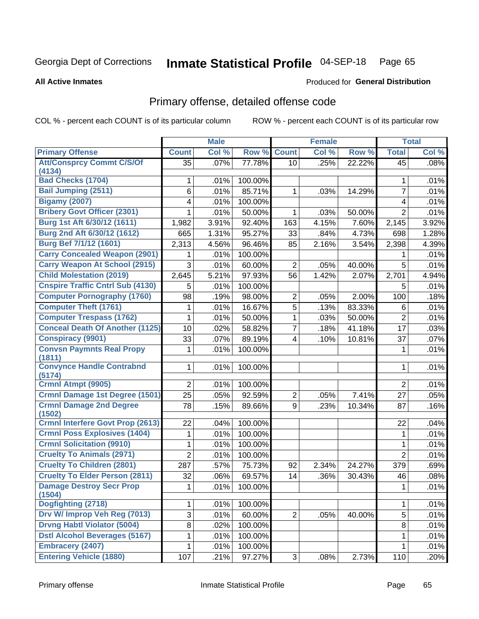# Inmate Statistical Profile 04-SEP-18 Page 65

**All Active Inmates** 

#### Produced for General Distribution

## Primary offense, detailed offense code

COL % - percent each COUNT is of its particular column

|                                            |                | <b>Male</b> |         |                         | <b>Female</b> |        |                     | <b>Total</b> |
|--------------------------------------------|----------------|-------------|---------|-------------------------|---------------|--------|---------------------|--------------|
| <b>Primary Offense</b>                     | <b>Count</b>   | Col %       | Row %   | <b>Count</b>            | Col %         | Row %  | <b>Total</b>        | Col %        |
| <b>Att/Consprcy Commt C/S/Of</b>           | 35             | .07%        | 77.78%  | 10                      | .25%          | 22.22% | 45                  | .08%         |
| (4134)<br><b>Bad Checks (1704)</b>         |                |             | 100.00% |                         |               |        |                     |              |
| <b>Bail Jumping (2511)</b>                 | 1              | .01%        |         |                         |               | 14.29% | 1<br>$\overline{7}$ | .01%         |
| <b>Bigamy (2007)</b>                       | 6              | .01%        | 85.71%  | 1                       | .03%          |        |                     | .01%         |
| <b>Bribery Govt Officer (2301)</b>         | 4              | .01%        | 100.00% |                         |               |        | 4                   | .01%         |
| Burg 1st Aft 6/30/12 (1611)                | 1              | .01%        | 50.00%  | 1                       | .03%          | 50.00% | $\overline{2}$      | .01%         |
| Burg 2nd Aft 6/30/12 (1612)                | 1,982          | 3.91%       | 92.40%  | 163                     | 4.15%         | 7.60%  | 2,145               | 3.92%        |
| Burg Bef 7/1/12 (1601)                     | 665            | 1.31%       | 95.27%  | 33                      | .84%          | 4.73%  | 698                 | 1.28%        |
|                                            | 2,313          | 4.56%       | 96.46%  | 85                      | 2.16%         | 3.54%  | 2,398               | 4.39%        |
| <b>Carry Concealed Weapon (2901)</b>       |                | .01%        | 100.00% |                         |               |        |                     | .01%         |
| <b>Carry Weapon At School (2915)</b>       | 3              | .01%        | 60.00%  | 2                       | .05%          | 40.00% | 5                   | .01%         |
| <b>Child Molestation (2019)</b>            | 2,645          | 5.21%       | 97.93%  | 56                      | 1.42%         | 2.07%  | 2,701               | 4.94%        |
| <b>Cnspire Traffic Cntrl Sub (4130)</b>    | 5              | .01%        | 100.00% |                         |               |        | 5                   | .01%         |
| <b>Computer Pornography (1760)</b>         | 98             | .19%        | 98.00%  | 2                       | .05%          | 2.00%  | 100                 | .18%         |
| <b>Computer Theft (1761)</b>               | 1              | .01%        | 16.67%  | $\overline{5}$          | .13%          | 83.33% | 6                   | .01%         |
| <b>Computer Trespass (1762)</b>            | 1              | .01%        | 50.00%  | 1                       | .03%          | 50.00% | $\overline{2}$      | .01%         |
| <b>Conceal Death Of Another (1125)</b>     | 10             | .02%        | 58.82%  | $\overline{7}$          | .18%          | 41.18% | 17                  | .03%         |
| <b>Conspiracy (9901)</b>                   | 33             | .07%        | 89.19%  | $\overline{\mathbf{4}}$ | .10%          | 10.81% | 37                  | .07%         |
| <b>Convsn Paymnts Real Propy</b>           | 1              | .01%        | 100.00% |                         |               |        | 1                   | .01%         |
| (1811)<br><b>Convynce Handle Contrabnd</b> | 1              | .01%        | 100.00% |                         |               |        | 1                   | .01%         |
| (5174)                                     |                |             |         |                         |               |        |                     |              |
| Crmnl Atmpt (9905)                         | $\overline{2}$ | .01%        | 100.00% |                         |               |        | $\overline{2}$      | .01%         |
| Crmnl Damage 1st Degree (1501)             | 25             | .05%        | 92.59%  | $\overline{2}$          | .05%          | 7.41%  | 27                  | .05%         |
| <b>Crmnl Damage 2nd Degree</b>             | 78             | .15%        | 89.66%  | 9                       | .23%          | 10.34% | 87                  | .16%         |
| (1502)                                     |                |             |         |                         |               |        |                     |              |
| <b>Crmnl Interfere Govt Prop (2613)</b>    | 22             | .04%        | 100.00% |                         |               |        | 22                  | .04%         |
| <b>Crmnl Poss Explosives (1404)</b>        | 1              | .01%        | 100.00% |                         |               |        | 1                   | .01%         |
| <b>Crmnl Solicitation (9910)</b>           | 1              | .01%        | 100.00% |                         |               |        | 1                   | .01%         |
| <b>Cruelty To Animals (2971)</b>           | $\overline{2}$ | .01%        | 100.00% |                         |               |        | $\overline{2}$      | .01%         |
| <b>Cruelty To Children (2801)</b>          | 287            | .57%        | 75.73%  | 92                      | 2.34%         | 24.27% | 379                 | .69%         |
| <b>Cruelty To Elder Person (2811)</b>      | 32             | .06%        | 69.57%  | 14                      | .36%          | 30.43% | 46                  | .08%         |
| <b>Damage Destroy Secr Prop</b>            | $1\vert$       | .01%        | 100.00% |                         |               |        | $\mathbf{1}$        | .01%         |
| (1504)<br>Dogfighting (2718)               | 1              | .01%        | 100.00% |                         |               |        | 1                   | .01%         |
| Drv W/ Improp Veh Reg (7013)               | 3              | .01%        | 60.00%  | $\overline{2}$          | .05%          | 40.00% | 5                   | .01%         |
| <b>Drvng Habtl Violator (5004)</b>         |                |             |         |                         |               |        |                     |              |
| <b>Dstl Alcohol Beverages (5167)</b>       | 8              | .02%        | 100.00% |                         |               |        | 8                   | .01%         |
| <b>Embracery (2407)</b>                    | 1              | .01%        | 100.00% |                         |               |        | 1                   | .01%         |
|                                            | 1              | .01%        | 100.00% |                         |               |        | 1                   | .01%         |
| <b>Entering Vehicle (1880)</b>             | 107            | .21%        | 97.27%  | 3 <sup>1</sup>          | .08%          | 2.73%  | 110                 | .20%         |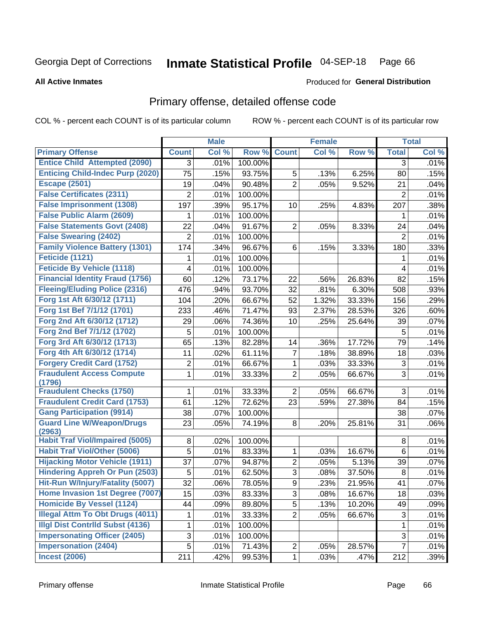#### Inmate Statistical Profile 04-SEP-18 Page 66

Produced for General Distribution

#### **All Active Inmates**

## Primary offense, detailed offense code

COL % - percent each COUNT is of its particular column

|                                            |                | <b>Male</b> |         |                | <b>Female</b> |        |                | <b>Total</b> |
|--------------------------------------------|----------------|-------------|---------|----------------|---------------|--------|----------------|--------------|
| <b>Primary Offense</b>                     | <b>Count</b>   | Col %       | Row %   | <b>Count</b>   | Col %         | Row %  | <b>Total</b>   | Col %        |
| <b>Entice Child Attempted (2090)</b>       | 3              | .01%        | 100.00% |                |               |        | 3              | .01%         |
| <b>Enticing Child-Indec Purp (2020)</b>    | 75             | .15%        | 93.75%  | 5              | .13%          | 6.25%  | 80             | .15%         |
| <b>Escape (2501)</b>                       | 19             | .04%        | 90.48%  | $\overline{2}$ | .05%          | 9.52%  | 21             | .04%         |
| <b>False Certificates (2311)</b>           | 2              | .01%        | 100.00% |                |               |        | $\overline{2}$ | .01%         |
| <b>False Imprisonment (1308)</b>           | 197            | .39%        | 95.17%  | 10             | .25%          | 4.83%  | 207            | .38%         |
| <b>False Public Alarm (2609)</b>           | 1              | .01%        | 100.00% |                |               |        | 1              | .01%         |
| <b>False Statements Govt (2408)</b>        | 22             | .04%        | 91.67%  | 2              | .05%          | 8.33%  | 24             | .04%         |
| <b>False Swearing (2402)</b>               | $\overline{2}$ | .01%        | 100.00% |                |               |        | $\overline{2}$ | .01%         |
| <b>Family Violence Battery (1301)</b>      | 174            | .34%        | 96.67%  | 6              | .15%          | 3.33%  | 180            | .33%         |
| Feticide (1121)                            | 1              | .01%        | 100.00% |                |               |        | 1              | .01%         |
| <b>Feticide By Vehicle (1118)</b>          | 4              | .01%        | 100.00% |                |               |        | 4              | .01%         |
| <b>Financial Identity Fraud (1756)</b>     | 60             | .12%        | 73.17%  | 22             | .56%          | 26.83% | 82             | .15%         |
| <b>Fleeing/Eluding Police (2316)</b>       | 476            | .94%        | 93.70%  | 32             | .81%          | 6.30%  | 508            | .93%         |
| Forg 1st Aft 6/30/12 (1711)                | 104            | .20%        | 66.67%  | 52             | 1.32%         | 33.33% | 156            | .29%         |
| Forg 1st Bef 7/1/12 (1701)                 | 233            | .46%        | 71.47%  | 93             | 2.37%         | 28.53% | 326            | .60%         |
| Forg 2nd Aft 6/30/12 (1712)                | 29             | .06%        | 74.36%  | 10             | .25%          | 25.64% | 39             | .07%         |
| Forg 2nd Bef 7/1/12 (1702)                 | 5              | .01%        | 100.00% |                |               |        | 5              | .01%         |
| Forg 3rd Aft 6/30/12 (1713)                | 65             | .13%        | 82.28%  | 14             | .36%          | 17.72% | 79             | .14%         |
| Forg 4th Aft 6/30/12 (1714)                | 11             | .02%        | 61.11%  | 7              | .18%          | 38.89% | 18             | .03%         |
| <b>Forgery Credit Card (1752)</b>          | $\overline{2}$ | .01%        | 66.67%  | $\mathbf 1$    | .03%          | 33.33% | 3              | .01%         |
| <b>Fraudulent Access Compute</b><br>(1796) | 1              | .01%        | 33.33%  | $\overline{2}$ | .05%          | 66.67% | 3              | .01%         |
| <b>Fraudulent Checks (1750)</b>            | 1              | .01%        | 33.33%  | $\overline{2}$ | .05%          | 66.67% | 3              | .01%         |
| <b>Fraudulent Credit Card (1753)</b>       | 61             | .12%        | 72.62%  | 23             | .59%          | 27.38% | 84             | .15%         |
| <b>Gang Participation (9914)</b>           | 38             | .07%        | 100.00% |                |               |        | 38             | .07%         |
| <b>Guard Line W/Weapon/Drugs</b><br>(2963) | 23             | .05%        | 74.19%  | 8              | .20%          | 25.81% | 31             | .06%         |
| <b>Habit Traf Viol/Impaired (5005)</b>     | 8              | .02%        | 100.00% |                |               |        | 8              | .01%         |
| <b>Habit Traf Viol/Other (5006)</b>        | 5              | .01%        | 83.33%  | 1              | .03%          | 16.67% | 6              | .01%         |
| <b>Hijacking Motor Vehicle (1911)</b>      | 37             | .07%        | 94.87%  | $\overline{2}$ | .05%          | 5.13%  | 39             | .07%         |
| <b>Hindering Appreh Or Pun (2503)</b>      | 5              | .01%        | 62.50%  | 3              | .08%          | 37.50% | 8              | .01%         |
| Hit-Run W/Injury/Fatality (5007)           | 32             | .06%        | 78.05%  | 9              | .23%          | 21.95% | 41             | .07%         |
| Home Invasion 1st Degree (7007)            | 15             | .03%        | 83.33%  | 3              | .08%          | 16.67% | 18             | .03%         |
| <b>Homicide By Vessel (1124)</b>           | 44             | .09%        | 89.80%  | 5              | .13%          | 10.20% | 49             | .09%         |
| <b>Illegal Attm To Obt Drugs (4011)</b>    | 1              | .01%        | 33.33%  | $\overline{2}$ | .05%          | 66.67% | 3              | .01%         |
| <b>Illgl Dist Contrild Subst (4136)</b>    | 1              | .01%        | 100.00% |                |               |        | 1              | .01%         |
| <b>Impersonating Officer (2405)</b>        | 3              | .01%        | 100.00% |                |               |        | 3              | .01%         |
| <b>Impersonation (2404)</b>                | 5              | .01%        | 71.43%  | $\overline{c}$ | .05%          | 28.57% | $\overline{7}$ | .01%         |
| <b>Incest (2006)</b>                       | 211            | .42%        | 99.53%  | $\mathbf{1}$   | .03%          | .47%   | 212            | .39%         |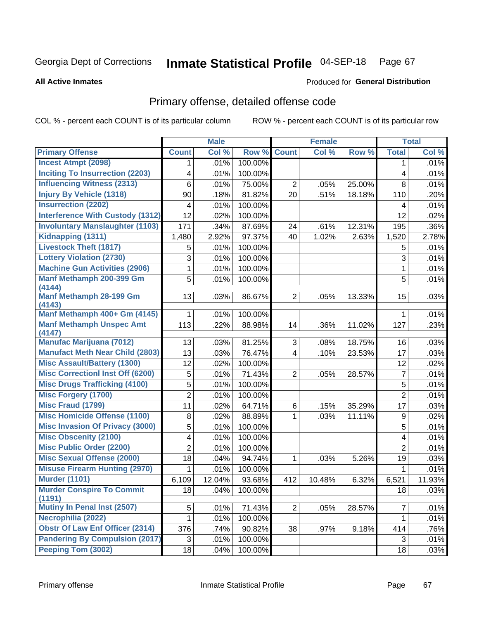#### Inmate Statistical Profile 04-SEP-18 Page 67

#### **All Active Inmates**

#### Produced for General Distribution

## Primary offense, detailed offense code

COL % - percent each COUNT is of its particular column

|                                            |                | <b>Male</b> |         |                | <b>Female</b> |        |                | <b>Total</b> |
|--------------------------------------------|----------------|-------------|---------|----------------|---------------|--------|----------------|--------------|
| <b>Primary Offense</b>                     | <b>Count</b>   | Col %       | Row %   | <b>Count</b>   | Col %         | Row %  | <b>Total</b>   | Col %        |
| <b>Incest Atmpt (2098)</b>                 | 1              | .01%        | 100.00% |                |               |        | $\mathbf 1$    | .01%         |
| <b>Inciting To Insurrection (2203)</b>     | 4              | .01%        | 100.00% |                |               |        | 4              | .01%         |
| <b>Influencing Witness (2313)</b>          | 6              | .01%        | 75.00%  | $\overline{2}$ | .05%          | 25.00% | 8              | .01%         |
| <b>Injury By Vehicle (1318)</b>            | 90             | .18%        | 81.82%  | 20             | .51%          | 18.18% | 110            | .20%         |
| <b>Insurrection (2202)</b>                 | 4              | .01%        | 100.00% |                |               |        | 4              | .01%         |
| <b>Interference With Custody (1312)</b>    | 12             | .02%        | 100.00% |                |               |        | 12             | .02%         |
| <b>Involuntary Manslaughter (1103)</b>     | 171            | .34%        | 87.69%  | 24             | .61%          | 12.31% | 195            | .36%         |
| Kidnapping (1311)                          | 1,480          | 2.92%       | 97.37%  | 40             | 1.02%         | 2.63%  | 1,520          | 2.78%        |
| <b>Livestock Theft (1817)</b>              | 5              | .01%        | 100.00% |                |               |        | 5              | .01%         |
| <b>Lottery Violation (2730)</b>            | 3              | .01%        | 100.00% |                |               |        | 3              | .01%         |
| <b>Machine Gun Activities (2906)</b>       | $\mathbf 1$    | .01%        | 100.00% |                |               |        | $\mathbf 1$    | .01%         |
| Manf Methamph 200-399 Gm<br>(4144)         | 5              | .01%        | 100.00% |                |               |        | 5              | .01%         |
| <b>Manf Methamph 28-199 Gm</b><br>(4143)   | 13             | .03%        | 86.67%  | $\overline{2}$ | .05%          | 13.33% | 15             | .03%         |
| Manf Methamph 400+ Gm (4145)               | 1              | .01%        | 100.00% |                |               |        | 1              | .01%         |
| <b>Manf Methamph Unspec Amt</b><br>(4147)  | 113            | .22%        | 88.98%  | 14             | .36%          | 11.02% | 127            | .23%         |
| <b>Manufac Marijuana (7012)</b>            | 13             | .03%        | 81.25%  | 3              | .08%          | 18.75% | 16             | .03%         |
| <b>Manufact Meth Near Child (2803)</b>     | 13             | .03%        | 76.47%  | $\overline{4}$ | .10%          | 23.53% | 17             | .03%         |
| <b>Misc Assault/Battery (1300)</b>         | 12             | .02%        | 100.00% |                |               |        | 12             | .02%         |
| <b>Misc Correctionl Inst Off (6200)</b>    | 5              | .01%        | 71.43%  | $\overline{2}$ | .05%          | 28.57% | $\overline{7}$ | .01%         |
| <b>Misc Drugs Trafficking (4100)</b>       | 5              | .01%        | 100.00% |                |               |        | 5              | .01%         |
| <b>Misc Forgery (1700)</b>                 | $\overline{2}$ | .01%        | 100.00% |                |               |        | $\overline{2}$ | .01%         |
| <b>Misc Fraud (1799)</b>                   | 11             | .02%        | 64.71%  | 6              | .15%          | 35.29% | 17             | .03%         |
| <b>Misc Homicide Offense (1100)</b>        | 8              | .02%        | 88.89%  | $\mathbf{1}$   | .03%          | 11.11% | 9              | .02%         |
| <b>Misc Invasion Of Privacy (3000)</b>     | 5              | .01%        | 100.00% |                |               |        | 5              | .01%         |
| <b>Misc Obscenity (2100)</b>               | 4              | .01%        | 100.00% |                |               |        | 4              | .01%         |
| <b>Misc Public Order (2200)</b>            | 2              | .01%        | 100.00% |                |               |        | $\overline{2}$ | .01%         |
| <b>Misc Sexual Offense (2000)</b>          | 18             | .04%        | 94.74%  | $\mathbf{1}$   | .03%          | 5.26%  | 19             | .03%         |
| <b>Misuse Firearm Hunting (2970)</b>       | 1              | .01%        | 100.00% |                |               |        | 1              | .01%         |
| <b>Murder (1101)</b>                       | 6,109          | 12.04%      | 93.68%  | 412            | 10.48%        | 6.32%  | 6,521          | 11.93%       |
| <b>Murder Conspire To Commit</b><br>(1191) | 18             | .04%        | 100.00% |                |               |        | 18             | .03%         |
| Mutiny In Penal Inst (2507)                | 5              | .01%        | 71.43%  | $2\vert$       | .05%          | 28.57% | $\overline{7}$ | .01%         |
| Necrophilia (2022)                         | $\mathbf{1}$   | .01%        | 100.00% |                |               |        | 1              | .01%         |
| <b>Obstr Of Law Enf Officer (2314)</b>     | 376            | .74%        | 90.82%  | 38             | .97%          | 9.18%  | 414            | .76%         |
| <b>Pandering By Compulsion (2017)</b>      | 3              | .01%        | 100.00% |                |               |        | 3              | .01%         |
| Peeping Tom (3002)                         | 18             | .04%        | 100.00% |                |               |        | 18             | .03%         |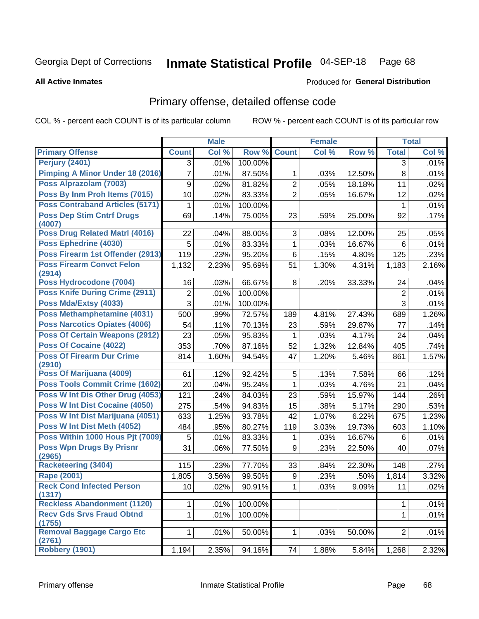#### Inmate Statistical Profile 04-SEP-18 Page 68

#### **All Active Inmates**

# Produced for General Distribution

## Primary offense, detailed offense code

COL % - percent each COUNT is of its particular column

|                                            |                | <b>Male</b> |                  |                | <b>Female</b> |        |                | <b>Total</b> |
|--------------------------------------------|----------------|-------------|------------------|----------------|---------------|--------|----------------|--------------|
| <b>Primary Offense</b>                     | <b>Count</b>   | Col %       | Row <sub>%</sub> | <b>Count</b>   | Col %         | Row %  | <b>Total</b>   | Col %        |
| <b>Perjury (2401)</b>                      | 3              | .01%        | 100.00%          |                |               |        | 3              | .01%         |
| <b>Pimping A Minor Under 18 (2016)</b>     | 7              | .01%        | 87.50%           | 1              | .03%          | 12.50% | 8              | .01%         |
| Poss Alprazolam (7003)                     | 9              | .02%        | 81.82%           | $\overline{2}$ | .05%          | 18.18% | 11             | .02%         |
| Poss By Inm Proh Items (7015)              | 10             | .02%        | 83.33%           | $\overline{2}$ | .05%          | 16.67% | 12             | .02%         |
| <b>Poss Contraband Articles (5171)</b>     | 1              | .01%        | 100.00%          |                |               |        | 1              | .01%         |
| <b>Poss Dep Stim Cntrf Drugs</b><br>(4007) | 69             | .14%        | 75.00%           | 23             | .59%          | 25.00% | 92             | .17%         |
| <b>Poss Drug Related Matri (4016)</b>      | 22             | .04%        | 88.00%           | 3              | .08%          | 12.00% | 25             | .05%         |
| Poss Ephedrine (4030)                      | 5              | .01%        | 83.33%           | 1              | .03%          | 16.67% | 6              | .01%         |
| Poss Firearm 1st Offender (2913)           | 119            | .23%        | 95.20%           | 6              | .15%          | 4.80%  | 125            | .23%         |
| <b>Poss Firearm Convct Felon</b><br>(2914) | 1,132          | 2.23%       | 95.69%           | 51             | 1.30%         | 4.31%  | 1,183          | 2.16%        |
| Poss Hydrocodone (7004)                    | 16             | .03%        | 66.67%           | 8              | .20%          | 33.33% | 24             | .04%         |
| <b>Poss Knife During Crime (2911)</b>      | $\overline{2}$ | .01%        | 100.00%          |                |               |        | $\overline{2}$ | .01%         |
| Poss Mda/Extsy (4033)                      | 3              | .01%        | 100.00%          |                |               |        | 3              | .01%         |
| Poss Methamphetamine (4031)                | 500            | .99%        | 72.57%           | 189            | 4.81%         | 27.43% | 689            | 1.26%        |
| <b>Poss Narcotics Opiates (4006)</b>       | 54             | .11%        | 70.13%           | 23             | .59%          | 29.87% | 77             | .14%         |
| <b>Poss Of Certain Weapons (2912)</b>      | 23             | .05%        | 95.83%           | 1              | .03%          | 4.17%  | 24             | .04%         |
| <b>Poss Of Cocaine (4022)</b>              | 353            | .70%        | 87.16%           | 52             | 1.32%         | 12.84% | 405            | .74%         |
| <b>Poss Of Firearm Dur Crime</b><br>(2910) | 814            | 1.60%       | 94.54%           | 47             | 1.20%         | 5.46%  | 861            | 1.57%        |
| Poss Of Marijuana (4009)                   | 61             | .12%        | 92.42%           | 5              | .13%          | 7.58%  | 66             | .12%         |
| <b>Poss Tools Commit Crime (1602)</b>      | 20             | .04%        | 95.24%           | 1              | .03%          | 4.76%  | 21             | .04%         |
| Poss W Int Dis Other Drug (4053)           | 121            | .24%        | 84.03%           | 23             | .59%          | 15.97% | 144            | .26%         |
| Poss W Int Dist Cocaine (4050)             | 275            | .54%        | 94.83%           | 15             | .38%          | 5.17%  | 290            | .53%         |
| Poss W Int Dist Marijuana (4051)           | 633            | 1.25%       | 93.78%           | 42             | 1.07%         | 6.22%  | 675            | 1.23%        |
| Poss W Int Dist Meth (4052)                | 484            | .95%        | 80.27%           | 119            | 3.03%         | 19.73% | 603            | 1.10%        |
| Poss Within 1000 Hous Pjt (7009)           | 5              | .01%        | 83.33%           | 1              | .03%          | 16.67% | 6              | .01%         |
| <b>Poss Wpn Drugs By Prisnr</b><br>(2965)  | 31             | .06%        | 77.50%           | 9              | .23%          | 22.50% | 40             | .07%         |
| <b>Racketeering (3404)</b>                 | 115            | .23%        | 77.70%           | 33             | .84%          | 22.30% | 148            | .27%         |
| <b>Rape (2001)</b>                         | 1,805          | 3.56%       | 99.50%           | 9              | .23%          | .50%   | 1,814          | 3.32%        |
| <b>Reck Cond Infected Person</b><br>(1317) | 10             | $.02\%$     | 90.91%           | $\mathbf{1}$   | .03%          | 9.09%  | 11             | .02%         |
| <b>Reckless Abandonment (1120)</b>         | 1              | .01%        | 100.00%          |                |               |        | 1              | .01%         |
| <b>Recv Gds Srvs Fraud Obtnd</b><br>(1755) | 1              | .01%        | 100.00%          |                |               |        | $\mathbf{1}$   | .01%         |
| <b>Removal Baggage Cargo Etc</b><br>(2761) | 1.             | .01%        | 50.00%           | 1              | .03%          | 50.00% | $\overline{2}$ | .01%         |
| Robbery (1901)                             | 1,194          | 2.35%       | 94.16%           | 74             | 1.88%         | 5.84%  | 1,268          | 2.32%        |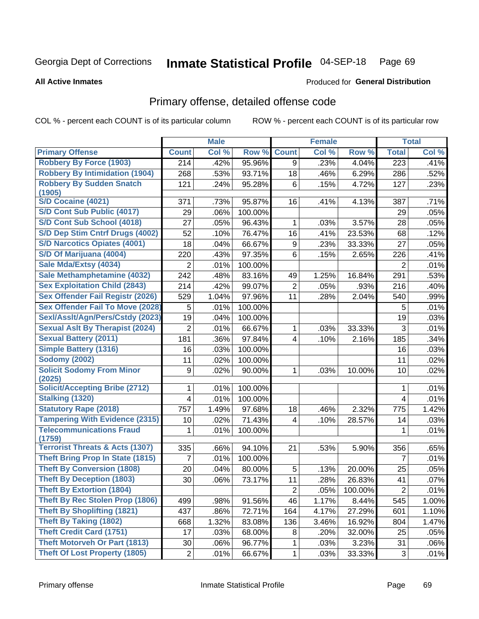#### Inmate Statistical Profile 04-SEP-18 Page 69

**All Active Inmates** 

#### Produced for General Distribution

## Primary offense, detailed offense code

COL % - percent each COUNT is of its particular column

|                                            |                  | <b>Male</b> |         |                         | <b>Female</b> |         |                  | <b>Total</b> |
|--------------------------------------------|------------------|-------------|---------|-------------------------|---------------|---------|------------------|--------------|
| <b>Primary Offense</b>                     | <b>Count</b>     | Col %       | Row %   | <b>Count</b>            | Col %         | Row %   | <b>Total</b>     | Col %        |
| <b>Robbery By Force (1903)</b>             | 214              | .42%        | 95.96%  | 9                       | .23%          | 4.04%   | $\overline{223}$ | .41%         |
| <b>Robbery By Intimidation (1904)</b>      | 268              | .53%        | 93.71%  | 18                      | .46%          | 6.29%   | 286              | .52%         |
| <b>Robbery By Sudden Snatch</b>            | 121              | .24%        | 95.28%  | 6                       | .15%          | 4.72%   | 127              | .23%         |
| (1905)                                     |                  |             |         |                         |               |         |                  |              |
| S/D Cocaine (4021)                         | 371              | .73%        | 95.87%  | 16                      | .41%          | 4.13%   | 387              | .71%         |
| <b>S/D Cont Sub Public (4017)</b>          | 29               | .06%        | 100.00% |                         |               |         | 29               | .05%         |
| S/D Cont Sub School (4018)                 | 27               | .05%        | 96.43%  | 1                       | .03%          | 3.57%   | 28               | .05%         |
| S/D Dep Stim Cntrf Drugs (4002)            | 52               | .10%        | 76.47%  | 16                      | .41%          | 23.53%  | 68               | .12%         |
| <b>S/D Narcotics Opiates (4001)</b>        | 18               | .04%        | 66.67%  | 9                       | .23%          | 33.33%  | 27               | .05%         |
| S/D Of Marijuana (4004)                    | 220              | .43%        | 97.35%  | 6                       | .15%          | 2.65%   | 226              | .41%         |
| Sale Mda/Extsy (4034)                      | $\overline{2}$   | .01%        | 100.00% |                         |               |         | $\overline{2}$   | .01%         |
| Sale Methamphetamine (4032)                | 242              | .48%        | 83.16%  | 49                      | 1.25%         | 16.84%  | 291              | .53%         |
| <b>Sex Exploitation Child (2843)</b>       | 214              | .42%        | 99.07%  | 2                       | .05%          | .93%    | 216              | .40%         |
| Sex Offender Fail Registr (2026)           | 529              | 1.04%       | 97.96%  | 11                      | .28%          | 2.04%   | 540              | .99%         |
| <b>Sex Offender Fail To Move (2028)</b>    | 5                | .01%        | 100.00% |                         |               |         | 5                | .01%         |
| Sexl/Asslt/Agn/Pers/Cstdy (2023)           | 19               | .04%        | 100.00% |                         |               |         | 19               | .03%         |
| <b>Sexual Aslt By Therapist (2024)</b>     | $\overline{2}$   | .01%        | 66.67%  | 1                       | .03%          | 33.33%  | 3                | .01%         |
| <b>Sexual Battery (2011)</b>               | 181              | .36%        | 97.84%  | $\overline{4}$          | .10%          | 2.16%   | 185              | .34%         |
| <b>Simple Battery (1316)</b>               | 16               | .03%        | 100.00% |                         |               |         | 16               | .03%         |
| <b>Sodomy (2002)</b>                       | 11               | .02%        | 100.00% |                         |               |         | 11               | .02%         |
| <b>Solicit Sodomy From Minor</b><br>(2025) | $\boldsymbol{9}$ | .02%        | 90.00%  | $\mathbf{1}$            | .03%          | 10.00%  | 10               | .02%         |
| <b>Solicit/Accepting Bribe (2712)</b>      | 1                | .01%        | 100.00% |                         |               |         | 1                | .01%         |
| <b>Stalking (1320)</b>                     | 4                | .01%        | 100.00% |                         |               |         | 4                | .01%         |
| <b>Statutory Rape (2018)</b>               | 757              | 1.49%       | 97.68%  | 18                      | .46%          | 2.32%   | 775              | 1.42%        |
| <b>Tampering With Evidence (2315)</b>      | 10               | .02%        | 71.43%  | $\overline{\mathbf{4}}$ | .10%          | 28.57%  | 14               | .03%         |
| <b>Telecommunications Fraud</b><br>(1759)  | 1                | .01%        | 100.00% |                         |               |         | 1                | .01%         |
| <b>Terrorist Threats &amp; Acts (1307)</b> | 335              | .66%        | 94.10%  | 21                      | .53%          | 5.90%   | 356              | .65%         |
| <b>Theft Bring Prop In State (1815)</b>    | $\overline{7}$   | .01%        | 100.00% |                         |               |         | $\overline{7}$   | .01%         |
| <b>Theft By Conversion (1808)</b>          | 20               | .04%        | 80.00%  | 5                       | .13%          | 20.00%  | 25               | .05%         |
| <b>Theft By Deception (1803)</b>           | 30               | .06%        | 73.17%  | 11                      | .28%          | 26.83%  | 41               | .07%         |
| <b>Theft By Extortion (1804)</b>           |                  |             |         | $\overline{c}$          | .05%          | 100.00% | $\overline{c}$   | .01%         |
| Theft By Rec Stolen Prop (1806)            | 499              | .98%        | 91.56%  | 46                      | 1.17%         | 8.44%   | 545              | 1.00%        |
| <b>Theft By Shoplifting (1821)</b>         | 437              | .86%        | 72.71%  | 164                     | 4.17%         | 27.29%  | 601              | 1.10%        |
| <b>Theft By Taking (1802)</b>              | 668              | 1.32%       | 83.08%  | 136                     | 3.46%         | 16.92%  | 804              | 1.47%        |
| <b>Theft Credit Card (1751)</b>            | 17               | .03%        | 68.00%  | 8                       | .20%          | 32.00%  | 25               | .05%         |
| <b>Theft Motorveh Or Part (1813)</b>       | 30               | .06%        | 96.77%  | 1                       | .03%          | 3.23%   | 31               | .06%         |
| <b>Theft Of Lost Property (1805)</b>       | $\sqrt{2}$       | .01%        | 66.67%  | $\mathbf 1$             | .03%          | 33.33%  | 3                | .01%         |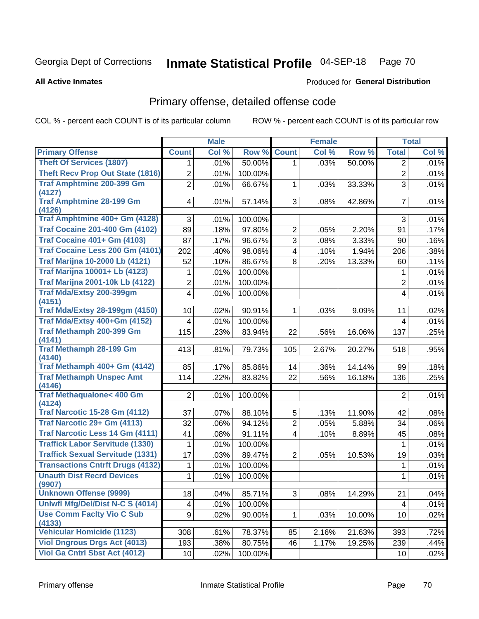# Inmate Statistical Profile 04-SEP-18 Page 70

**All Active Inmates** 

#### Produced for General Distribution

## Primary offense, detailed offense code

COL % - percent each COUNT is of its particular column

|                                            |                         | <b>Male</b> |         |                | <b>Female</b> |        |                         | <b>Total</b> |
|--------------------------------------------|-------------------------|-------------|---------|----------------|---------------|--------|-------------------------|--------------|
| <b>Primary Offense</b>                     | <b>Count</b>            | Col %       | Row %   | <b>Count</b>   | Col %         | Row %  | <b>Total</b>            | Col %        |
| <b>Theft Of Services (1807)</b>            | 1.                      | .01%        | 50.00%  | 1 <sup>1</sup> | .03%          | 50.00% | $\overline{2}$          | .01%         |
| <b>Theft Recv Prop Out State (1816)</b>    | 2                       | .01%        | 100.00% |                |               |        | $\overline{c}$          | .01%         |
| <b>Traf Amphtmine 200-399 Gm</b>           | $\overline{2}$          | .01%        | 66.67%  | $\mathbf 1$    | .03%          | 33.33% | 3                       | .01%         |
| (4127)                                     |                         |             |         |                |               |        |                         |              |
| <b>Traf Amphtmine 28-199 Gm</b>            | 4                       | .01%        | 57.14%  | 3 <sup>1</sup> | .08%          | 42.86% | $\overline{7}$          | .01%         |
| (4126)<br>Traf Amphtmine 400+ Gm (4128)    | 3                       | .01%        | 100.00% |                |               |        | 3                       | .01%         |
| <b>Traf Cocaine 201-400 Gm (4102)</b>      | 89                      | .18%        | 97.80%  | $\overline{2}$ | .05%          | 2.20%  | 91                      | .17%         |
| <b>Traf Cocaine 401+ Gm (4103)</b>         | 87                      | .17%        | 96.67%  | $\overline{3}$ | .08%          | 3.33%  | 90                      | .16%         |
| Traf Cocaine Less 200 Gm (4101)            | 202                     | .40%        | 98.06%  | $\overline{4}$ | .10%          | 1.94%  | 206                     | .38%         |
| <b>Traf Marijna 10-2000 Lb (4121)</b>      | 52                      | .10%        | 86.67%  | 8              | .20%          | 13.33% | 60                      | .11%         |
| <b>Traf Marijna 10001+ Lb (4123)</b>       | 1                       | .01%        | 100.00% |                |               |        | 1                       | .01%         |
| <b>Traf Marijna 2001-10k Lb (4122)</b>     | 2                       | .01%        | 100.00% |                |               |        | $\overline{2}$          | .01%         |
| Traf Mda/Extsy 200-399gm                   | $\overline{\mathbf{4}}$ | .01%        | 100.00% |                |               |        | $\overline{\mathbf{4}}$ | .01%         |
| (4151)                                     |                         |             |         |                |               |        |                         |              |
| <b>Traf Mda/Extsy 28-199gm (4150)</b>      | 10                      | .02%        | 90.91%  | $\mathbf{1}$   | .03%          | 9.09%  | 11                      | .02%         |
| Traf Mda/Extsy 400+Gm (4152)               | 4                       | .01%        | 100.00% |                |               |        | 4                       | .01%         |
| <b>Traf Methamph 200-399 Gm</b>            | 115                     | .23%        | 83.94%  | 22             | .56%          | 16.06% | 137                     | .25%         |
| (4141)                                     |                         |             |         |                |               |        |                         |              |
| <b>Traf Methamph 28-199 Gm</b>             | 413                     | .81%        | 79.73%  | 105            | 2.67%         | 20.27% | 518                     | .95%         |
| (4140)<br>Traf Methamph 400+ Gm (4142)     | 85                      | .17%        | 85.86%  | 14             | .36%          | 14.14% | 99                      | .18%         |
| <b>Traf Methamph Unspec Amt</b>            | 114                     | .22%        | 83.82%  | 22             | .56%          | 16.18% | 136                     | .25%         |
| (4146)                                     |                         |             |         |                |               |        |                         |              |
| <b>Traf Methaqualone&lt; 400 Gm</b>        | $\overline{2}$          | .01%        | 100.00% |                |               |        | $\overline{2}$          | .01%         |
| (4124)                                     |                         |             |         |                |               |        |                         |              |
| <b>Traf Narcotic 15-28 Gm (4112)</b>       | 37                      | .07%        | 88.10%  | 5              | .13%          | 11.90% | 42                      | .08%         |
| Traf Narcotic 29+ Gm (4113)                | 32                      | .06%        | 94.12%  | $\overline{2}$ | .05%          | 5.88%  | 34                      | .06%         |
| <b>Traf Narcotic Less 14 Gm (4111)</b>     | 41                      | .08%        | 91.11%  | $\overline{4}$ | .10%          | 8.89%  | 45                      | .08%         |
| <b>Traffick Labor Servitude (1330)</b>     | 1                       | .01%        | 100.00% |                |               |        | 1                       | .01%         |
| <b>Traffick Sexual Servitude (1331)</b>    | 17                      | .03%        | 89.47%  | $\overline{2}$ | .05%          | 10.53% | 19                      | .03%         |
| <b>Transactions Cntrft Drugs (4132)</b>    | 1                       | .01%        | 100.00% |                |               |        | 1                       | .01%         |
| <b>Unauth Dist Recrd Devices</b><br>(9907) | 1                       | .01%        | 100.00% |                |               |        | 1                       | .01%         |
| <b>Unknown Offense (9999)</b>              | 18                      | .04%        | 85.71%  | 3 <sup>1</sup> | .08%          | 14.29% | 21                      | .04%         |
| Uniwfl Mfg/Del/Dist N-C S (4014)           | 4                       | .01%        | 100.00% |                |               |        | $\overline{\mathbf{4}}$ | .01%         |
| <b>Use Comm Facity Vio C Sub</b>           | 9                       | .02%        | 90.00%  | $\mathbf 1$    | .03%          | 10.00% | 10                      | .02%         |
| (4133)                                     |                         |             |         |                |               |        |                         |              |
| <b>Vehicular Homicide (1123)</b>           | 308                     | .61%        | 78.37%  | 85             | 2.16%         | 21.63% | 393                     | .72%         |
| <b>Viol Dngrous Drgs Act (4013)</b>        | 193                     | .38%        | 80.75%  | 46             | 1.17%         | 19.25% | 239                     | .44%         |
| Viol Ga Cntrl Sbst Act (4012)              | 10                      | .02%        | 100.00% |                |               |        | 10 <sub>1</sub>         | .02%         |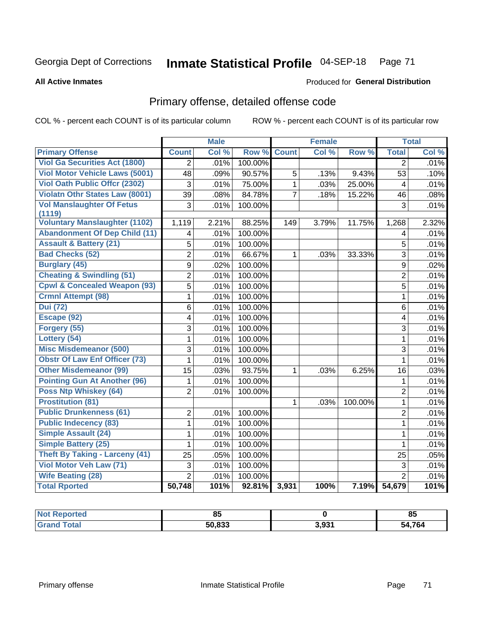# Inmate Statistical Profile 04-SEP-18 Page 71

**All Active Inmates** 

#### Produced for General Distribution

## Primary offense, detailed offense code

COL % - percent each COUNT is of its particular column

|                                            |                | <b>Male</b> |         |                | <b>Female</b> |         |                | <b>Total</b> |
|--------------------------------------------|----------------|-------------|---------|----------------|---------------|---------|----------------|--------------|
| <b>Primary Offense</b>                     | <b>Count</b>   | Col %       | Row %   | <b>Count</b>   | Col %         | Row %   | <b>Total</b>   | Col %        |
| <b>Viol Ga Securities Act (1800)</b>       | $\overline{2}$ | .01%        | 100.00% |                |               |         | $\overline{2}$ | .01%         |
| <b>Viol Motor Vehicle Laws (5001)</b>      | 48             | .09%        | 90.57%  | 5              | .13%          | 9.43%   | 53             | .10%         |
| <b>Viol Oath Public Offer (2302)</b>       | 3              | .01%        | 75.00%  | $\mathbf 1$    | .03%          | 25.00%  | 4              | .01%         |
| <b>Violatn Othr States Law (8001)</b>      | 39             | .08%        | 84.78%  | $\overline{7}$ | .18%          | 15.22%  | 46             | .08%         |
| <b>Vol Manslaughter Of Fetus</b><br>(1119) | $\overline{3}$ | .01%        | 100.00% |                |               |         | $\overline{3}$ | .01%         |
| <b>Voluntary Manslaughter (1102)</b>       | 1,119          | 2.21%       | 88.25%  | 149            | 3.79%         | 11.75%  | 1,268          | 2.32%        |
| <b>Abandonment Of Dep Child (11)</b>       | 4              | .01%        | 100.00% |                |               |         | 4              | .01%         |
| <b>Assault &amp; Battery (21)</b>          | 5              | .01%        | 100.00% |                |               |         | 5              | .01%         |
| <b>Bad Checks (52)</b>                     | $\overline{2}$ | .01%        | 66.67%  | 1              | .03%          | 33.33%  | $\overline{3}$ | .01%         |
| <b>Burglary (45)</b>                       | 9              | .02%        | 100.00% |                |               |         | $\overline{9}$ | .02%         |
| <b>Cheating &amp; Swindling (51)</b>       | $\overline{2}$ | .01%        | 100.00% |                |               |         | $\overline{2}$ | .01%         |
| <b>Cpwl &amp; Concealed Weapon (93)</b>    | $\overline{5}$ | .01%        | 100.00% |                |               |         | 5              | .01%         |
| <b>Crmnl Attempt (98)</b>                  | 1              | .01%        | 100.00% |                |               |         | $\mathbf{1}$   | .01%         |
| <b>Dui</b> (72)                            | $6\phantom{1}$ | .01%        | 100.00% |                |               |         | 6              | .01%         |
| Escape (92)                                | 4              | .01%        | 100.00% |                |               |         | 4              | .01%         |
| Forgery (55)                               | 3              | .01%        | 100.00% |                |               |         | 3              | .01%         |
| Lottery (54)                               | $\mathbf{1}$   | .01%        | 100.00% |                |               |         | $\mathbf 1$    | .01%         |
| <b>Misc Misdemeanor (500)</b>              | 3              | .01%        | 100.00% |                |               |         | 3              | .01%         |
| <b>Obstr Of Law Enf Officer (73)</b>       | 1              | .01%        | 100.00% |                |               |         | $\overline{1}$ | .01%         |
| <b>Other Misdemeanor (99)</b>              | 15             | .03%        | 93.75%  | 1              | .03%          | 6.25%   | 16             | .03%         |
| <b>Pointing Gun At Another (96)</b>        | 1              | .01%        | 100.00% |                |               |         | $\mathbf 1$    | .01%         |
| <b>Poss Ntp Whiskey (64)</b>               | $\overline{2}$ | .01%        | 100.00% |                |               |         | $\overline{2}$ | .01%         |
| <b>Prostitution (81)</b>                   |                |             |         | 1              | .03%          | 100.00% | $\mathbf{1}$   | .01%         |
| <b>Public Drunkenness (61)</b>             | 2              | .01%        | 100.00% |                |               |         | $\overline{2}$ | .01%         |
| <b>Public Indecency (83)</b>               | $\mathbf{1}$   | .01%        | 100.00% |                |               |         | $\mathbf{1}$   | .01%         |
| <b>Simple Assault (24)</b>                 | 1              | .01%        | 100.00% |                |               |         | $\mathbf{1}$   | .01%         |
| <b>Simple Battery (25)</b>                 | 1              | .01%        | 100.00% |                |               |         | $\mathbf{1}$   | .01%         |
| Theft By Taking - Larceny (41)             | 25             | .05%        | 100.00% |                |               |         | 25             | .05%         |
| Viol Motor Veh Law (71)                    | 3              | .01%        | 100.00% |                |               |         | 3              | .01%         |
| <b>Wife Beating (28)</b>                   | $\overline{2}$ | .01%        | 100.00% |                |               |         | $\overline{2}$ | .01%         |
| <b>Total Rported</b>                       | 50,748         | 101%        | 92.81%  | 3,931          | 100%          | 7.19%   | 54,679         | 101%         |

| eported<br>NOT       | ວວ     |       | ᅂ<br>œ       |
|----------------------|--------|-------|--------------|
| <b><i>i</i></b> otal | 50.833 | 3,931 | 4,764<br>- 4 |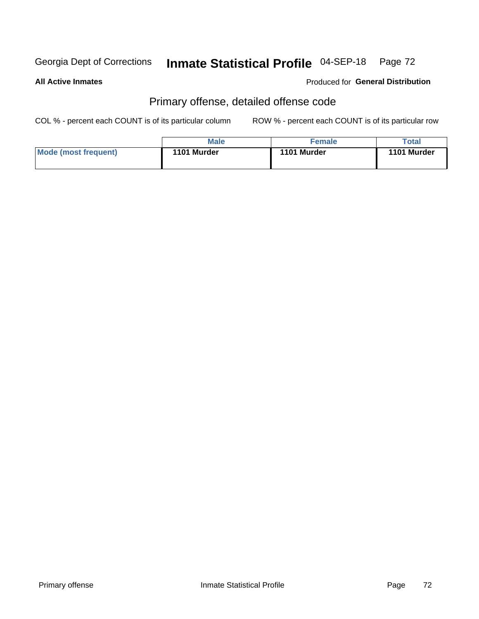# Inmate Statistical Profile 04-SEP-18 Page 72

#### **All Active Inmates**

#### Produced for General Distribution

## Primary offense, detailed offense code

COL % - percent each COUNT is of its particular column

|                      | Male        | <b>Female</b> | Total       |
|----------------------|-------------|---------------|-------------|
| Mode (most frequent) | 1101 Murder | 1101 Murder   | 1101 Murder |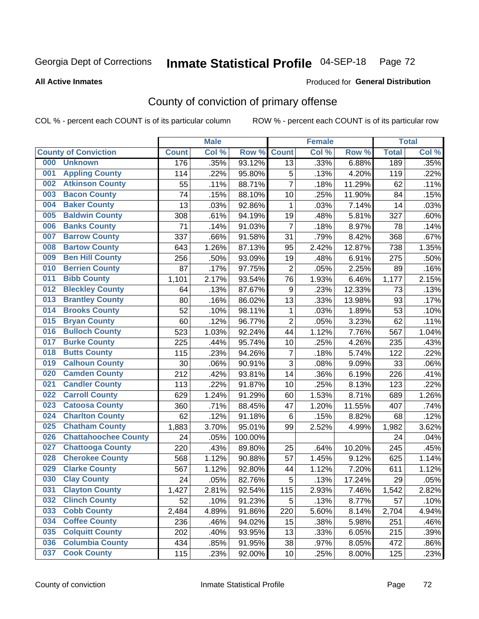# Inmate Statistical Profile 04-SEP-18 Page 72

Produced for General Distribution

#### **All Active Inmates**

## County of conviction of primary offense

COL % - percent each COUNT is of its particular column

|                                    |              | <b>Male</b> |         |                  | <b>Female</b> |        |              | <b>Total</b> |
|------------------------------------|--------------|-------------|---------|------------------|---------------|--------|--------------|--------------|
| <b>County of Conviction</b>        | <b>Count</b> | Col %       | Row %   | <b>Count</b>     | Col %         | Row %  | <b>Total</b> | Col %        |
| 000<br><b>Unknown</b>              | 176          | .35%        | 93.12%  | 13               | .33%          | 6.88%  | 189          | .35%         |
| <b>Appling County</b><br>001       | 114          | .22%        | 95.80%  | 5                | .13%          | 4.20%  | 119          | .22%         |
| <b>Atkinson County</b><br>002      | 55           | .11%        | 88.71%  | $\overline{7}$   | .18%          | 11.29% | 62           | .11%         |
| <b>Bacon County</b><br>003         | 74           | .15%        | 88.10%  | 10               | .25%          | 11.90% | 84           | .15%         |
| <b>Baker County</b><br>004         | 13           | .03%        | 92.86%  | $\mathbf{1}$     | .03%          | 7.14%  | 14           | .03%         |
| <b>Baldwin County</b><br>005       | 308          | .61%        | 94.19%  | 19               | .48%          | 5.81%  | 327          | .60%         |
| <b>Banks County</b><br>006         | 71           | .14%        | 91.03%  | $\overline{7}$   | .18%          | 8.97%  | 78           | .14%         |
| <b>Barrow County</b><br>007        | 337          | .66%        | 91.58%  | 31               | .79%          | 8.42%  | 368          | .67%         |
| <b>Bartow County</b><br>008        | 643          | 1.26%       | 87.13%  | 95               | 2.42%         | 12.87% | 738          | 1.35%        |
| <b>Ben Hill County</b><br>009      | 256          | .50%        | 93.09%  | 19               | .48%          | 6.91%  | 275          | .50%         |
| <b>Berrien County</b><br>010       | 87           | .17%        | 97.75%  | $\overline{2}$   | .05%          | 2.25%  | 89           | .16%         |
| <b>Bibb County</b><br>011          | 1,101        | 2.17%       | 93.54%  | 76               | 1.93%         | 6.46%  | 1,177        | 2.15%        |
| <b>Bleckley County</b><br>012      | 64           | .13%        | 87.67%  | $\boldsymbol{9}$ | .23%          | 12.33% | 73           | .13%         |
| <b>Brantley County</b><br>013      | 80           | .16%        | 86.02%  | 13               | .33%          | 13.98% | 93           | .17%         |
| <b>Brooks County</b><br>014        | 52           | .10%        | 98.11%  | 1                | .03%          | 1.89%  | 53           | .10%         |
| <b>Bryan County</b><br>015         | 60           | .12%        | 96.77%  | $\overline{2}$   | .05%          | 3.23%  | 62           | .11%         |
| <b>Bulloch County</b><br>016       | 523          | 1.03%       | 92.24%  | 44               | 1.12%         | 7.76%  | 567          | 1.04%        |
| <b>Burke County</b><br>017         | 225          | .44%        | 95.74%  | 10               | .25%          | 4.26%  | 235          | .43%         |
| <b>Butts County</b><br>018         | 115          | .23%        | 94.26%  | $\overline{7}$   | .18%          | 5.74%  | 122          | .22%         |
| <b>Calhoun County</b><br>019       | 30           | .06%        | 90.91%  | 3                | .08%          | 9.09%  | 33           | .06%         |
| <b>Camden County</b><br>020        | 212          | .42%        | 93.81%  | 14               | .36%          | 6.19%  | 226          | .41%         |
| <b>Candler County</b><br>021       | 113          | .22%        | 91.87%  | 10               | .25%          | 8.13%  | 123          | .22%         |
| <b>Carroll County</b><br>022       | 629          | 1.24%       | 91.29%  | 60               | 1.53%         | 8.71%  | 689          | 1.26%        |
| <b>Catoosa County</b><br>023       | 360          | .71%        | 88.45%  | 47               | 1.20%         | 11.55% | 407          | .74%         |
| <b>Charlton County</b><br>024      | 62           | .12%        | 91.18%  | 6                | .15%          | 8.82%  | 68           | .12%         |
| <b>Chatham County</b><br>025       | 1,883        | 3.70%       | 95.01%  | 99               | 2.52%         | 4.99%  | 1,982        | 3.62%        |
| <b>Chattahoochee County</b><br>026 | 24           | .05%        | 100.00% |                  |               |        | 24           | .04%         |
| 027<br><b>Chattooga County</b>     | 220          | .43%        | 89.80%  | 25               | .64%          | 10.20% | 245          | .45%         |
| <b>Cherokee County</b><br>028      | 568          | 1.12%       | 90.88%  | 57               | 1.45%         | 9.12%  | 625          | 1.14%        |
| <b>Clarke County</b><br>029        | 567          | 1.12%       | 92.80%  | 44               | 1.12%         | 7.20%  | 611          | 1.12%        |
| <b>Clay County</b><br>030          | 24           | .05%        | 82.76%  | 5                | .13%          | 17.24% | 29           | .05%         |
| 031<br><b>Clayton County</b>       | 1,427        | 2.81%       | 92.54%  | 115              | 2.93%         | 7.46%  | 1,542        | 2.82%        |
| <b>Clinch County</b><br>032        | 52           | .10%        | 91.23%  | 5                | .13%          | 8.77%  | 57           | .10%         |
| <b>Cobb County</b><br>033          | 2,484        | 4.89%       | 91.86%  | 220              | 5.60%         | 8.14%  | 2,704        | 4.94%        |
| <b>Coffee County</b><br>034        | 236          | .46%        | 94.02%  | 15               | .38%          | 5.98%  | 251          | .46%         |
| <b>Colquitt County</b><br>035      | 202          | .40%        | 93.95%  | 13               | .33%          | 6.05%  | 215          | .39%         |
| <b>Columbia County</b><br>036      | 434          | .85%        | 91.95%  | 38               | .97%          | 8.05%  | 472          | .86%         |
| <b>Cook County</b><br>037          | 115          | .23%        | 92.00%  | 10               | .25%          | 8.00%  | 125          | .23%         |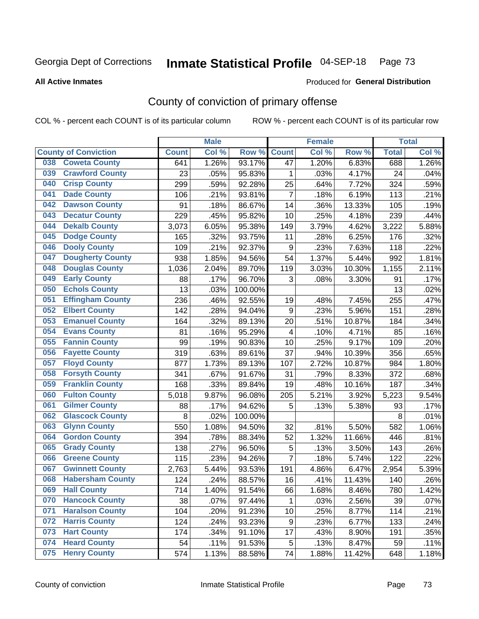# Inmate Statistical Profile 04-SEP-18 Page 73

**Produced for General Distribution** 

#### **All Active Inmates**

## County of conviction of primary offense

COL % - percent each COUNT is of its particular column

|     |                             |              | <b>Male</b> |         |                         | <b>Female</b> |        |              | <b>Total</b> |
|-----|-----------------------------|--------------|-------------|---------|-------------------------|---------------|--------|--------------|--------------|
|     | <b>County of Conviction</b> | <b>Count</b> | Col %       | Row %   | <b>Count</b>            | Col%          | Row %  | <b>Total</b> | Col %        |
| 038 | <b>Coweta County</b>        | 641          | 1.26%       | 93.17%  | 47                      | 1.20%         | 6.83%  | 688          | 1.26%        |
| 039 | <b>Crawford County</b>      | 23           | .05%        | 95.83%  | 1                       | .03%          | 4.17%  | 24           | .04%         |
| 040 | <b>Crisp County</b>         | 299          | .59%        | 92.28%  | 25                      | .64%          | 7.72%  | 324          | .59%         |
| 041 | <b>Dade County</b>          | 106          | .21%        | 93.81%  | $\overline{7}$          | .18%          | 6.19%  | 113          | .21%         |
| 042 | <b>Dawson County</b>        | 91           | .18%        | 86.67%  | 14                      | .36%          | 13.33% | 105          | .19%         |
| 043 | <b>Decatur County</b>       | 229          | .45%        | 95.82%  | 10                      | .25%          | 4.18%  | 239          | .44%         |
| 044 | <b>Dekalb County</b>        | 3,073        | 6.05%       | 95.38%  | 149                     | 3.79%         | 4.62%  | 3,222        | 5.88%        |
| 045 | <b>Dodge County</b>         | 165          | .32%        | 93.75%  | 11                      | .28%          | 6.25%  | 176          | .32%         |
| 046 | <b>Dooly County</b>         | 109          | .21%        | 92.37%  | $\boldsymbol{9}$        | .23%          | 7.63%  | 118          | .22%         |
| 047 | <b>Dougherty County</b>     | 938          | 1.85%       | 94.56%  | 54                      | 1.37%         | 5.44%  | 992          | 1.81%        |
| 048 | <b>Douglas County</b>       | 1,036        | 2.04%       | 89.70%  | 119                     | 3.03%         | 10.30% | 1,155        | 2.11%        |
| 049 | <b>Early County</b>         | 88           | .17%        | 96.70%  | 3                       | .08%          | 3.30%  | 91           | .17%         |
| 050 | <b>Echols County</b>        | 13           | .03%        | 100.00% |                         |               |        | 13           | .02%         |
| 051 | <b>Effingham County</b>     | 236          | .46%        | 92.55%  | 19                      | .48%          | 7.45%  | 255          | .47%         |
| 052 | <b>Elbert County</b>        | 142          | .28%        | 94.04%  | $\boldsymbol{9}$        | .23%          | 5.96%  | 151          | .28%         |
| 053 | <b>Emanuel County</b>       | 164          | .32%        | 89.13%  | 20                      | .51%          | 10.87% | 184          | .34%         |
| 054 | <b>Evans County</b>         | 81           | .16%        | 95.29%  | $\overline{\mathbf{4}}$ | .10%          | 4.71%  | 85           | .16%         |
| 055 | <b>Fannin County</b>        | 99           | .19%        | 90.83%  | 10                      | .25%          | 9.17%  | 109          | .20%         |
| 056 | <b>Fayette County</b>       | 319          | .63%        | 89.61%  | 37                      | .94%          | 10.39% | 356          | .65%         |
| 057 | <b>Floyd County</b>         | 877          | 1.73%       | 89.13%  | 107                     | 2.72%         | 10.87% | 984          | 1.80%        |
| 058 | <b>Forsyth County</b>       | 341          | .67%        | 91.67%  | 31                      | .79%          | 8.33%  | 372          | .68%         |
| 059 | <b>Franklin County</b>      | 168          | .33%        | 89.84%  | 19                      | .48%          | 10.16% | 187          | .34%         |
| 060 | <b>Fulton County</b>        | 5,018        | 9.87%       | 96.08%  | 205                     | 5.21%         | 3.92%  | 5,223        | 9.54%        |
| 061 | <b>Gilmer County</b>        | 88           | .17%        | 94.62%  | 5                       | .13%          | 5.38%  | 93           | .17%         |
| 062 | <b>Glascock County</b>      | 8            | .02%        | 100.00% |                         |               |        | 8            | .01%         |
| 063 | <b>Glynn County</b>         | 550          | 1.08%       | 94.50%  | 32                      | .81%          | 5.50%  | 582          | 1.06%        |
| 064 | <b>Gordon County</b>        | 394          | .78%        | 88.34%  | 52                      | 1.32%         | 11.66% | 446          | .81%         |
| 065 | <b>Grady County</b>         | 138          | .27%        | 96.50%  | $\mathbf 5$             | .13%          | 3.50%  | 143          | .26%         |
| 066 | <b>Greene County</b>        | 115          | .23%        | 94.26%  | $\overline{7}$          | .18%          | 5.74%  | 122          | .22%         |
| 067 | <b>Gwinnett County</b>      | 2,763        | 5.44%       | 93.53%  | 191                     | 4.86%         | 6.47%  | 2,954        | 5.39%        |
| 068 | <b>Habersham County</b>     | 124          | .24%        | 88.57%  | 16                      | .41%          | 11.43% | 140          | .26%         |
| 069 | <b>Hall County</b>          | 714          | 1.40%       | 91.54%  | 66                      | 1.68%         | 8.46%  | 780          | 1.42%        |
| 070 | <b>Hancock County</b>       | 38           | .07%        | 97.44%  | 1                       | .03%          | 2.56%  | 39           | .07%         |
| 071 | <b>Haralson County</b>      | 104          | .20%        | 91.23%  | $10$                    | .25%          | 8.77%  | 114          | .21%         |
| 072 | <b>Harris County</b>        | 124          | .24%        | 93.23%  | 9                       | .23%          | 6.77%  | 133          | .24%         |
| 073 | <b>Hart County</b>          | 174          | .34%        | 91.10%  | 17                      | .43%          | 8.90%  | 191          | .35%         |
| 074 | <b>Heard County</b>         | 54           | .11%        | 91.53%  | 5                       | .13%          | 8.47%  | 59           | .11%         |
| 075 | <b>Henry County</b>         | 574          | 1.13%       | 88.58%  | 74                      | 1.88%         | 11.42% | 648          | 1.18%        |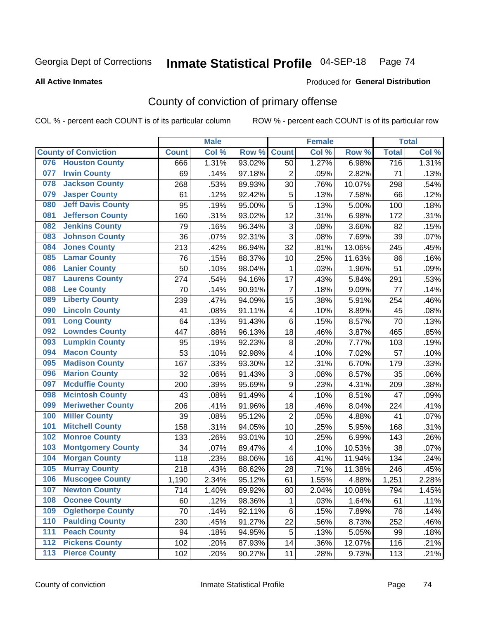# Inmate Statistical Profile 04-SEP-18 Page 74

#### **All Active Inmates**

### Produced for General Distribution

## County of conviction of primary offense

COL % - percent each COUNT is of its particular column

|       |                             |              | <b>Male</b> |        |                         | <b>Female</b> |        |                  | <b>Total</b> |
|-------|-----------------------------|--------------|-------------|--------|-------------------------|---------------|--------|------------------|--------------|
|       | <b>County of Conviction</b> | <b>Count</b> | Col %       | Row %  | <b>Count</b>            | Col %         | Row %  | <b>Total</b>     | Col %        |
| 076   | <b>Houston County</b>       | 666          | 1.31%       | 93.02% | 50                      | 1.27%         | 6.98%  | $\overline{716}$ | 1.31%        |
| 077   | <b>Irwin County</b>         | 69           | .14%        | 97.18% | $\overline{2}$          | .05%          | 2.82%  | 71               | .13%         |
| 078   | <b>Jackson County</b>       | 268          | .53%        | 89.93% | 30                      | .76%          | 10.07% | 298              | .54%         |
| 079   | <b>Jasper County</b>        | 61           | .12%        | 92.42% | 5                       | .13%          | 7.58%  | 66               | .12%         |
| 080   | <b>Jeff Davis County</b>    | 95           | .19%        | 95.00% | 5                       | .13%          | 5.00%  | 100              | .18%         |
| 081   | <b>Jefferson County</b>     | 160          | .31%        | 93.02% | 12                      | .31%          | 6.98%  | 172              | .31%         |
| 082   | <b>Jenkins County</b>       | 79           | .16%        | 96.34% | 3                       | .08%          | 3.66%  | 82               | .15%         |
| 083   | <b>Johnson County</b>       | 36           | .07%        | 92.31% | 3                       | .08%          | 7.69%  | 39               | .07%         |
| 084   | <b>Jones County</b>         | 213          | .42%        | 86.94% | 32                      | .81%          | 13.06% | 245              | .45%         |
| 085   | <b>Lamar County</b>         | 76           | .15%        | 88.37% | 10                      | .25%          | 11.63% | 86               | .16%         |
| 086   | <b>Lanier County</b>        | 50           | .10%        | 98.04% | $\mathbf 1$             | .03%          | 1.96%  | 51               | .09%         |
| 087   | <b>Laurens County</b>       | 274          | .54%        | 94.16% | 17                      | .43%          | 5.84%  | 291              | .53%         |
| 088   | <b>Lee County</b>           | 70           | .14%        | 90.91% | $\overline{7}$          | .18%          | 9.09%  | 77               | .14%         |
| 089   | <b>Liberty County</b>       | 239          | .47%        | 94.09% | 15                      | .38%          | 5.91%  | 254              | .46%         |
| 090   | <b>Lincoln County</b>       | 41           | .08%        | 91.11% | $\overline{\mathbf{4}}$ | .10%          | 8.89%  | 45               | .08%         |
| 091   | <b>Long County</b>          | 64           | .13%        | 91.43% | 6                       | .15%          | 8.57%  | 70               | .13%         |
| 092   | <b>Lowndes County</b>       | 447          | .88%        | 96.13% | 18                      | .46%          | 3.87%  | 465              | .85%         |
| 093   | <b>Lumpkin County</b>       | 95           | .19%        | 92.23% | 8                       | .20%          | 7.77%  | 103              | .19%         |
| 094   | <b>Macon County</b>         | 53           | .10%        | 92.98% | 4                       | .10%          | 7.02%  | 57               | .10%         |
| 095   | <b>Madison County</b>       | 167          | .33%        | 93.30% | 12                      | .31%          | 6.70%  | 179              | .33%         |
| 096   | <b>Marion County</b>        | 32           | .06%        | 91.43% | 3                       | .08%          | 8.57%  | 35               | .06%         |
| 097   | <b>Mcduffie County</b>      | 200          | .39%        | 95.69% | 9                       | .23%          | 4.31%  | 209              | .38%         |
| 098   | <b>Mcintosh County</b>      | 43           | .08%        | 91.49% | 4                       | .10%          | 8.51%  | 47               | .09%         |
| 099   | <b>Meriwether County</b>    | 206          | .41%        | 91.96% | 18                      | .46%          | 8.04%  | 224              | .41%         |
| 100   | <b>Miller County</b>        | 39           | .08%        | 95.12% | $\overline{2}$          | .05%          | 4.88%  | 41               | .07%         |
| 101   | <b>Mitchell County</b>      | 158          | .31%        | 94.05% | 10                      | .25%          | 5.95%  | 168              | .31%         |
| 102   | <b>Monroe County</b>        | 133          | .26%        | 93.01% | 10                      | .25%          | 6.99%  | 143              | .26%         |
| 103   | <b>Montgomery County</b>    | 34           | .07%        | 89.47% | $\overline{\mathbf{4}}$ | .10%          | 10.53% | 38               | .07%         |
| 104   | <b>Morgan County</b>        | 118          | .23%        | 88.06% | 16                      | .41%          | 11.94% | 134              | .24%         |
| 105   | <b>Murray County</b>        | 218          | .43%        | 88.62% | 28                      | .71%          | 11.38% | 246              | .45%         |
| 106   | <b>Muscogee County</b>      | 1,190        | 2.34%       | 95.12% | 61                      | 1.55%         | 4.88%  | 1,251            | 2.28%        |
| 107   | <b>Newton County</b>        | 714          | 1.40%       | 89.92% | 80                      | 2.04%         | 10.08% | 794              | 1.45%        |
| 108   | <b>Oconee County</b>        | 60           | .12%        | 98.36% | $\mathbf 1$             | .03%          | 1.64%  | 61               | .11%         |
| 109   | <b>Oglethorpe County</b>    | 70           | .14%        | 92.11% | 6                       | .15%          | 7.89%  | 76               | .14%         |
| 110   | <b>Paulding County</b>      | 230          | .45%        | 91.27% | 22                      | .56%          | 8.73%  | 252              | .46%         |
| 111   | <b>Peach County</b>         | 94           | .18%        | 94.95% | 5                       | .13%          | 5.05%  | 99               | .18%         |
| $112$ | <b>Pickens County</b>       | 102          | .20%        | 87.93% | 14                      | .36%          | 12.07% | 116              | .21%         |
| 113   | <b>Pierce County</b>        | 102          | .20%        | 90.27% | 11                      | .28%          | 9.73%  | 113              | .21%         |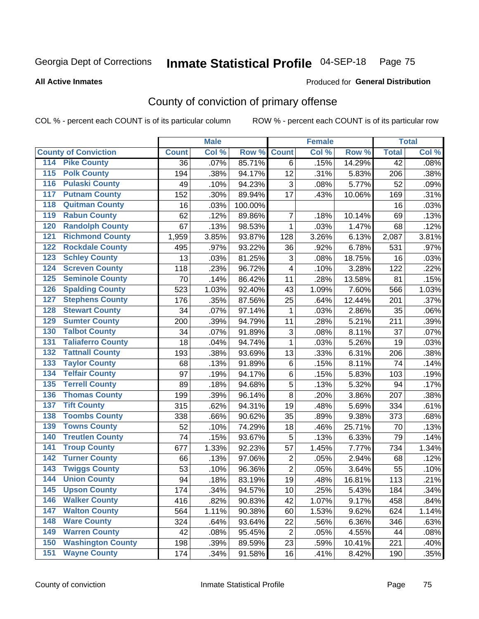# Inmate Statistical Profile 04-SEP-18 Page 75

#### **All Active Inmates**

### Produced for General Distribution

## County of conviction of primary offense

COL % - percent each COUNT is of its particular column

|                                          |              | <b>Male</b> |         |                | <b>Female</b> |        |                 | <b>Total</b> |
|------------------------------------------|--------------|-------------|---------|----------------|---------------|--------|-----------------|--------------|
| <b>County of Conviction</b>              | <b>Count</b> | Col %       | Row %   | <b>Count</b>   | Col %         | Row %  | <b>Total</b>    | Col %        |
| 114 Pike County                          | 36           | .07%        | 85.71%  | 6              | .15%          | 14.29% | $\overline{42}$ | .08%         |
| <b>Polk County</b><br>$\overline{115}$   | 194          | .38%        | 94.17%  | 12             | .31%          | 5.83%  | 206             | .38%         |
| <b>Pulaski County</b><br>116             | 49           | .10%        | 94.23%  | 3              | .08%          | 5.77%  | 52              | .09%         |
| <b>Putnam County</b><br>117              | 152          | .30%        | 89.94%  | 17             | .43%          | 10.06% | 169             | .31%         |
| <b>Quitman County</b><br>118             | 16           | .03%        | 100.00% |                |               |        | 16              | .03%         |
| <b>Rabun County</b><br>119               | 62           | .12%        | 89.86%  | $\overline{7}$ | .18%          | 10.14% | 69              | .13%         |
| <b>Randolph County</b><br>120            | 67           | .13%        | 98.53%  | $\mathbf 1$    | .03%          | 1.47%  | 68              | .12%         |
| <b>Richmond County</b><br>121            | 1,959        | 3.85%       | 93.87%  | 128            | 3.26%         | 6.13%  | 2,087           | 3.81%        |
| <b>Rockdale County</b><br>122            | 495          | .97%        | 93.22%  | 36             | .92%          | 6.78%  | 531             | .97%         |
| <b>Schley County</b><br>123              | 13           | .03%        | 81.25%  | 3              | .08%          | 18.75% | 16              | .03%         |
| <b>Screven County</b><br>124             | 118          | .23%        | 96.72%  | 4              | .10%          | 3.28%  | 122             | .22%         |
| <b>Seminole County</b><br>125            | 70           | .14%        | 86.42%  | 11             | .28%          | 13.58% | 81              | .15%         |
| 126<br><b>Spalding County</b>            | 523          | 1.03%       | 92.40%  | 43             | 1.09%         | 7.60%  | 566             | 1.03%        |
| <b>Stephens County</b><br>127            | 176          | .35%        | 87.56%  | 25             | .64%          | 12.44% | 201             | .37%         |
| <b>Stewart County</b><br>128             | 34           | .07%        | 97.14%  | $\mathbf 1$    | .03%          | 2.86%  | 35              | .06%         |
| <b>Sumter County</b><br>129              | 200          | .39%        | 94.79%  | 11             | .28%          | 5.21%  | 211             | .39%         |
| <b>Talbot County</b><br>130              | 34           | .07%        | 91.89%  | 3              | .08%          | 8.11%  | 37              | .07%         |
| <b>Taliaferro County</b><br>131          | 18           | .04%        | 94.74%  | $\mathbf{1}$   | .03%          | 5.26%  | 19              | .03%         |
| <b>Tattnall County</b><br>132            | 193          | .38%        | 93.69%  | 13             | .33%          | 6.31%  | 206             | .38%         |
| <b>Taylor County</b><br>133              | 68           | .13%        | 91.89%  | $\,6$          | .15%          | 8.11%  | 74              | .14%         |
| <b>Telfair County</b><br>134             | 97           | .19%        | 94.17%  | 6              | .15%          | 5.83%  | 103             | .19%         |
| <b>Terrell County</b><br>135             | 89           | .18%        | 94.68%  | 5              | .13%          | 5.32%  | 94              | .17%         |
| <b>Thomas County</b><br>136              | 199          | .39%        | 96.14%  | 8              | .20%          | 3.86%  | 207             | .38%         |
| <b>Tift County</b><br>137                | 315          | .62%        | 94.31%  | 19             | .48%          | 5.69%  | 334             | .61%         |
| <b>Toombs County</b><br>138              | 338          | .66%        | 90.62%  | 35             | .89%          | 9.38%  | 373             | .68%         |
| <b>Towns County</b><br>139               | 52           | .10%        | 74.29%  | 18             | .46%          | 25.71% | 70              | .13%         |
| <b>Treutlen County</b><br>140            | 74           | .15%        | 93.67%  | 5              | .13%          | 6.33%  | 79              | .14%         |
| <b>Troup County</b><br>141               | 677          | 1.33%       | 92.23%  | 57             | 1.45%         | 7.77%  | 734             | 1.34%        |
| <b>Turner County</b><br>142              | 66           | .13%        | 97.06%  | $\overline{2}$ | .05%          | 2.94%  | 68              | .12%         |
| <b>Twiggs County</b><br>$\overline{143}$ | 53           | .10%        | 96.36%  | $\overline{2}$ | .05%          | 3.64%  | 55              | .10%         |
| <b>Union County</b><br>144               | 94           | .18%        | 83.19%  | 19             | .48%          | 16.81% | 113             | .21%         |
| 145<br><b>Upson County</b>               | 174          | .34%        | 94.57%  | 10             | .25%          | 5.43%  | 184             | .34%         |
| <b>Walker County</b><br>146              | 416          | .82%        | 90.83%  | 42             | 1.07%         | 9.17%  | 458             | .84%         |
| <b>Walton County</b><br>147              | 564          | 1.11%       | 90.38%  | 60             | 1.53%         | 9.62%  | 624             | 1.14%        |
| <b>Ware County</b><br>148                | 324          | .64%        | 93.64%  | 22             | .56%          | 6.36%  | 346             | .63%         |
| <b>Warren County</b><br>149              | 42           | .08%        | 95.45%  | $\overline{2}$ | .05%          | 4.55%  | 44              | .08%         |
| <b>Washington County</b><br>150          | 198          | .39%        | 89.59%  | 23             | .59%          | 10.41% | 221             | .40%         |
| <b>Wayne County</b><br>151               | 174          | .34%        | 91.58%  | 16             | .41%          | 8.42%  | 190             | .35%         |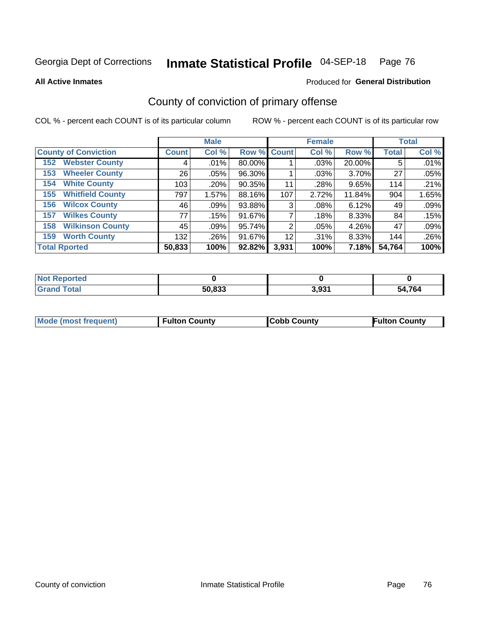# Inmate Statistical Profile 04-SEP-18 Page 76

**All Active Inmates** 

### **Produced for General Distribution**

## County of conviction of primary offense

COL % - percent each COUNT is of its particular column

|                                |              | <b>Male</b> |             |       | <b>Female</b> |        |              | <b>Total</b> |
|--------------------------------|--------------|-------------|-------------|-------|---------------|--------|--------------|--------------|
| <b>County of Conviction</b>    | <b>Count</b> | Col %       | Row % Count |       | Col %         | Row %  | <b>Total</b> | Col %        |
| <b>Webster County</b><br>152   | 4            | .01%        | 80.00%      |       | .03%          | 20.00% | 5            | .01%         |
| <b>Wheeler County</b><br>153   | 26           | $.05\%$     | 96.30%      |       | .03%          | 3.70%  | 27           | .05%         |
| <b>White County</b><br>154     | 103          | .20%        | 90.35%      | 11    | .28%          | 9.65%  | 114          | .21%         |
| <b>Whitfield County</b><br>155 | 797          | 1.57%       | 88.16%      | 107   | 2.72%         | 11.84% | 904          | 1.65%        |
| <b>Wilcox County</b><br>156    | 46           | $.09\%$     | 93.88%      | 3     | .08%          | 6.12%  | 49           | .09%         |
| <b>Wilkes County</b><br>157    | 77           | .15%        | 91.67%      |       | .18%          | 8.33%  | 84           | .15%         |
| <b>Wilkinson County</b><br>158 | 45           | .09%        | 95.74%      | 2     | .05%          | 4.26%  | 47           | .09%         |
| <b>Worth County</b><br>159     | 132          | .26%        | 91.67%      | 12    | .31%          | 8.33%  | 144          | .26%         |
| <b>Total Rported</b>           | 50,833       | 100%        | 92.82%      | 3,931 | 100%          | 7.18%  | 54,764       | 100%         |

| <b>Not Reported</b> |        |       |              |
|---------------------|--------|-------|--------------|
| Total               | 50,833 | 3,931 | 54.764<br>ы. |

| <b>Mode (most frequent)</b> | <b>Fulton County</b> | <b>ICobb County</b> | <b>Fulton County</b> |
|-----------------------------|----------------------|---------------------|----------------------|
|                             |                      |                     |                      |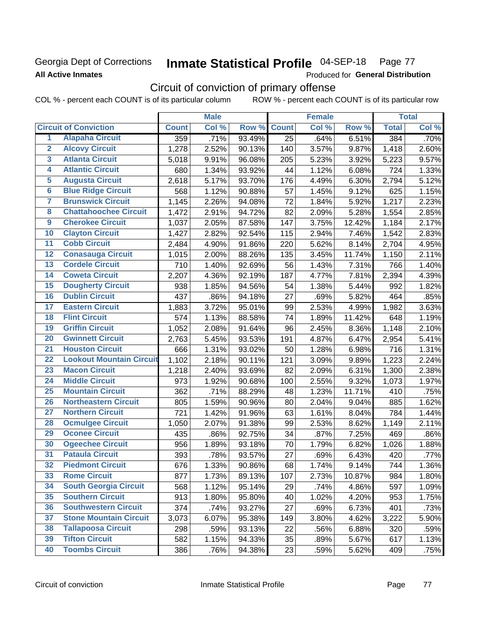### Georgia Dept of Corrections **All Active Inmates**

#### Inmate Statistical Profile 04-SEP-18 Page 77

Produced for General Distribution

## Circuit of conviction of primary offense

|                         |                                 |              | <b>Male</b> |        |              | <b>Female</b> |        |              | <b>Total</b> |
|-------------------------|---------------------------------|--------------|-------------|--------|--------------|---------------|--------|--------------|--------------|
|                         | <b>Circuit of Conviction</b>    | <b>Count</b> | Col %       | Row %  | <b>Count</b> | Col %         | Row %  | <b>Total</b> | Col %        |
| 1                       | <b>Alapaha Circuit</b>          | 359          | .71%        | 93.49% | 25           | .64%          | 6.51%  | 384          | .70%         |
| $\overline{2}$          | <b>Alcovy Circuit</b>           | 1,278        | 2.52%       | 90.13% | 140          | 3.57%         | 9.87%  | 1,418        | 2.60%        |
| $\overline{\mathbf{3}}$ | <b>Atlanta Circuit</b>          | 5,018        | 9.91%       | 96.08% | 205          | 5.23%         | 3.92%  | 5,223        | 9.57%        |
| 4                       | <b>Atlantic Circuit</b>         | 680          | 1.34%       | 93.92% | 44           | 1.12%         | 6.08%  | 724          | 1.33%        |
| $\overline{5}$          | <b>Augusta Circuit</b>          | 2,618        | 5.17%       | 93.70% | 176          | 4.49%         | 6.30%  | 2,794        | 5.12%        |
| $\overline{\bf{6}}$     | <b>Blue Ridge Circuit</b>       | 568          | 1.12%       | 90.88% | 57           | 1.45%         | 9.12%  | 625          | 1.15%        |
| 7                       | <b>Brunswick Circuit</b>        | 1,145        | 2.26%       | 94.08% | 72           | 1.84%         | 5.92%  | 1,217        | 2.23%        |
| $\overline{\mathbf{8}}$ | <b>Chattahoochee Circuit</b>    | 1,472        | 2.91%       | 94.72% | 82           | 2.09%         | 5.28%  | 1,554        | 2.85%        |
| $\overline{9}$          | <b>Cherokee Circuit</b>         | 1,037        | 2.05%       | 87.58% | 147          | 3.75%         | 12.42% | 1,184        | 2.17%        |
| 10                      | <b>Clayton Circuit</b>          | 1,427        | 2.82%       | 92.54% | 115          | 2.94%         | 7.46%  | 1,542        | 2.83%        |
| $\overline{11}$         | <b>Cobb Circuit</b>             | 2,484        | 4.90%       | 91.86% | 220          | 5.62%         | 8.14%  | 2,704        | 4.95%        |
| $\overline{12}$         | <b>Conasauga Circuit</b>        | 1,015        | 2.00%       | 88.26% | 135          | 3.45%         | 11.74% | 1,150        | 2.11%        |
| 13                      | <b>Cordele Circuit</b>          | 710          | 1.40%       | 92.69% | 56           | 1.43%         | 7.31%  | 766          | 1.40%        |
| $\overline{14}$         | <b>Coweta Circuit</b>           | 2,207        | 4.36%       | 92.19% | 187          | 4.77%         | 7.81%  | 2,394        | 4.39%        |
| 15                      | <b>Dougherty Circuit</b>        | 938          | 1.85%       | 94.56% | 54           | 1.38%         | 5.44%  | 992          | 1.82%        |
| 16                      | <b>Dublin Circuit</b>           | 437          | .86%        | 94.18% | 27           | .69%          | 5.82%  | 464          | .85%         |
| 17                      | <b>Eastern Circuit</b>          | 1,883        | 3.72%       | 95.01% | 99           | 2.53%         | 4.99%  | 1,982        | 3.63%        |
| $\overline{18}$         | <b>Flint Circuit</b>            | 574          | 1.13%       | 88.58% | 74           | 1.89%         | 11.42% | 648          | 1.19%        |
| 19                      | <b>Griffin Circuit</b>          | 1,052        | 2.08%       | 91.64% | 96           | 2.45%         | 8.36%  | 1,148        | 2.10%        |
| 20                      | <b>Gwinnett Circuit</b>         | 2,763        | 5.45%       | 93.53% | 191          | 4.87%         | 6.47%  | 2,954        | 5.41%        |
| $\overline{21}$         | <b>Houston Circuit</b>          | 666          | 1.31%       | 93.02% | 50           | 1.28%         | 6.98%  | 716          | 1.31%        |
| $\overline{22}$         | <b>Lookout Mountain Circuit</b> | 1,102        | 2.18%       | 90.11% | 121          | 3.09%         | 9.89%  | 1,223        | 2.24%        |
| 23                      | <b>Macon Circuit</b>            | 1,218        | 2.40%       | 93.69% | 82           | 2.09%         | 6.31%  | 1,300        | 2.38%        |
| $\overline{24}$         | <b>Middle Circuit</b>           | 973          | 1.92%       | 90.68% | 100          | 2.55%         | 9.32%  | 1,073        | 1.97%        |
| $\overline{25}$         | <b>Mountain Circuit</b>         | 362          | .71%        | 88.29% | 48           | 1.23%         | 11.71% | 410          | .75%         |
| 26                      | <b>Northeastern Circuit</b>     | 805          | 1.59%       | 90.96% | 80           | 2.04%         | 9.04%  | 885          | 1.62%        |
| $\overline{27}$         | <b>Northern Circuit</b>         | 721          | 1.42%       | 91.96% | 63           | 1.61%         | 8.04%  | 784          | 1.44%        |
| 28                      | <b>Ocmulgee Circuit</b>         | 1,050        | 2.07%       | 91.38% | 99           | 2.53%         | 8.62%  | 1,149        | 2.11%        |
| 29                      | <b>Oconee Circuit</b>           | 435          | .86%        | 92.75% | 34           | .87%          | 7.25%  | 469          | .86%         |
| 30                      | <b>Ogeechee Circuit</b>         | 956          | 1.89%       | 93.18% | 70           | 1.79%         | 6.82%  | 1,026        | 1.88%        |
| $\overline{31}$         | <b>Pataula Circuit</b>          | 393          | .78%        | 93.57% | 27           | .69%          | 6.43%  | 420          | .77%         |
| 32                      | <b>Piedmont Circuit</b>         | 676          | 1.33%       | 90.86% | 68           | 1.74%         | 9.14%  | 744          | 1.36%        |
| 33                      | <b>Rome Circuit</b>             | 877          | 1.73%       | 89.13% | 107          | 2.73%         | 10.87% | 984          | 1.80%        |
| 34                      | <b>South Georgia Circuit</b>    | 568          | 1.12%       | 95.14% | 29           | .74%          | 4.86%  | 597          | 1.09%        |
| 35                      | <b>Southern Circuit</b>         | 913          | 1.80%       | 95.80% | 40           | 1.02%         | 4.20%  | 953          | 1.75%        |
| 36                      | <b>Southwestern Circuit</b>     | 374          | .74%        | 93.27% | 27           | .69%          | 6.73%  | 401          | .73%         |
| 37                      | <b>Stone Mountain Circuit</b>   | 3,073        | 6.07%       | 95.38% | 149          | 3.80%         | 4.62%  | 3,222        | 5.90%        |
| 38                      | <b>Tallapoosa Circuit</b>       | 298          | .59%        | 93.13% | 22           | .56%          | 6.88%  | 320          | .59%         |
| 39                      | <b>Tifton Circuit</b>           | 582          | 1.15%       | 94.33% | 35           | .89%          | 5.67%  | 617          | 1.13%        |
| 40                      | <b>Toombs Circuit</b>           | 386          | .76%        | 94.38% | 23           | .59%          | 5.62%  | 409          | .75%         |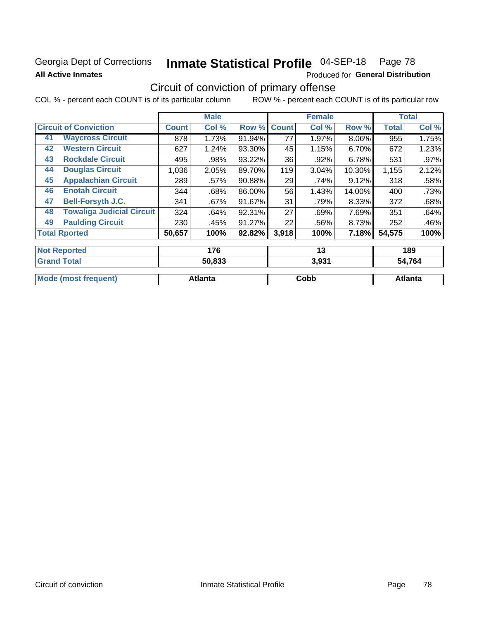### Georgia Dept of Corrections **All Active Inmates**

# Inmate Statistical Profile 04-SEP-18 Page 78

Produced for General Distribution

## Circuit of conviction of primary offense

|                              |                                  |              | <b>Male</b> |        |              | <b>Female</b> |        |              | <b>Total</b> |
|------------------------------|----------------------------------|--------------|-------------|--------|--------------|---------------|--------|--------------|--------------|
| <b>Circuit of Conviction</b> |                                  | <b>Count</b> | Col %       | Row %  | <b>Count</b> | Col %         | Row %  | <b>Total</b> | Col %        |
| 41                           | <b>Waycross Circuit</b>          | 878          | 1.73%       | 91.94% | 77           | 1.97%         | 8.06%  | 955          | 1.75%        |
| 42                           | <b>Western Circuit</b>           | 627          | 1.24%       | 93.30% | 45           | 1.15%         | 6.70%  | 672          | 1.23%        |
| 43                           | <b>Rockdale Circuit</b>          | 495          | .98%        | 93.22% | 36           | .92%          | 6.78%  | 531          | $.97\%$      |
| 44                           | <b>Douglas Circuit</b>           | 1,036        | 2.05%       | 89.70% | 119          | 3.04%         | 10.30% | 1,155        | 2.12%        |
| 45                           | <b>Appalachian Circuit</b>       | 289          | .57%        | 90.88% | 29           | .74%          | 9.12%  | 318          | .58%         |
| 46                           | <b>Enotah Circuit</b>            | 344          | .68%        | 86.00% | 56           | 1.43%         | 14.00% | 400          | .73%         |
| 47                           | <b>Bell-Forsyth J.C.</b>         | 341          | .67%        | 91.67% | 31           | .79%          | 8.33%  | 372          | .68%         |
| 48                           | <b>Towaliga Judicial Circuit</b> | 324          | .64%        | 92.31% | 27           | .69%          | 7.69%  | 351          | .64%         |
| 49                           | <b>Paulding Circuit</b>          | 230          | .45%        | 91.27% | 22           | .56%          | 8.73%  | 252          | .46%         |
| <b>Total Rported</b>         |                                  | 50,657       | 100%        | 92.82% | 3,918        | 100%          | 7.18%  | 54,575       | 100%         |
|                              | <b>Not Reported</b>              |              | 176         |        |              | 13            |        |              | 189          |
|                              | <b>Grand Total</b>               |              | 50,833      | 3,931  |              |               | 54,764 |              |              |

| ا שוטו וטנ <b>מו</b>    | วบ.๐๖๖  | ວ.ວວ ເ | -94.704 |
|-------------------------|---------|--------|---------|
|                         |         |        |         |
| <b>Mou</b><br>freauent) | Atlanta | Cobb   | Atlanta |
|                         |         |        |         |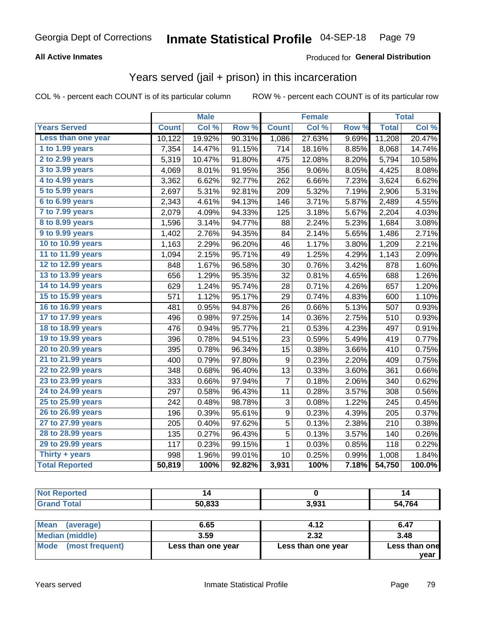#### **All Active Inmates**

#### Produced for **General Distribution**

## Years served (jail + prison) in this incarceration

|                              |              | <b>Male</b> |        |              | <b>Female</b> |       |              | <b>Total</b> |
|------------------------------|--------------|-------------|--------|--------------|---------------|-------|--------------|--------------|
| <b>Years Served</b>          | <b>Count</b> | Col %       | Row %  | <b>Count</b> | Col %         | Row % | <b>Total</b> | Col%         |
| Less than one year           | 10,122       | 19.92%      | 90.31% | 1,086        | 27.63%        | 9.69% | 11,208       | 20.47%       |
| 1 to 1.99 years              | 7,354        | 14.47%      | 91.15% | 714          | 18.16%        | 8.85% | 8,068        | 14.74%       |
| 2 to 2.99 years              | 5,319        | 10.47%      | 91.80% | 475          | 12.08%        | 8.20% | 5,794        | 10.58%       |
| $3$ to $3.99$ years          | 4,069        | 8.01%       | 91.95% | 356          | 9.06%         | 8.05% | 4,425        | 8.08%        |
| $\overline{4}$ to 4.99 years | 3,362        | 6.62%       | 92.77% | 262          | 6.66%         | 7.23% | 3,624        | 6.62%        |
| $\overline{5}$ to 5.99 years | 2,697        | 5.31%       | 92.81% | 209          | 5.32%         | 7.19% | 2,906        | 5.31%        |
| $6$ to $6.99$ years          | 2,343        | 4.61%       | 94.13% | 146          | 3.71%         | 5.87% | 2,489        | 4.55%        |
| 7 to 7.99 years              | 2,079        | 4.09%       | 94.33% | 125          | 3.18%         | 5.67% | 2,204        | 4.03%        |
| 8 to 8.99 years              | 1,596        | 3.14%       | 94.77% | 88           | 2.24%         | 5.23% | 1,684        | 3.08%        |
| 9 to 9.99 years              | 1,402        | 2.76%       | 94.35% | 84           | 2.14%         | 5.65% | 1,486        | 2.71%        |
| 10 to 10.99 years            | 1,163        | 2.29%       | 96.20% | 46           | 1.17%         | 3.80% | 1,209        | 2.21%        |
| 11 to 11.99 years            | 1,094        | 2.15%       | 95.71% | 49           | 1.25%         | 4.29% | 1,143        | 2.09%        |
| 12 to 12.99 years            | 848          | 1.67%       | 96.58% | 30           | 0.76%         | 3.42% | 878          | 1.60%        |
| 13 to 13.99 years            | 656          | 1.29%       | 95.35% | 32           | 0.81%         | 4.65% | 688          | 1.26%        |
| 14 to 14.99 years            | 629          | 1.24%       | 95.74% | 28           | 0.71%         | 4.26% | 657          | 1.20%        |
| 15 to 15.99 years            | 571          | 1.12%       | 95.17% | 29           | 0.74%         | 4.83% | 600          | 1.10%        |
| 16 to 16.99 years            | 481          | 0.95%       | 94.87% | 26           | 0.66%         | 5.13% | 507          | 0.93%        |
| 17 to 17.99 years            | 496          | 0.98%       | 97.25% | 14           | 0.36%         | 2.75% | 510          | 0.93%        |
| 18 to 18.99 years            | 476          | 0.94%       | 95.77% | 21           | 0.53%         | 4.23% | 497          | 0.91%        |
| 19 to 19.99 years            | 396          | 0.78%       | 94.51% | 23           | 0.59%         | 5.49% | 419          | 0.77%        |
| 20 to 20.99 years            | 395          | 0.78%       | 96.34% | 15           | 0.38%         | 3.66% | 410          | 0.75%        |
| 21 to 21.99 years            | 400          | 0.79%       | 97.80% | 9            | 0.23%         | 2.20% | 409          | 0.75%        |
| 22 to 22.99 years            | 348          | 0.68%       | 96.40% | 13           | 0.33%         | 3.60% | 361          | 0.66%        |
| 23 to 23.99 years            | 333          | 0.66%       | 97.94% | 7            | 0.18%         | 2.06% | 340          | 0.62%        |
| 24 to 24.99 years            | 297          | 0.58%       | 96.43% | 11           | 0.28%         | 3.57% | 308          | 0.56%        |
| 25 to 25.99 years            | 242          | 0.48%       | 98.78% | 3            | 0.08%         | 1.22% | 245          | 0.45%        |
| 26 to 26.99 years            | 196          | 0.39%       | 95.61% | 9            | 0.23%         | 4.39% | 205          | 0.37%        |
| 27 to 27.99 years            | 205          | 0.40%       | 97.62% | 5            | 0.13%         | 2.38% | 210          | 0.38%        |
| 28 to 28.99 years            | 135          | 0.27%       | 96.43% | 5            | 0.13%         | 3.57% | 140          | 0.26%        |
| 29 to 29.99 years            | 117          | 0.23%       | 99.15% | $\mathbf 1$  | 0.03%         | 0.85% | 118          | 0.22%        |
| Thirty + years               | 998          | 1.96%       | 99.01% | 10           | 0.25%         | 0.99% | 1,008        | 1.84%        |
| <b>Total Reported</b>        | 50,819       | 100%        | 92.82% | 3,931        | 100%          | 7.18% | 54,750       | 100.0%       |

| <b>Not Reported</b>      |        |       | 14     |
|--------------------------|--------|-------|--------|
| <b>Grand Total</b>       | 50,833 | 3,931 | 54,764 |
|                          |        |       |        |
| <b>Mean</b><br>(average) | 6.65   | 4.12  | 6.47   |

|                                |                    |                    | vear          |
|--------------------------------|--------------------|--------------------|---------------|
| <b>Mode</b><br>(most frequent) | Less than one year | Less than one year | Less than one |
| Median (middle)                | 3.59               | 2.32               | 3.48          |
| IVIUdi I<br>(dverage)          | U.OJ               | 4. IZ              | 0.47          |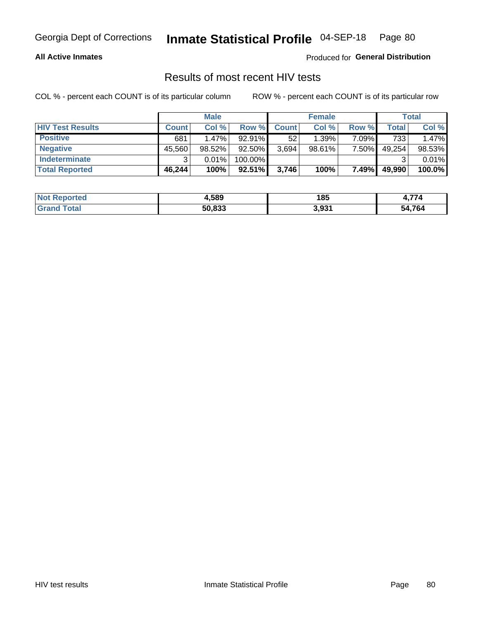#### **All Active Inmates**

Produced for **General Distribution**

### Results of most recent HIV tests

|                         |              | <b>Male</b> |           |              | <b>Female</b> |       |        | Total  |
|-------------------------|--------------|-------------|-----------|--------------|---------------|-------|--------|--------|
| <b>HIV Test Results</b> | <b>Count</b> | Col %       | Row %I    | <b>Count</b> | Col %         | Row % | Total  | Col %  |
| <b>Positive</b>         | 681          | $1.47\%$    | $92.91\%$ | 52           | 1.39%         | 7.09% | 733    | 1.47%  |
| <b>Negative</b>         | 45,560       | $98.52\%$   | 92.50%    | 3,694        | $98.61\%$     | 7.50% | 49,254 | 98.53% |
| Indeterminate           | າ            | 0.01%       | 100.00%   |              |               |       |        | 0.01%  |
| <b>Total Reported</b>   | 46,244       | 100%        | $92.51\%$ | 3,746        | 100%          | 7.49% | 49,990 | 100.0% |

| <b>Not Reported</b> | 4,589  | 185   | $\rightarrow$<br>. . |
|---------------------|--------|-------|----------------------|
| ™otal               | 50.833 | 3,931 | 54.764<br>54         |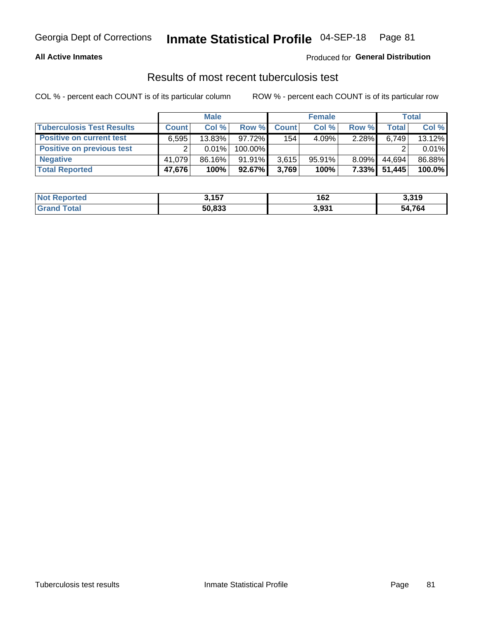#### **All Active Inmates**

### Produced for **General Distribution**

### Results of most recent tuberculosis test

|                                  |              | <b>Male</b> |           |              | <b>Female</b> |          |        | Total  |
|----------------------------------|--------------|-------------|-----------|--------------|---------------|----------|--------|--------|
| <b>Tuberculosis Test Results</b> | <b>Count</b> | Col%        | Row %     | <b>Count</b> | Col %         | Row %    | Total  | Col %  |
| <b>Positive on current test</b>  | 6.595        | 13.83%      | 97.72%    | 154          | 4.09%         | 2.28%    | 6,749  | 13.12% |
| <b>Positive on previous test</b> | ົ            | $0.01\%$    | 100.00%   |              |               |          |        | 0.01%  |
| <b>Negative</b>                  | 41.079       | 86.16%      | $91.91\%$ | 3,615        | $95.91\%$     | $8.09\%$ | 44.694 | 86.88% |
| <b>Total Reported</b>            | 47,676       | 100%        | $92.67\%$ | 3,769        | 100%          | $7.33\%$ | 51,445 | 100.0% |

| <b>Not Reported</b>     | 3,157  | 162   | 3,319        |
|-------------------------|--------|-------|--------------|
| <b>Total</b><br>' Grand | 50,833 | 3,931 | 54.764<br>54 |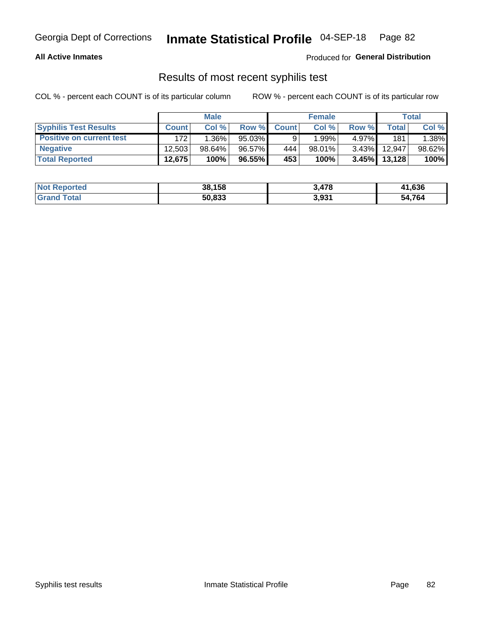#### **All Active Inmates**

Produced for **General Distribution**

### Results of most recent syphilis test

|                                 |              | <b>Male</b> |           |              | <b>Female</b> |          |         | Total  |
|---------------------------------|--------------|-------------|-----------|--------------|---------------|----------|---------|--------|
| <b>Syphilis Test Results</b>    | <b>Count</b> | Col%        | Row %     | <b>Count</b> | Col %         | Row %    | Total I | Col %  |
| <b>Positive on current test</b> | 172          | $1.36\%$    | $95.03\%$ |              | 1.99%」        | 4.97%I   | 181     | 1.38%  |
| <b>Negative</b>                 | 12.503       | $98.64\%$   | 96.57%    | 444          | $98.01\%$     | $3.43\%$ | 12.947  | 98.62% |
| <b>Total Reported</b>           | 12,675       | 100%        | 96.55%    | 453          | 100%          | $3.45\%$ | 13,128  | 100%   |

| <b>Not Reported</b> | 38,158 | 3.478 | 41,636 |
|---------------------|--------|-------|--------|
| <b>Grand Total</b>  | 50,833 | 3,931 | 54,764 |